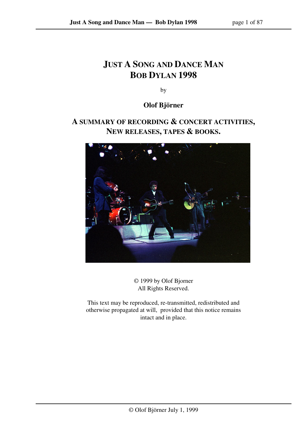# **JUST A SONG AND DANCE MAN BOB DYLAN 1998**

by

## **Olof Björner**

## **A SUMMARY OF RECORDING & CONCERT ACTIVITIES, NEW RELEASES, TAPES & BOOKS.**



© 1999 by Olof Bjorner All Rights Reserved.

This text may be reproduced, re-transmitted, redistributed and otherwise propagated at will, provided that this notice remains intact and in place.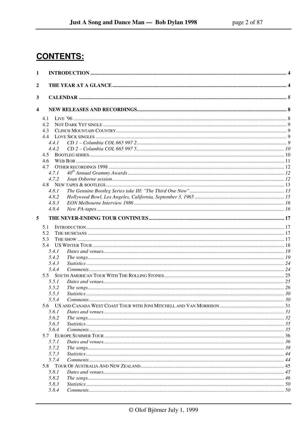# **CONTENTS:**

| 1                       |       |  |
|-------------------------|-------|--|
| $\boldsymbol{2}$        |       |  |
|                         |       |  |
| 3                       |       |  |
| $\overline{\mathbf{4}}$ |       |  |
|                         | 4.1   |  |
|                         | 4.2   |  |
|                         | 4.3   |  |
|                         | 4.4   |  |
|                         | 4.4.1 |  |
|                         | 4.4.2 |  |
|                         | 4.5   |  |
|                         | 4.6   |  |
|                         | 4.7   |  |
|                         | 4.7.1 |  |
|                         | 4.7.2 |  |
|                         |       |  |
|                         | 4.8.1 |  |
|                         | 4.8.2 |  |
|                         | 4.8.3 |  |
|                         | 4.8.4 |  |
| 5                       |       |  |
|                         | 5.1   |  |
|                         | 5.2   |  |
|                         | 5.3   |  |
|                         | 5.4   |  |
|                         | 5.4.1 |  |
|                         | 5.4.2 |  |
|                         | 5.4.3 |  |
|                         | 5.4.4 |  |
|                         | 5.5   |  |
|                         | 5.5.1 |  |
|                         | 5.5.2 |  |
|                         | 5.5.3 |  |
|                         | 5.5.4 |  |
|                         |       |  |
|                         | 5.6.1 |  |
|                         | 5.6.2 |  |
|                         | 5.6.3 |  |
|                         | 5.6.4 |  |
|                         | 5.7.1 |  |
|                         | 5.7.2 |  |
|                         | 5.7.3 |  |
|                         | 5.7.4 |  |
|                         |       |  |
|                         | 5.8.1 |  |
|                         | 5.8.2 |  |
|                         | 5.8.3 |  |
|                         | 5.8.4 |  |
|                         |       |  |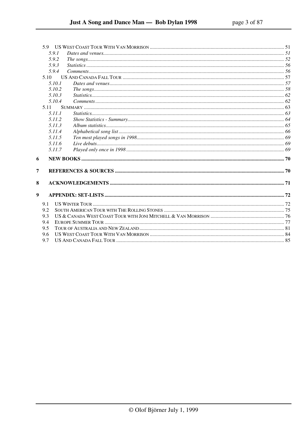|                  | 5.9.1  |  |
|------------------|--------|--|
|                  | 5.9.2  |  |
|                  | 5.9.3  |  |
|                  | 5.9.4  |  |
|                  | 5.10   |  |
|                  | 5.10.1 |  |
|                  | 5.10.2 |  |
|                  | 5.10.3 |  |
|                  | 5.10.4 |  |
|                  | 5.11   |  |
|                  | 5.11.1 |  |
|                  | 5.11.2 |  |
|                  | 5.11.3 |  |
|                  | 5.11.4 |  |
|                  | 5.11.5 |  |
|                  | 5.11.6 |  |
|                  | 5.11.7 |  |
| 6                |        |  |
| 7                |        |  |
| 8                |        |  |
| $\boldsymbol{9}$ |        |  |
|                  | 9.1    |  |
|                  | 9.2    |  |
|                  | 9.3    |  |
|                  | 9.4    |  |
|                  | 9.5    |  |
|                  | 9.6    |  |
|                  | 9.7    |  |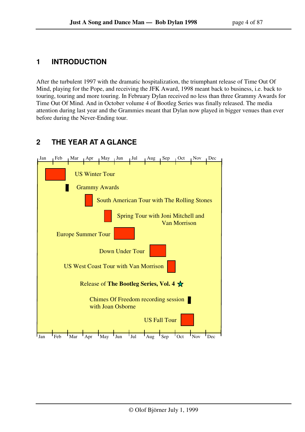## **1 INTRODUCTION**

After the turbulent 1997 with the dramatic hospitalization, the triumphant release of Time Out Of Mind, playing for the Pope, and receiving the JFK Award, 1998 meant back to business, i.e. back to touring, touring and more touring. In February Dylan received no less than three Grammy Awards for Time Out Of Mind. And in October volume 4 of Bootleg Series was finally released. The media attention during last year and the Grammies meant that Dylan now played in bigger venues than ever before during the Never-Ending tour.

## **2 THE YEAR AT A GLANCE**

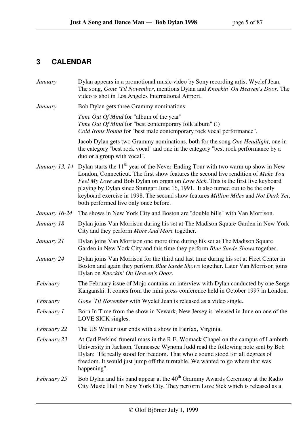# **3 CALENDAR**

| January       | Dylan appears in a promotional music video by Sony recording artist Wyclef Jean.<br>The song, Gone 'Til November, mentions Dylan and Knockin' On Heaven's Door. The<br>video is shot in Los Angeles International Airport.                                                                                                                                                                                                                                                                                         |
|---------------|--------------------------------------------------------------------------------------------------------------------------------------------------------------------------------------------------------------------------------------------------------------------------------------------------------------------------------------------------------------------------------------------------------------------------------------------------------------------------------------------------------------------|
| January       | Bob Dylan gets three Grammy nominations:                                                                                                                                                                                                                                                                                                                                                                                                                                                                           |
|               | Time Out Of Mind for "album of the year"<br>Time Out Of Mind for "best contemporary folk album" (!)<br>Cold Irons Bound for "best male contemporary rock vocal performance".                                                                                                                                                                                                                                                                                                                                       |
|               | Jacob Dylan gets two Grammy nominations, both for the song One Headlight, one in<br>the category "best rock vocal" and one in the category "best rock performance by a<br>duo or a group with vocal".                                                                                                                                                                                                                                                                                                              |
|               | <i>January 13, 14</i> Dylan starts the 11 <sup>th</sup> year of the Never-Ending Tour with two warm up show in New<br>London, Connecticut. The first show features the second live rendition of Make You<br>Feel My Love and Bob Dylan on organ on Love Sick. This is the first live keyboard<br>playing by Dylan since Stuttgart June 16, 1991. It also turned out to be the only<br>keyboard exercise in 1998. The second show features Million Miles and Not Dark Yet,<br>both performed live only once before. |
| January 16-24 | The shows in New York City and Boston are "double bills" with Van Morrison.                                                                                                                                                                                                                                                                                                                                                                                                                                        |
| January 18    | Dylan joins Van Morrison during his set at The Madison Square Garden in New York<br>City and they perform <i>More And More</i> together.                                                                                                                                                                                                                                                                                                                                                                           |
| January 21    | Dylan joins Van Morrison one more time during his set at The Madison Square<br>Garden in New York City and this time they perform Blue Suede Shows together.                                                                                                                                                                                                                                                                                                                                                       |
| January 24    | Dylan joins Van Morrison for the third and last time during his set at Fleet Center in<br>Boston and again they perform Blue Suede Shows together. Later Van Morrison joins<br>Dylan on Knockin' On Heaven's Door.                                                                                                                                                                                                                                                                                                 |
| February      | The February issue of Mojo contains an interview with Dylan conducted by one Serge<br>Kanganski. It comes from the mini press conference held in October 1997 in London.                                                                                                                                                                                                                                                                                                                                           |
| February      | Gone 'Til November with Wyclef Jean is released as a video single.                                                                                                                                                                                                                                                                                                                                                                                                                                                 |
| February 1    | Born In Time from the show in Newark, New Jersey is released in June on one of the<br>LOVE SICK singles.                                                                                                                                                                                                                                                                                                                                                                                                           |
| February 22   | The US Winter tour ends with a show in Fairfax, Virginia.                                                                                                                                                                                                                                                                                                                                                                                                                                                          |
| February 23   | At Carl Perkins' funeral mass in the R.E. Womack Chapel on the campus of Lambuth<br>University in Jackson, Tennessee Wynona Judd read the following note sent by Bob<br>Dylan: "He really stood for freedom. That whole sound stood for all degrees of<br>freedom. It would just jump off the turntable. We wanted to go where that was<br>happening".                                                                                                                                                             |
| February 25   | Bob Dylan and his band appear at the 40 <sup>th</sup> Grammy Awards Ceremony at the Radio<br>City Music Hall in New York City. They perform Love Sick which is released as a                                                                                                                                                                                                                                                                                                                                       |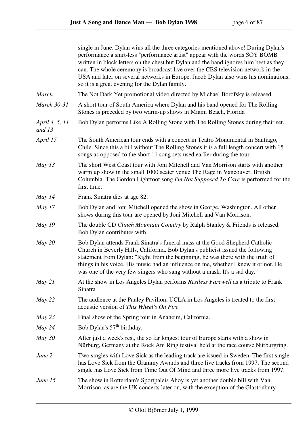|                          | single in June. Dylan wins all the three categories mentioned above! During Dylan's<br>performance a shirt-less "performance artist" appear with the words SOY BOMB<br>written in block letters on the chest but Dylan and the band ignores him best as they<br>can. The whole ceremony is broadcast live over the CBS television network in the<br>USA and later on several networks in Europe. Jacob Dylan also wins his nominations,<br>so it is a great evening for the Dylan family. |
|--------------------------|-------------------------------------------------------------------------------------------------------------------------------------------------------------------------------------------------------------------------------------------------------------------------------------------------------------------------------------------------------------------------------------------------------------------------------------------------------------------------------------------|
| <b>March</b>             | The Not Dark Yet promotional video directed by Michael Borofsky is released.                                                                                                                                                                                                                                                                                                                                                                                                              |
| <b>March 30-31</b>       | A short tour of South America where Dylan and his band opened for The Rolling<br>Stones is preceded by two warm-up shows in Miami Beach, Florida                                                                                                                                                                                                                                                                                                                                          |
| April 4, 5, 11<br>and 13 | Bob Dylan performs Like A Rolling Stone with The Rolling Stones during their set.                                                                                                                                                                                                                                                                                                                                                                                                         |
| April 15                 | The South American tour ends with a concert in Teatro Monumental in Santiago,<br>Chile. Since this a bill without The Rolling Stones it is a full length concert with 15<br>songs as opposed to the short 11 song sets used earlier during the tour.                                                                                                                                                                                                                                      |
| May $13$                 | The short West Coast tour with Joni Mitchell and Van Morrison starts with another<br>warm up show in the small 1000 seater venue The Rage in Vancouver, British<br>Columbia. The Gordon Lightfoot song I'm Not Supposed To Care is performed for the<br>first time.                                                                                                                                                                                                                       |
| May $14$                 | Frank Sinatra dies at age 82.                                                                                                                                                                                                                                                                                                                                                                                                                                                             |
| May 17                   | Bob Dylan and Joni Mitchell opened the show in George, Washington. All other<br>shows during this tour are opened by Joni Mitchell and Van Morrison.                                                                                                                                                                                                                                                                                                                                      |
| May $19$                 | The double CD Clinch Mountain Country by Ralph Stanley & Friends is released.<br>Bob Dylan contributes with                                                                                                                                                                                                                                                                                                                                                                               |
| May 20                   | Bob Dylan attends Frank Sinatra's funeral mass at the Good Shepherd Catholic<br>Church in Beverly Hills, California. Bob Dylan's publicist issued the following<br>statement from Dylan: "Right from the beginning, he was there with the truth of<br>things in his voice. His music had an influence on me, whether I knew it or not. He<br>was one of the very few singers who sang without a mask. It's a sad day."                                                                    |
| May 21                   | At the show in Los Angeles Dylan performs Restless Farewell as a tribute to Frank<br>Sinatra.                                                                                                                                                                                                                                                                                                                                                                                             |
| May 22                   | The audience at the Pauley Pavilion, UCLA in Los Angeles is treated to the first<br>acoustic version of This Wheel's On Fire.                                                                                                                                                                                                                                                                                                                                                             |
| May 23                   | Final show of the Spring tour in Anaheim, California.                                                                                                                                                                                                                                                                                                                                                                                                                                     |
| May 24                   | Bob Dylan's 57 <sup>th</sup> birthday.                                                                                                                                                                                                                                                                                                                                                                                                                                                    |
| $May\,30$                | After just a week's rest, the so far longest tour of Europe starts with a show in<br>Nürburg, Germany at the Rock Am Ring festival held at the race course Nürburgring.                                                                                                                                                                                                                                                                                                                   |
| June 2                   | Two singles with Love Sick as the leading track are issued in Sweden. The first single<br>has Love Sick from the Grammy Awards and three live tracks from 1997. The second<br>single has Love Sick from Time Out Of Mind and three more live tracks from 1997.                                                                                                                                                                                                                            |
| June 15                  | The show in Rotterdam's Sportpaleis Ahoy is yet another double bill with Van<br>Morrison, as are the UK concerts later on, with the exception of the Glastonbury                                                                                                                                                                                                                                                                                                                          |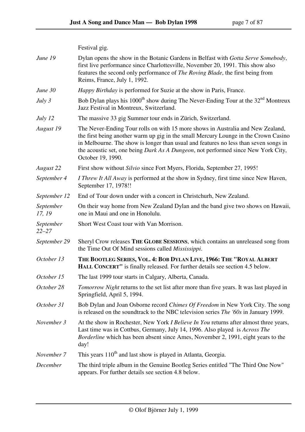|                        | Festival gig.                                                                                                                                                                                                                                                                                                                                                            |
|------------------------|--------------------------------------------------------------------------------------------------------------------------------------------------------------------------------------------------------------------------------------------------------------------------------------------------------------------------------------------------------------------------|
| June 19                | Dylan opens the show in the Botanic Gardens in Belfast with Gotta Serve Somebody,<br>first live performance since Charlottesville, November 20, 1991. This show also<br>features the second only performance of <i>The Roving Blade</i> , the first being from<br>Reims, France, July 1, 1992.                                                                           |
| June 30                | <i>Happy Birthday</i> is performed for Suzie at the show in Paris, France.                                                                                                                                                                                                                                                                                               |
| July 3                 | Bob Dylan plays his 1000 <sup>th</sup> show during The Never-Ending Tour at the 32 <sup>nd</sup> Montreux<br>Jazz Festival in Montreux, Switzerland.                                                                                                                                                                                                                     |
| July 12                | The massive 33 gig Summer tour ends in Zürich, Switzerland.                                                                                                                                                                                                                                                                                                              |
| August 19              | The Never-Ending Tour rolls on with 15 more shows in Australia and New Zealand,<br>the first being another warm up gig in the small Mercury Lounge in the Crown Casino<br>in Melbourne. The show is longer than usual and features no less than seven songs in<br>the acoustic set, one being Dark As A Dungeon, not performed since New York City,<br>October 19, 1990. |
| August 22              | First show without Silvio since Fort Myers, Florida, September 27, 1995!                                                                                                                                                                                                                                                                                                 |
| September 4            | <i>I Threw It All Away</i> is performed at the show in Sydney, first time since New Haven,<br>September 17, 1978!!                                                                                                                                                                                                                                                       |
| September 12           | End of Tour down under with a concert in Christchurh, New Zealand.                                                                                                                                                                                                                                                                                                       |
| September<br>17, 19    | On their way home from New Zealand Dylan and the band give two shows on Hawaii,<br>one in Maui and one in Honolulu.                                                                                                                                                                                                                                                      |
| September<br>$22 - 27$ | Short West Coast tour with Van Morrison.                                                                                                                                                                                                                                                                                                                                 |
| September 29           | Sheryl Crow releases THE GLOBE SESSIONS, which contains an unreleased song from<br>the Time Out Of Mind sessions called <i>Mississippi</i> .                                                                                                                                                                                                                             |
| October 13             | THE BOOTLEG SERIES, VOL. 4: BOB DYLAN LIVE, 1966: THE "ROYAL ALBERT<br>HALL CONCERT" is finally released. For further details see section 4.5 below.                                                                                                                                                                                                                     |
| October 15             | The last 1999 tour starts in Calgary, Alberta, Canada.                                                                                                                                                                                                                                                                                                                   |
| October 28             | Tomorrow Night returns to the set list after more than five years. It was last played in<br>Springfield, April 5, 1994.                                                                                                                                                                                                                                                  |
| October 31             | Bob Dylan and Joan Osborne record Chimes Of Freedom in New York City. The song<br>is released on the soundtrack to the NBC television series <i>The '60s</i> in January 1999.                                                                                                                                                                                            |
| November 3             | At the show in Rochester, New York <i>I Believe In You</i> returns after almost three years,<br>Last time was in Cottbus, Germany, July 14, 1996. Also played is <i>Across The</i><br>Borderline which has been absent since Ames, November 2, 1991, eight years to the<br>day!                                                                                          |
| November 7             | This years 110 <sup>th</sup> and last show is played in Atlanta, Georgia.                                                                                                                                                                                                                                                                                                |
| December               | The third triple album in the Genuine Bootleg Series entitled "The Third One Now"<br>appears. For further details see section 4.8 below.                                                                                                                                                                                                                                 |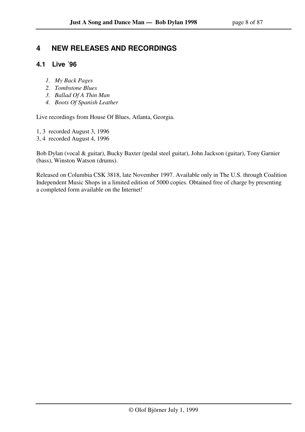## **4 NEW RELEASES AND RECORDINGS**

## **4.1 Live ´96**

- *1. My Back Pages*
- *2. Tombstone Blues*
- *3. Ballad Of A Thin Man*
- *4. Boots Of Spanish Leather*

Live recordings from House Of Blues, Atlanta, Georgia.

- 1, 3 recorded August 3, 1996
- 3, 4 recorded August 4, 1996

Bob Dylan (vocal & guitar), Bucky Baxter (pedal steel guitar), John Jackson (guitar), Tony Garnier (bass), Winston Watson (drums).

Released on Columbia CSK 3818, late November 1997. Available only in The U.S. through Coalition Independent Music Shops in a limited edition of 5000 copies. Obtained free of charge by presenting a completed form available on the Internet!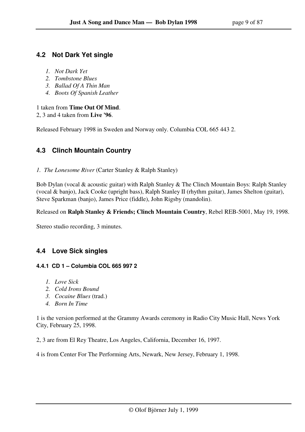## **4.2 Not Dark Yet single**

- *1. Not Dark Yet*
- *2. Tombstone Blues*
- *3. Ballad Of A Thin Man*
- *4. Boots Of Spanish Leather*

### 1 taken from **Time Out Of Mind**.

2, 3 and 4 taken from **Live '96**.

Released February 1998 in Sweden and Norway only. Columbia COL 665 443 2.

## **4.3 Clinch Mountain Country**

*1. The Lonesome River* (Carter Stanley & Ralph Stanley)

Bob Dylan (vocal & acoustic guitar) with Ralph Stanley & The Clinch Mountain Boys: Ralph Stanley (vocal & banjo), Jack Cooke (upright bass), Ralph Stanley II (rhythm guitar), James Shelton (guitar), Steve Sparkman (banjo), James Price (fiddle), John Rigsby (mandolin).

Released on **Ralph Stanley & Friends; Clinch Mountain Country**, Rebel REB-5001, May 19, 1998.

Stereo studio recording, 3 minutes.

## **4.4 Love Sick singles**

### **4.4.1 CD 1 – Columbia COL 665 997 2**

- *1. Love Sick*
- *2. Cold Irons Bound*
- *3. Cocaine Blues* (trad.)
- *4. Born In Time*

1 is the version performed at the Grammy Awards ceremony in Radio City Music Hall, News York City, February 25, 1998.

2, 3 are from El Rey Theatre, Los Angeles, California, December 16, 1997.

4 is from Center For The Performing Arts, Newark, New Jersey, February 1, 1998.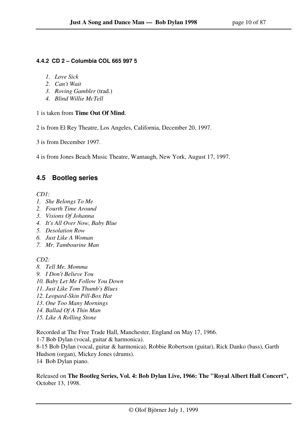### **4.4.2 CD 2 – Columbia COL 665 997 5**

- *1. Love Sick*
- *2. Can't Wait*
- *3. Roving Gambler* (trad.)
- *4. Blind Willie McTell*

### 1 is taken from **Time Out Of Mind**.

2 is from El Rey Theatre, Los Angeles, California, December 20, 1997.

3 is from December 1997.

4 is from Jones Beach Music Theatre, Wantaugh, New York, August 17, 1997.

## **4.5 Bootleg series**

*CD1:* 

- *1. She Belongs To Me*
- *2. Fourth Time Around*
- *3. Visions Of Johanna*
- *4. It's All Over Now, Baby Blue*
- *5. Desolation Row*
- *6. Just Like A Woman*
- *7. Mr. Tambourine Man*

*CD2:* 

- *8. Tell Me, Momma*
- *9. I Don't Believe You*
- *10. Baby Let Me Follow You Down*
- *11. Just Like Tom Thumb's Blues*
- *12. Leopard-Skin Pill-Box Hat*
- *13. One Too Many Mornings*
- *14. Ballad Of A Thin Man*
- *15. Like A Rolling Stone*

Recorded at The Free Trade Hall, Manchester, England on May 17, 1966.

1-7 Bob Dylan (vocal, guitar & harmonica).

8-15 Bob Dylan (vocal, guitar & harmonica), Robbie Robertson (guitar), Rick Danko (bass), Garth Hudson (organ), Mickey Jones (drums).

14 Bob Dylan piano.

Released on **The Bootleg Series, Vol. 4: Bob Dylan Live, 1966: The "Royal Albert Hall Concert",**  October 13, 1998.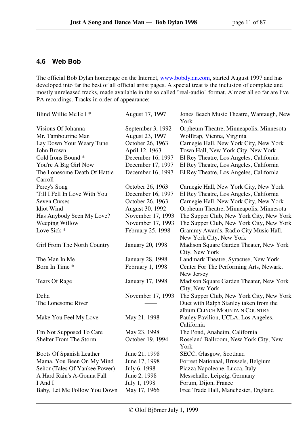## **4.6 Web Bob**

The official Bob Dylan homepage on the Internet, www.bobdylan.com, started August 1997 and has developed into far the best of all official artist pages. A special treat is the inclusion of complete and mostly unreleased tracks, made available in the so called "real-audio" format. Almost all so far are live PA recordings. Tracks in order of appearance:

| Blind Willie McTell *         | August 17, 1997         | Jones Beach Music Theatre, Wantaugh, New<br>York |
|-------------------------------|-------------------------|--------------------------------------------------|
| Visions Of Johanna            | September 3, 1992       | Orpheum Theatre, Minneapolis, Minnesota          |
| Mr. Tambourine Man            | August 23, 1997         | Wolftrap, Vienna, Virginia                       |
| Lay Down Your Weary Tune      | October 26, 1963        | Carnegie Hall, New York City, New York           |
| John Brown                    | April 12, 1963          | Town Hall, New York City, New York               |
| Cold Irons Bound *            | December 16, 1997       | El Rey Theatre, Los Angeles, California          |
| You're A Big Girl Now         | December 17, 1997       | El Rey Theatre, Los Angeles, California          |
| The Lonesome Death Of Hattie  | December 16, 1997       | El Rey Theatre, Los Angeles, California          |
| Carroll                       |                         |                                                  |
| Percy's Song                  | October 26, 1963        | Carnegie Hall, New York City, New York           |
| Till I Fell In Love With You  | December 16, 1997       | El Rey Theatre, Los Angeles, California          |
| <b>Seven Curses</b>           | October 26, 1963        | Carnegie Hall, New York City, New York           |
| <b>Idiot Wind</b>             | August 30, 1992         | Orpheum Theatre, Minneapolis, Minnesota          |
| Has Anybody Seen My Love?     | November 17, 1993       | The Supper Club, New York City, New York         |
| Weeping Willow                | November 17, 1993       | The Supper Club, New York City, New York         |
| Love Sick *                   | February 25, 1998       | Grammy Awards, Radio City Music Hall,            |
|                               |                         | New York City, New York                          |
| Girl From The North Country   | <b>January 20, 1998</b> | Madison Square Garden Theater, New York          |
|                               |                         | City, New York                                   |
| The Man In Me                 | <b>January 28, 1998</b> | Landmark Theatre, Syracuse, New York             |
| Born In Time *                | February 1, 1998        | Center For The Performing Arts, Newark,          |
|                               |                         | New Jersey                                       |
| <b>Tears Of Rage</b>          | January 17, 1998        | Madison Square Garden Theater, New York          |
|                               |                         | City, New York                                   |
| Delia                         | November 17, 1993       | The Supper Club, New York City, New York         |
| The Lonesome River            |                         | Duet with Ralph Stanley taken from the           |
|                               |                         | album CLINCH MOUNTAIN COUNTRY                    |
| Make You Feel My Love         | May 21, 1998            | Pauley Pavilion, UCLA, Los Angeles,              |
|                               |                         | California                                       |
| I'm Not Supposed To Care      | May 23, 1998            | The Pond, Anaheim, California                    |
| <b>Shelter From The Storm</b> | October 19, 1994        | Roseland Ballroom, New York City, New<br>York    |
| Boots Of Spanish Leather      | June 21, 1998           | SECC, Glasgow, Scotland                          |
| Mama, You Been On My Mind     | June 17, 1998           | Forrest Nationaal, Brussels, Belgium             |
| Señor (Tales Of Yankee Power) | July 6, 1998            | Piazza Napoleone, Lucca, Italy                   |
| A Hard Rain's A-Gonna Fall    | June 2, 1998            | Messehalle, Leipzig, Germany                     |
| I And I                       | July 1, 1998            | Forum, Dijon, France                             |
| Baby, Let Me Follow You Down  | May 17, 1966            | Free Trade Hall, Manchester, England             |
|                               |                         |                                                  |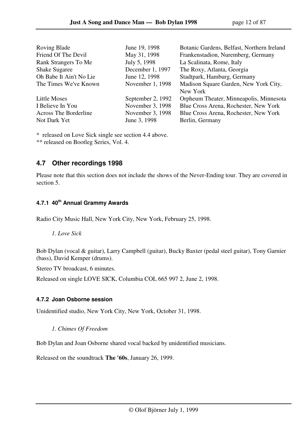| Roving Blade                 | June 19, 1998     | Botanic Gardens, Belfast, Northern Ireland |
|------------------------------|-------------------|--------------------------------------------|
| Friend Of The Devil          | May 31, 1998      | Frankenstadion, Nuremberg, Germany         |
| Rank Strangers To Me         | July 5, 1998      | La Scalinata, Rome, Italy                  |
| <b>Shake Sugaree</b>         | December 1, 1997  | The Roxy, Atlanta, Georgia                 |
| Oh Babe It Ain't No Lie      | June 12, 1998     | Stadtpark, Hamburg, Germany                |
| The Times We've Known        | November 1, 1998  | Madison Square Garden, New York City,      |
|                              |                   | New York                                   |
| <b>Little Moses</b>          | September 2, 1992 | Orpheum Theater, Minneapolis, Minnesota    |
| I Believe In You             | November 3, 1998  | Blue Cross Arena, Rochester, New York      |
| <b>Across The Borderline</b> | November 3, 1998  | Blue Cross Arena, Rochester, New York      |
| Not Dark Yet                 | June 3, 1998      | Berlin, Germany                            |

\* released on Love Sick single see section 4.4 above. \*\* released on Bootleg Series, Vol. 4.

## **4.7 Other recordings 1998**

Please note that this section does not include the shows of the Never-Ending tour. They are covered in section 5.

## **4.7.1 40th Annual Grammy Awards**

Radio City Music Hall, New York City, New York, February 25, 1998.

 *1. Love Sick* 

Bob Dylan (vocal & guitar), Larry Campbell (guitar), Bucky Baxter (pedal steel guitar), Tony Garnier (bass), David Kemper (drums).

Stereo TV broadcast, 6 minutes.

Released on single LOVE SICK, Columbia COL 665 997 2, June 2, 1998.

### **4.7.2 Joan Osborne session**

Unidentified studio, New York City, New York, October 31, 1998.

### *1. Chimes Of Freedom*

Bob Dylan and Joan Osborne shared vocal backed by unidentified musicians.

Released on the soundtrack **The '60s**, January 26, 1999.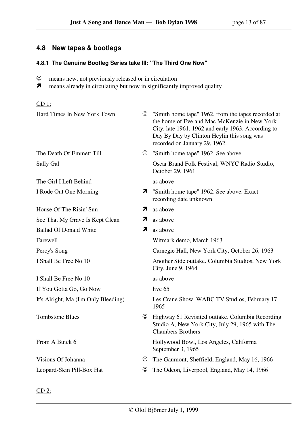## **4.8 New tapes & bootlegs**

### **4.8.1 The Genuine Bootleg Series take III: "The Third One Now"**

- ☺ means new, not previously released or in circulation
- $\overline{\mathbf{z}}$ means already in circulating but now in significantly improved quality

### CD 1:

| Hard Times In New York Town          | $\odot$         | "Smith home tape" 1962, from the tapes recorded at<br>the home of Eve and Mac McKenzie in New York<br>City, late 1961, 1962 and early 1963. According to<br>Day By Day by Clinton Heylin this song was<br>recorded on January 29, 1962. |
|--------------------------------------|-----------------|-----------------------------------------------------------------------------------------------------------------------------------------------------------------------------------------------------------------------------------------|
| The Death Of Emmett Till             | $\odot$         | "Smith home tape" 1962. See above                                                                                                                                                                                                       |
| Sally Gal                            |                 | Oscar Brand Folk Festival, WNYC Radio Studio,<br>October 29, 1961                                                                                                                                                                       |
| The Girl I Left Behind               |                 | as above                                                                                                                                                                                                                                |
| I Rode Out One Morning               |                 | <b>7</b> "Smith home tape" 1962. See above. Exact<br>recording date unknown.                                                                                                                                                            |
| House Of The Risin' Sun              | 7               | as above                                                                                                                                                                                                                                |
| See That My Grave Is Kept Clean      | 7               | as above                                                                                                                                                                                                                                |
| <b>Ballad Of Donald White</b>        | 7               | as above                                                                                                                                                                                                                                |
| Farewell                             |                 | Witmark demo, March 1963                                                                                                                                                                                                                |
| Percy's Song                         |                 | Carnegie Hall, New York City, October 26, 1963                                                                                                                                                                                          |
| I Shall Be Free No 10                |                 | Another Side outtake. Columbia Studios, New York<br>City, June 9, 1964                                                                                                                                                                  |
| I Shall Be Free No 10                |                 | as above                                                                                                                                                                                                                                |
| If You Gotta Go, Go Now              |                 | live 65                                                                                                                                                                                                                                 |
| It's Alright, Ma (I'm Only Bleeding) |                 | Les Crane Show, WABC TV Studios, February 17,<br>1965                                                                                                                                                                                   |
| <b>Tombstone Blues</b>               |                 | C Highway 61 Revisited outtake. Columbia Recording<br>Studio A, New York City, July 29, 1965 with The<br><b>Chambers Brothers</b>                                                                                                       |
| From A Buick 6                       |                 | Hollywood Bowl, Los Angeles, California<br>September 3, 1965                                                                                                                                                                            |
| Visions Of Johanna                   | ☺               | The Gaumont, Sheffield, England, May 16, 1966                                                                                                                                                                                           |
| Leopard-Skin Pill-Box Hat            | $_{\mathbb{O}}$ | The Odeon, Liverpool, England, May 14, 1966                                                                                                                                                                                             |

 $CD<sub>2</sub>$ :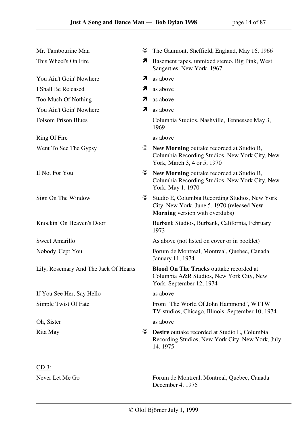| Mr. Tambourine Man                    | ☺                        | The Gaumont, Sheffield, England, May 16, 1966                                                                                         |
|---------------------------------------|--------------------------|---------------------------------------------------------------------------------------------------------------------------------------|
| This Wheel's On Fire                  | $\overline{\phantom{a}}$ | Basement tapes, unmixed stereo. Big Pink, West<br>Saugerties, New York, 1967.                                                         |
| You Ain't Goin' Nowhere               | 7                        | as above                                                                                                                              |
| I Shall Be Released                   | 71                       | as above                                                                                                                              |
| Too Much Of Nothing                   | 71                       | as above                                                                                                                              |
| You Ain't Goin' Nowhere               | 71                       | as above                                                                                                                              |
| <b>Folsom Prison Blues</b>            |                          | Columbia Studios, Nashville, Tennessee May 3,<br>1969                                                                                 |
| Ring Of Fire                          |                          | as above                                                                                                                              |
| Went To See The Gypsy                 | $_{\odot}$               | New Morning outtake recorded at Studio B,<br>Columbia Recording Studios, New York City, New<br>York, March 3, 4 or 5, 1970            |
| If Not For You                        | $\odot$                  | New Morning outtake recorded at Studio B,<br>Columbia Recording Studios, New York City, New<br>York, May 1, 1970                      |
| Sign On The Window                    | ☺                        | Studio E, Columbia Recording Studios, New York<br>City, New York, June 5, 1970 (released New<br><b>Morning</b> version with overdubs) |
| Knockin' On Heaven's Door             |                          | Burbank Studios, Burbank, California, February<br>1973                                                                                |
| Sweet Amarillo                        |                          | As above (not listed on cover or in booklet)                                                                                          |
| Nobody 'Cept You                      |                          | Forum de Montreal, Montreal, Quebec, Canada<br>January 11, 1974                                                                       |
| Lily, Rosemary And The Jack Of Hearts |                          | <b>Blood On The Tracks outtake recorded at</b><br>Columbia A&R Studios, New York City, New<br>York, September 12, 1974                |
| If You See Her, Say Hello             |                          | as above                                                                                                                              |
| Simple Twist Of Fate                  |                          | From "The World Of John Hammond", WTTW<br>TV-studios, Chicago, Illinois, September 10, 1974                                           |
| Oh, Sister                            |                          | as above                                                                                                                              |
| Rita May                              | ☺                        | <b>Desire</b> outtake recorded at Studio E, Columbia<br>Recording Studios, New York City, New York, July<br>14, 1975                  |
| $CD_3$ :                              |                          |                                                                                                                                       |
| Never Let Me Go                       |                          | Forum de Montreal, Montreal, Quebec, Canada<br>December 4, 1975                                                                       |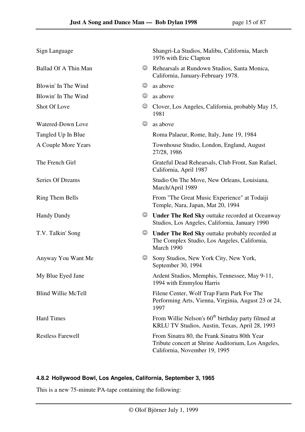| Sign Language              |            | Shangri-La Studios, Malibu, California, March<br>1976 with Eric Clapton                                                             |
|----------------------------|------------|-------------------------------------------------------------------------------------------------------------------------------------|
| Ballad Of A Thin Man       | $\odot$    | Rehearsals at Rundown Studios, Santa Monica,<br>California, January-February 1978.                                                  |
| Blowin' In The Wind        | ☺          | as above                                                                                                                            |
| Blowin' In The Wind        | ☺          | as above                                                                                                                            |
| Shot Of Love               | ☺          | Clover, Los Angeles, California, probably May 15,<br>1981                                                                           |
| Watered-Down Love          | ☺          | as above                                                                                                                            |
| Tangled Up In Blue         |            | Roma Palaeur, Rome, Italy, June 19, 1984                                                                                            |
| A Couple More Years        |            | Townhouse Studio, London, England, August<br>27/28, 1986                                                                            |
| The French Girl            |            | Grateful Dead Rehearsals, Club Front, San Rafael,<br>California, April 1987                                                         |
| Series Of Dreams           |            | Studio On The Move, New Orleans, Louisiana,<br>March/April 1989                                                                     |
| <b>Ring Them Bells</b>     |            | From "The Great Music Experience" at Todaiji<br>Temple, Nara, Japan, Mat 20, 1994                                                   |
| <b>Handy Dandy</b>         | $_{\odot}$ | <b>Under The Red Sky outtake recorded at Oceanway</b><br>Studios, Los Angeles, California, January 1990                             |
| T.V. Talkin' Song          | ☺          | <b>Under The Red Sky outtake probably recorded at</b><br>The Complex Studio, Los Angeles, California,<br>March 1990                 |
| Anyway You Want Me         | $_{\odot}$ | Sony Studios, New York City, New York,<br>September 30, 1994                                                                        |
| My Blue Eyed Jane          |            | Ardent Studios, Memphis, Tennessee, May 9-11,<br>1994 with Emmylou Harris                                                           |
| <b>Blind Willie McTell</b> |            | Filene Center, Wolf Trap Farm Park For The<br>Performing Arts, Vienna, Virginia, August 23 or 24,<br>1997                           |
| <b>Hard Times</b>          |            | From Willie Nelson's 60 <sup>th</sup> birthday party filmed at<br>KRLU TV Studios, Austin, Texas, April 28, 1993                    |
| <b>Restless Farewell</b>   |            | From Sinatra 80, the Frank Sinatra 80th Year<br>Tribute concert at Shrine Auditorium, Los Angeles,<br>California, November 19, 1995 |

### **4.8.2 Hollywood Bowl, Los Angeles, California, September 3, 1965**

This is a new 75-minute PA-tape containing the following: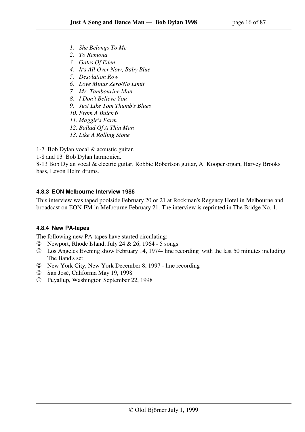- *1. She Belongs To Me*
- *2. To Ramona*
- *3. Gates Of Eden*
- *4. It's All Over Now, Baby Blue*
- *5. Desolation Row*
- *6. Love Minus Zero/No Limit*
- *7. Mr. Tambourine Man*
- *8. I Don't Believe You*
- *9. Just Like Tom Thumb's Blues*
- *10. From A Buick 6*
- *11. Maggie's Farm*
- *12. Ballad Of A Thin Man*
- *13. Like A Rolling Stone*

1-7 Bob Dylan vocal & acoustic guitar.

1-8 and 13 Bob Dylan harmonica.

8-13 Bob Dylan vocal & electric guitar, Robbie Robertson guitar, Al Kooper organ, Harvey Brooks bass, Levon Helm drums.

### **4.8.3 EON Melbourne Interview 1986**

This interview was taped poolside February 20 or 21 at Rockman's Regency Hotel in Melbourne and broadcast on EON-FM in Melbourne February 21. The interview is reprinted in The Bridge No. 1.

### **4.8.4 New PA-tapes**

The following new PA-tapes have started circulating:

- $\circledcirc$  Newport, Rhode Island, July 24 & 26, 1964 5 songs
- ☺ Los Angeles Evening show February 14, 1974- line recording with the last 50 minutes including The Band's set
- ☺ New York City, New York December 8, 1997 line recording
- ☺ San José, California May 19, 1998
- ☺ Puyallup, Washington September 22, 1998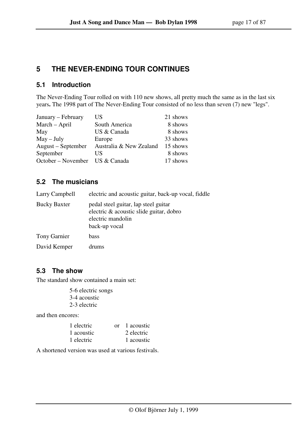## **5 THE NEVER-ENDING TOUR CONTINUES**

## **5.1 Introduction**

The Never-Ending Tour rolled on with 110 new shows, all pretty much the same as in the last six years**.** The 1998 part of The Never-Ending Tour consisted of no less than seven (7) new "legs".

| January – February | US                      | 21 shows |
|--------------------|-------------------------|----------|
| March - April      | South America           | 8 shows  |
| May                | US & Canada             | 8 shows  |
| $May - July$       | Europe                  | 33 shows |
| August – September | Australia & New Zealand | 15 shows |
| September          | US                      | 8 shows  |
| October – November | US & Canada             | 17 shows |

## **5.2 The musicians**

| Larry Campbell      | electric and acoustic guitar, back-up vocal, fiddle                                                                   |
|---------------------|-----------------------------------------------------------------------------------------------------------------------|
| <b>Bucky Baxter</b> | pedal steel guitar, lap steel guitar<br>electric & acoustic slide guitar, dobro<br>electric mandolin<br>back-up vocal |
| <b>Tony Garnier</b> | bass                                                                                                                  |
| David Kemper        | drums                                                                                                                 |

## **5.3 The show**

The standard show contained a main set:

 5-6 electric songs 3-4 acoustic 2-3 electric

and then encores:

| 1 electric | or 1 acoustic |
|------------|---------------|
| 1 acoustic | 2 electric    |
| 1 electric | 1 acoustic    |

A shortened version was used at various festivals.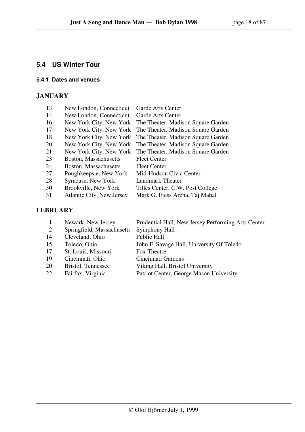## **5.4 US Winter Tour**

### **5.4.1 Dates and venues**

## **JANUARY**

| 13 | New London, Connecticut          | Garde Arts Center                  |
|----|----------------------------------|------------------------------------|
| 14 | New London, Connecticut          | Garde Arts Center                  |
| 16 | New York City, New York          | The Theater, Madison Square Garden |
| 17 | New York City, New York          | The Theater, Madison Square Garden |
| 18 | New York City, New York          | The Theater, Madison Square Garden |
| 20 | New York City, New York          | The Theater, Madison Square Garden |
| 21 | New York City, New York          | The Theater, Madison Square Garden |
| 23 | Boston, Massachusetts            | <b>Fleet Center</b>                |
| 24 | Boston, Massachusetts            | <b>Fleet Center</b>                |
| 27 | Poughkeepsie, New York           | Mid-Hudson Civic Center            |
| 28 | Syracuse, New York               | Landmark Theater                   |
| 30 | Brookville, New York             | Tilles Center, C.W. Post College   |
| 31 | <b>Atlantic City, New Jersey</b> | Mark G. Etess Arena, Taj Mahal     |
|    |                                  |                                    |

## **FEBRUARY**

|    | Newark, New Jersey         | Prudential Hall, New Jersey Performing Arts Center |
|----|----------------------------|----------------------------------------------------|
| 2  | Springfield, Massachusetts | <b>Symphony Hall</b>                               |
| 14 | Cleveland, Ohio            | <b>Public Hall</b>                                 |
| 15 | Toledo, Ohio               | John F. Savage Hall, University Of Toledo          |
| 17 | St. Louis, Missouri        | Fox Theatre                                        |
| 19 | Cincinnati, Ohio           | Cincinnati Gardens                                 |
| 20 | Bristol, Tennessee         | Viking Hall, Bristol University                    |
| 22 | Fairfax, Virginia          | Patriot Center, George Mason University            |
|    |                            |                                                    |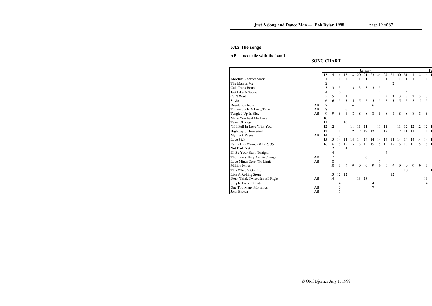### **5.4.2 The songs**

## **AB acoustic with the band**

### **SONG CHART**

|                                   |    |                |                |                |    |    |    | January |                |           |              |                |    |    |          |    |    | $F_6$ |
|-----------------------------------|----|----------------|----------------|----------------|----|----|----|---------|----------------|-----------|--------------|----------------|----|----|----------|----|----|-------|
|                                   |    | 13             | 14             | 16             | 17 | 18 | 20 | 21      | 23             | 24        | 27           | 28             | 30 | 31 | 1        | 2  | 14 |       |
| <b>Absolutely Sweet Marie</b>     |    |                |                | 1              | 1  |    |    |         |                |           | $\mathbf{1}$ |                | 1  |    |          |    |    |       |
| The Man In Me                     |    | $\overline{c}$ |                |                |    |    |    |         |                |           |              | $\overline{2}$ |    |    |          |    |    |       |
| Cold Irons Bound                  |    | 3              | 3              | 3              |    | 3  | 3  | 3       | 3              | 3         |              |                |    |    |          |    |    |       |
| Just Like A Woman                 |    | 4              |                | 10             |    |    |    |         |                | 4         |              |                |    | 4  |          |    |    |       |
| Can't Wait                        |    | 5              | 5              |                | 3  |    |    |         |                |           | 3            | 3              | 3  | 3  | 3        | 3  | 3  |       |
| Silvio                            |    | 6              | 6              | 5              | 5  | 5  | 5  | 5       | 5              | 5         | 5            | 5              | 5  | 5  | 5        | 5  | 5  |       |
| <b>Desolation Row</b>             | AB | 7              |                |                |    | 6  |    |         | 6              |           |              |                |    |    |          |    |    |       |
| Tomorrow Is A Long Time           | AB | 8              |                |                | 6  |    |    |         |                |           |              |                |    |    |          |    |    |       |
| Tangled Up In Blue                | AB | 9              | 9              | 8              | 8  | 8  | 8  | 8       | 8              | 8         | 8            | 8              | 8  | 8  | 8        | 8  | 8  |       |
| Make You Feel My Love             |    | 10             |                |                |    |    |    |         |                |           |              |                |    |    |          |    |    |       |
| <b>Tears Of Rage</b>              |    | 11             |                |                | 10 |    |    |         |                |           |              |                |    |    |          |    |    |       |
| 'Til I Fell In Love With You      |    | 12             | 12             |                |    | 11 | 11 | -11     |                | 11        | 11           |                | 11 |    | 12 12    | 12 | 12 |       |
| Highway 61 Revisited              |    | 13             |                | 11             |    | 12 | 12 | 12      | 12             | 12        | 12           |                | 12 | 11 | 11       |    | 11 |       |
| My Back Pages                     | AB | 14             |                | 13             |    |    |    |         |                |           |              |                |    |    |          |    |    |       |
| Love Sick                         |    | 15             | 15             | 14             | 14 | 14 | 14 | 14      | 14             | <b>14</b> | 14           | 14 14          |    |    | 14 14 14 |    | 14 |       |
| Rainy Day Women #12 & 35          |    | 16             | 16             | 15             | 15 | 15 | 15 | 15      | 15             | 15        | 15           | 15             | 15 | 15 | 15       | 15 | 15 |       |
| Not Dark Yet                      |    |                | $\overline{2}$ | $\overline{2}$ | 4  |    |    |         |                |           |              |                |    |    |          |    |    |       |
| I'll Be Your Baby Tonight         |    |                | 4              |                |    |    |    |         |                |           | 4            |                |    |    |          |    |    |       |
| The Times They Are A-Changin'     | AB |                | 7              |                |    |    |    | 6       |                |           |              |                |    |    |          |    |    |       |
| Love Minus Zero /No Limit         | AB |                | 8              |                |    |    |    |         |                | $\tau$    |              |                |    |    |          |    |    |       |
| <b>Million Miles</b>              |    |                | 10             | 9              | 9  | 9  | 9  | 9       | 9              | 9         | 9            | 9              | 9  | 9  | 9        | 9  | 9  |       |
| This Wheel's On Fire              |    |                | 11             |                |    |    |    |         |                |           |              |                |    | 10 |          |    |    |       |
| Like A Rolling Stone              |    |                | 13             | 12             | 12 |    |    |         |                |           |              | 12             |    |    |          |    |    |       |
| Don't Think Twice, It's All Right | AB |                | 14             |                |    |    | 13 | 13      |                |           |              |                |    |    |          |    | 13 |       |
| Simple Twist Of Fate              |    |                |                | 4              |    |    |    |         | 4              |           |              |                |    |    |          |    | 4  |       |
| One Too Many Mornings             | AB |                |                | 6              |    |    |    |         | $\overline{7}$ |           |              |                |    |    |          |    |    |       |
| John Brown                        | AB |                |                | 7              |    |    |    |         |                |           |              |                |    |    |          |    |    |       |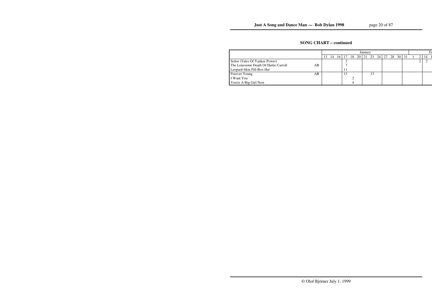## **SONG CHART – continued**

|                                      |    |    |          |  | January |          |  |  |                |  |     |  |
|--------------------------------------|----|----|----------|--|---------|----------|--|--|----------------|--|-----|--|
|                                      |    | 14 | 16 17 18 |  |         | 20 21 23 |  |  | 24 27 28 30 31 |  | -14 |  |
| Señor (Tales Of Yankee Power)        |    |    |          |  |         |          |  |  |                |  |     |  |
| The Lonesome Death Of Hattie Carroll | AВ |    |          |  |         |          |  |  |                |  |     |  |
| Leopard-Skin Pill-Box Hat            |    |    |          |  |         |          |  |  |                |  |     |  |
| Forever Young                        | AВ |    |          |  |         |          |  |  |                |  |     |  |
| I Want You                           |    |    |          |  |         |          |  |  |                |  |     |  |
| You're A Big Girl Now                |    |    |          |  |         |          |  |  |                |  |     |  |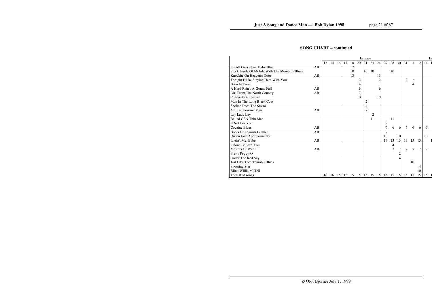### **SONG CHART – continued**

|                                               |    |    |     |    |    |    |                | January                  |       |                |                |                |                |                |                |                | $F_6$ |
|-----------------------------------------------|----|----|-----|----|----|----|----------------|--------------------------|-------|----------------|----------------|----------------|----------------|----------------|----------------|----------------|-------|
|                                               |    | 13 | 14  | 16 | 17 | 18 | 20             | 21                       | 23    | 24             | 27             | 28             | 30             | 31             |                | $\overline{2}$ | 14    |
| It's All Over Now, Baby Blue                  | AB |    |     |    |    | 7  |                |                          |       |                |                |                |                |                |                |                |       |
| Stuck Inside Of Mobile With The Memphis Blues |    |    |     |    |    | 10 |                | 10                       | - 10  |                |                | 10             |                |                |                |                |       |
| Knockin' On Heaven's Door                     | AB |    |     |    |    | 13 |                |                          |       | 13             |                |                |                |                |                |                |       |
| Tonight I'll Be Staying Here With You         |    |    |     |    |    |    | $\overline{c}$ |                          |       | $\overline{2}$ |                |                |                | $\overline{2}$ | $\overline{2}$ |                |       |
| Born In Time                                  |    |    |     |    |    |    | 4              |                          |       |                |                |                |                |                | 4              |                |       |
| A Hard Rain's A-Gonna Fall                    | AB |    |     |    |    |    | 6              |                          |       | 6              |                |                |                |                |                |                |       |
| Girl From The North Country                   | AB |    |     |    |    |    | 7              |                          |       |                |                |                |                |                |                |                |       |
| Positively 4th Street                         |    |    |     |    |    |    | 10             |                          |       | 10             |                |                |                |                |                |                |       |
| Man In The Long Black Coat                    |    |    |     |    |    |    |                | 2                        |       |                |                |                |                |                |                |                |       |
| Shelter From The Storm                        |    |    |     |    |    |    |                | $\overline{\mathcal{L}}$ |       |                |                |                |                |                |                |                |       |
| Mr. Tambourine Man                            | AB |    |     |    |    |    |                | 7                        |       |                |                |                |                |                |                |                |       |
| Lay Lady Lay                                  |    |    |     |    |    |    |                |                          | 2     |                |                |                |                |                |                |                |       |
| <b>Ballad Of A Thin Man</b>                   |    |    |     |    |    |    |                |                          | 11    |                |                | 11             |                |                |                |                |       |
| If Not For You                                |    |    |     |    |    |    |                |                          |       |                | $\overline{c}$ |                |                |                |                |                |       |
| Cocaine Blues                                 | AB |    |     |    |    |    |                |                          |       |                | 6              | 6              | 6              | 6              | 6              | 6              | 6     |
| Boots Of Spanish Leather                      | AB |    |     |    |    |    |                |                          |       |                | $\overline{7}$ |                |                |                |                |                |       |
| Queen Jane Approximately                      |    |    |     |    |    |    |                |                          |       |                | 10             |                | 10             |                |                |                | 10    |
| It Ain't Me, Babe                             | AB |    |     |    |    |    |                |                          |       |                | 13             | 13             | 13             | 13             | 13             | 13             |       |
| I Don't Believe You                           |    |    |     |    |    |    |                |                          |       |                |                | 4              |                |                |                |                |       |
| Masters Of War                                | AB |    |     |    |    |    |                |                          |       |                |                | $\overline{7}$ | 7              | 7              | 7              | 7              | 7     |
| Pretty Peggy-O                                |    |    |     |    |    |    |                |                          |       |                |                |                | $\mathbf{2}$   |                |                |                |       |
| Under The Red Sky                             |    |    |     |    |    |    |                |                          |       |                |                |                | $\overline{4}$ |                |                |                |       |
| Just Like Tom Thumb's Blues                   |    |    |     |    |    |    |                |                          |       |                |                |                |                |                | 10             |                |       |
| <b>Shooting Star</b>                          |    |    |     |    |    |    |                |                          |       |                |                |                |                |                |                | 4              |       |
| <b>Blind Willie McTell</b>                    |    |    |     |    |    |    |                |                          |       |                |                |                |                |                |                | 10             |       |
| Total # of songs                              |    | 16 | -16 | 15 | 15 | 15 | 15             |                          | 15 15 | 15             | 15             | 15             | 15             | 15             | 15             | 15             | 15    |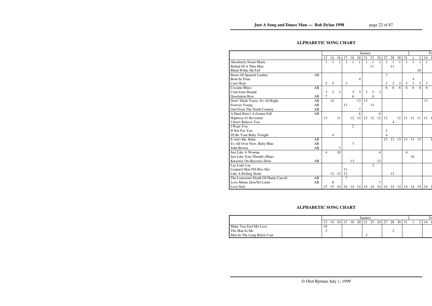## **ALPHABETIC SONG CHART**

|                                      |    |                |    |           |                |                |    | January |                   |    |                |                |                |              |              |                | $F\epsilon$ |
|--------------------------------------|----|----------------|----|-----------|----------------|----------------|----|---------|-------------------|----|----------------|----------------|----------------|--------------|--------------|----------------|-------------|
|                                      |    | 13             | 14 | 16        | 17             | 18             | 20 | 21      | 23                | 24 | 27             | 28             | 30             | 31           |              | $\overline{c}$ | 14          |
| <b>Absolutely Sweet Marie</b>        |    |                |    | 1         | $\mathbf{1}$   |                | 1  |         | 1                 |    | 1              | $\mathbf{1}$   | 1              | $\mathbf{1}$ | $\mathbf{1}$ | 1              |             |
| Ballad Of A Thin Man                 |    |                |    |           |                |                |    |         | 11                |    |                | 11             |                |              |              |                |             |
| <b>Blind Willie McTell</b>           |    |                |    |           |                |                |    |         |                   |    |                |                |                |              |              | 10             |             |
| Boots Of Spanish Leather             | AB |                |    |           |                |                |    |         |                   |    | 7              |                |                |              |              |                |             |
| Born In Time                         |    |                |    |           |                |                | 4  |         |                   |    |                |                |                |              | 4            |                |             |
| Can't Wait                           |    | 5              | 5  |           | 3              |                |    |         |                   |    | 3              | $\mathfrak{Z}$ | $\mathfrak{Z}$ | 3            | 3            | 3              | 3           |
| <b>Cocaine Blues</b>                 | AB |                |    |           |                |                |    |         |                   |    | 6              | 6              | $\overline{6}$ | 6            | 6            | 6              | 6           |
| Cold Irons Bound                     |    | 3              | 3  | 3         |                | 3              | 3  | 3       | 3                 | 3  |                |                |                |              |              |                |             |
| <b>Desolation Row</b>                | AB | 7              |    |           |                | 6              |    |         | 6                 |    |                |                |                |              |              |                |             |
| Don't Think Twice, It's All Right    | AB |                | 14 |           |                |                | 13 | 13      |                   |    |                |                |                |              |              |                | 13          |
| Forever Young                        | AB |                |    |           | 13             |                |    |         | 13                |    |                |                |                |              |              |                |             |
| Girl From The North Country          | AB |                |    |           |                |                | 7  |         |                   |    |                |                |                |              |              |                |             |
| A Hard Rain's A-Gonna Fall           | AB |                |    |           |                |                | 6  |         |                   | 6  |                |                |                |              |              |                |             |
| Highway 61 Revisited                 |    | 13             |    | 11        |                | 12             | 12 | 12      | 12                | 12 | 12             |                | 12             | 11           | 11           | -11            | 11          |
| I Don't Believe You                  |    |                |    |           |                |                |    |         |                   |    |                | 4              |                |              |              |                |             |
| <b>I</b> Want You                    |    |                |    |           |                | $\overline{2}$ |    |         |                   |    |                |                |                |              |              |                |             |
| If Not For You                       |    |                |    |           |                |                |    |         |                   |    | $\overline{c}$ |                |                |              |              |                |             |
| I'll Be Your Baby Tonight            |    |                | 4  |           |                |                |    |         |                   |    | 4              |                |                |              |              |                |             |
| It Ain't Me, Babe                    | AB |                |    |           |                |                |    |         |                   |    | 13             | 13             | 13             | 13           | 13           | 13             |             |
| It's All Over Now, Baby Blue         | AB |                |    |           |                | 7              |    |         |                   |    |                |                |                |              |              |                |             |
| John Brown                           | AB |                |    | 7         |                |                |    |         |                   |    |                |                |                |              |              |                |             |
| Just Like A Woman                    |    | $\overline{4}$ |    | 10        |                |                |    |         |                   | 4  |                |                |                | 4            |              |                |             |
| <b>Just Like Tom Thumb's Blues</b>   |    |                |    |           |                |                |    |         |                   |    |                |                |                |              | 10           |                |             |
| Knockin' On Heaven's Door            | AB |                |    |           |                | 13             |    |         |                   | 13 |                |                |                |              |              |                |             |
| Lay Lady Lay                         |    |                |    |           |                |                |    |         | $\overline{2}$    |    |                |                |                |              |              |                |             |
| Leopard-Skin Pill-Box Hat            |    |                |    |           | 11             |                |    |         |                   |    |                |                |                |              |              |                |             |
| Like A Rolling Stone                 |    |                | 13 | 12        | 12             |                |    |         |                   |    |                | 12             |                |              |              |                |             |
| The Lonesome Death Of Hattie Carroll | AB |                |    |           | $\overline{7}$ |                |    |         |                   |    |                |                |                |              |              |                |             |
| Love Minus Zero/No Limit             | AB |                | 8  |           |                |                |    |         |                   | 7  |                |                |                |              |              |                |             |
| Love Sick                            |    | 15             | 15 | $14 \mid$ |                |                |    |         | 14 14 14 14 14 14 |    |                | 14 14 14       |                |              |              | 14 14 14       | 14          |

## **ALPHABETIC SONG CHART**

|                            |    |    |    |    |    |      | January |    |       |    |                  |    |  |  |
|----------------------------|----|----|----|----|----|------|---------|----|-------|----|------------------|----|--|--|
|                            |    | 14 | 16 | 17 | 18 | 20 l | 21      | 23 | 24 27 | 28 | 30 <sup>-1</sup> | 31 |  |  |
| Make You Feel My Love      | 10 |    |    |    |    |      |         |    |       |    |                  |    |  |  |
| The Man In Me              |    |    |    |    |    |      |         |    |       |    |                  |    |  |  |
| Man In The Long Black Coat |    |    |    |    |    |      |         |    |       |    |                  |    |  |  |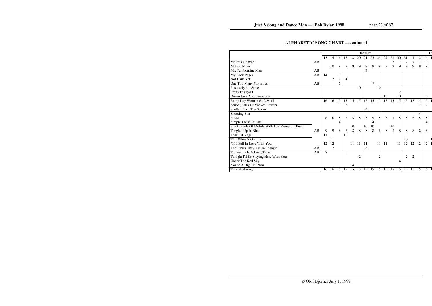## **ALPHABETIC SONG CHART – continued**

|                                               |    |    |    |                |                |    |                | January |    |                |    |    |                |                |                |                |                | $F_6$ |
|-----------------------------------------------|----|----|----|----------------|----------------|----|----------------|---------|----|----------------|----|----|----------------|----------------|----------------|----------------|----------------|-------|
|                                               |    | 13 | 14 | 16             | 17             | 18 | 20             | 21      | 23 | 24             | 27 | 28 | 30             | 31             |                | $\overline{c}$ | 14             |       |
| Masters Of War                                | AB |    |    |                |                |    |                |         |    |                |    | 7  | $\tau$         | $\overline{7}$ | $\overline{7}$ | 7              | 7              |       |
| <b>Million Miles</b>                          |    |    | 10 | 9              | 9              | 9  | 9              | 9       | 9  | $\mathbf Q$    | 9  | 9  | 9              | 9              | 9              | 9              | 9              |       |
| Mr. Tambourine Man                            | AB |    |    |                |                |    |                | 7       |    |                |    |    |                |                |                |                |                |       |
| My Back Pages                                 | AB | 14 |    | 13             |                |    |                |         |    |                |    |    |                |                |                |                |                |       |
| Not Dark Yet                                  |    |    | 2  | $\overline{c}$ | $\overline{4}$ |    |                |         |    |                |    |    |                |                |                |                |                |       |
| One Too Many Mornings                         | AB |    |    | 6              |                |    |                |         | 7  |                |    |    |                |                |                |                |                |       |
| Positively 4th Street                         |    |    |    |                |                |    | 10             |         |    | 10             |    |    |                |                |                |                |                |       |
| Pretty Peggy-O                                |    |    |    |                |                |    |                |         |    |                |    |    | $\overline{c}$ |                |                |                |                |       |
| Queen Jane Approximately                      |    |    |    |                |                |    |                |         |    |                | 10 |    | 10             |                |                |                | 10             |       |
| Rainy Day Women # 12 & 35                     |    | 16 | 16 | 15             | 15             | 15 | 15             | 15      | 15 | 15             | 15 | 15 | 15             | 15             | 15             | 15             | 15             |       |
| Señor (Tales Of Yankee Power)                 |    |    |    |                | $\overline{2}$ |    |                |         |    |                |    |    |                |                |                | 2              | $\overline{2}$ |       |
| Shelter From The Storm                        |    |    |    |                |                |    |                | 4       |    |                |    |    |                |                |                |                |                |       |
| <b>Shooting Star</b>                          |    |    |    |                |                |    |                |         |    |                |    |    |                |                |                | 4              |                |       |
| Silvio                                        |    | 6  | 6  | 5              | 5              | 5  | 5              | 5       | 5  | 5              | 5  | 5  | 5              | 5              | 5              | 5              | 5              |       |
| Simple Twist Of Fate                          |    |    |    | 4              |                |    |                |         | 4  |                |    |    |                |                |                |                | 4              |       |
| Stuck Inside Of Mobile With The Memphis Blues |    |    |    |                |                | 10 |                | 10      | 10 |                |    | 10 |                |                |                |                |                |       |
| Tangled Up In Blue                            | AB | 9  | 9  | 8              | 8              | 8  | 8              | 8       | 8  | 8              | 8  | 8  | 8              | 8              | 8              | 8              | 8              |       |
| <b>Tears Of Rage</b>                          |    | 11 |    |                | 10             |    |                |         |    |                |    |    |                |                |                |                |                |       |
| This Wheel's On Fire                          |    |    | 11 |                |                |    |                |         |    |                |    |    |                | 10             |                |                |                |       |
| 'Til I Fell In Love With You                  |    | 12 | 12 |                |                | 11 | 11             | 11      |    | 11             | 11 |    | 11             | 12             | 12             | 12             | 12             |       |
| The Times They Are A-Changin'                 | AB |    | 7  |                |                |    |                | 6       |    |                |    |    |                |                |                |                |                |       |
| Tomorrow Is A Long Time                       | AB | 8  |    |                | 6              |    |                |         |    |                |    |    |                |                |                |                |                |       |
| Tonight I'll Be Staying Here With You         |    |    |    |                |                |    | $\overline{2}$ |         |    | $\overline{2}$ |    |    |                | 2              | $\overline{c}$ |                |                |       |
| Under The Red Sky                             |    |    |    |                |                |    |                |         |    |                |    |    | 4              |                |                |                |                |       |
| You're A Big Girl Now                         |    |    |    |                |                | 4  |                |         |    |                |    |    |                |                |                |                |                |       |
| Total # of songs                              |    | 16 | 16 | 15             | 15             | 15 | 15             | 15      | 15 | 15             | 15 | 15 | 15             | 15             | 15             | 15             | 15             |       |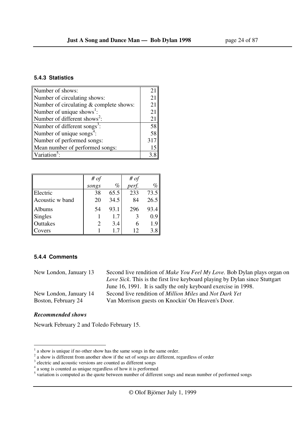| Number of shows:                         | 21  |
|------------------------------------------|-----|
| Number of circulating shows:             | 21  |
| Number of circulating & complete shows:  | 21  |
| Number of unique shows <sup>1</sup> :    | 21  |
| Number of different shows <sup>2</sup> : | 21  |
| Number of different songs <sup>3</sup> : | 58  |
| Number of unique songs <sup>4</sup> :    | 58  |
| Number of performed songs:               | 317 |
| Mean number of performed songs:          | 15  |
| Variation                                | 3 R |

|                 | # of  |      | # $of$ |      |
|-----------------|-------|------|--------|------|
|                 | songs | %    | perf.  | $\%$ |
| Electric        | 38    | 65.5 | 233    | 73.5 |
| Acoustic w band | 20    | 34.5 | 84     | 26.5 |
| Albums          | 54    | 93.1 | 296    | 93.4 |
| Singles         |       | 1.7  |        | 0.9  |
| Outtakes        |       | 3.4  | 6      | 1.9  |
| Covers          |       | 17   | 12     | 3.8  |

### **5.4.4 Comments**

| New London, January 13 | Second live rendition of <i>Make You Feel My Love</i> . Bob Dylan plays organ on |
|------------------------|----------------------------------------------------------------------------------|
|                        | Love Sick. This is the first live keyboard playing by Dylan since Stuttgart      |
|                        | June 16, 1991. It is sadly the only keyboard exercise in 1998.                   |
| New London, January 14 | Second live rendition of <i>Million Miles</i> and <i>Not Dark Yet</i>            |
| Boston, February 24    | Van Morrison guests on Knockin' On Heaven's Door.                                |
|                        |                                                                                  |

### *Recommended shows*

-

Newark February 2 and Toledo February 15.

 $<sup>1</sup>$  a show is unique if no other show has the same songs in the same order.</sup>

 $2$  a show is different from another show if the set of songs are different, regardless of order

<sup>&</sup>lt;sup>3</sup> electric and acoustic versions are counted as different songs<br>  $A^4$  a song is counted as unique regardless of how it is performed<br>  $B^5$  variation is computed as the quote between number of different songs and mean n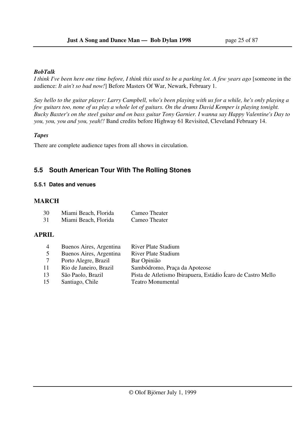### *BobTalk*

*I think I've been here one time before, I think this used to be a parking lot. A few years ago* [someone in the audience: *It ain't so bad now!*] Before Masters Of War, Newark, February 1.

*Say hello to the guitar player: Larry Campbell, who's been playing with us for a while, he's only playing a few guitars too, none of us play a whole lot of guitars. On the drums David Kemper is playing tonight. Bucky Baxter's on the steel guitar and on bass guitar Tony Garnier. I wanna say Happy Valentine's Day to you, you, you and you, yeah!!* Band credits before Highway 61 Revisited, Cleveland February 14.

### *Tapes*

There are complete audience tapes from all shows in circulation.

## **5.5 South American Tour With The Rolling Stones**

### **5.5.1 Dates and venues**

### **MARCH**

| 30 | Miami Beach, Florida | Cameo Theater |
|----|----------------------|---------------|
| 31 | Miami Beach, Florida | Cameo Theater |

### **APRIL**

| 4  | Buenos Aires, Argentina | <b>River Plate Stadium</b>                                   |
|----|-------------------------|--------------------------------------------------------------|
|    | Buenos Aires, Argentina | <b>River Plate Stadium</b>                                   |
|    | Porto Alegre, Brazil    | Bar Opinião                                                  |
| 11 | Rio de Janeiro, Brazil  | Sambódromo, Praça da Apoteose                                |
| 13 | São Paolo, Brazil       | Pista de Atletismo Ibirapuera, Estádio Ícaro de Castro Mello |
| 15 | Santiago, Chile         | <b>Teatro Monumental</b>                                     |
|    |                         |                                                              |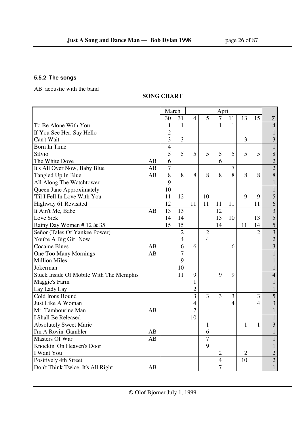## **5.5.2 The songs**

AB acoustic with the band

### **SONG CHART**

|                                         |    | March          |                | April          |                |                |                |                |                |                         |
|-----------------------------------------|----|----------------|----------------|----------------|----------------|----------------|----------------|----------------|----------------|-------------------------|
|                                         |    | 30             | 31             | $\overline{4}$ | 5              | $\tau$         | 11             | 13             | 15             | $\Sigma$                |
| To Be Alone With You                    |    | $\mathbf{1}$   | $\mathbf{1}$   |                |                | 1              | 1              |                |                | $\overline{4}$          |
| If You See Her, Say Hello               |    | $\overline{2}$ |                |                |                |                |                |                |                | $\mathbf{1}$            |
| Can't Wait                              |    | 3              | 3              |                |                |                |                | 3              |                | $\overline{\mathbf{3}}$ |
| Born In Time                            |    | $\overline{4}$ |                |                |                |                |                |                |                | $\mathbf{1}$            |
| Silvio                                  |    | 5              | 5              | 5              | 5              | 5              | 5              | 5              | 5              | $8\,$                   |
| The White Dove                          | AB | 6              |                |                |                | 6              |                |                |                | $\frac{2}{2}$           |
| It's All Over Now, Baby Blue            | AB | $\overline{7}$ |                |                |                |                | 7              |                |                |                         |
| Tangled Up In Blue                      | AB | 8              | 8              | 8              | 8              | 8              | 8              | 8              | 8              | 8                       |
| All Along The Watchtower                |    | 9              |                |                |                |                |                |                |                | $\mathbf 1$             |
| Queen Jane Approximately                |    | 10             |                |                |                |                |                |                |                | $\mathbf{1}$            |
| 'Til I Fell In Love With You            |    | 11             | 12             |                | 10             |                |                | 9              | 9              | 5                       |
| Highway 61 Revisited                    |    | 12             |                | 11             | 11             | 11             | 11             |                | 11             | 6                       |
| It Ain't Me, Babe                       | AB | 13             | 13             |                |                | 12             |                |                |                | $\overline{\mathbf{3}}$ |
| Love Sick                               |    | 14             | 14             |                |                | 13             | 10             |                | 13             | 5                       |
| Rainy Day Women # 12 $&$ 35             |    | 15             | 15             |                |                | 14             |                | 11             | 14             | 5                       |
| Señor (Tales Of Yankee Power)           |    |                | $\overline{2}$ |                | $\overline{2}$ |                |                |                | $\overline{2}$ | $\overline{\mathbf{3}}$ |
| You're A Big Girl Now                   |    |                | 4              |                | $\overline{4}$ |                |                |                |                | $\overline{2}$          |
| <b>Cocaine Blues</b>                    | AB |                | 6              | 6              |                |                | 6              |                |                | $\overline{\mathbf{3}}$ |
| One Too Many Mornings                   | AB |                | $\overline{7}$ |                |                |                |                |                |                | $\mathbf{1}$            |
| <b>Million Miles</b>                    |    |                | 9              |                |                |                |                |                |                | $\mathbf{1}$            |
| Jokerman                                |    |                | 10             |                |                |                |                |                |                | $\mathbf{1}$            |
| Stuck Inside Of Mobile With The Memphis |    |                | 11             | 9              |                | 9              | 9              |                |                | $\overline{4}$          |
| Maggie's Farm                           |    |                |                | 1              |                |                |                |                |                | $\mathbf{1}$            |
| Lay Lady Lay                            |    |                |                | $\overline{2}$ |                |                |                |                |                | $\mathbf{1}$            |
| Cold Irons Bound                        |    |                |                | $\overline{3}$ | $\overline{3}$ | $\overline{3}$ | 3              |                | $\overline{3}$ | $\overline{5}$          |
| Just Like A Woman                       |    |                |                | $\overline{4}$ |                |                | $\overline{4}$ |                | $\overline{4}$ | $\overline{3}$          |
| Mr. Tambourine Man                      | AB |                |                | 7              |                |                |                |                |                | $\mathbf{1}$            |
| I Shall Be Released                     |    |                |                | 10             |                |                |                |                |                | $\mathbf{1}$            |
| <b>Absolutely Sweet Marie</b>           |    |                |                |                | 1              |                |                | 1              | 1              | $\overline{3}$          |
| I'm A Rovin' Gambler                    | AB |                |                |                | 6              |                |                |                |                | $\mathbf{1}$            |
| Masters Of War                          | AB |                |                |                | $\overline{7}$ |                |                |                |                | $\mathbf{1}$            |
| Knockin' On Heaven's Door               |    |                |                |                | 9              |                |                |                |                | $\mathbf{1}$            |
| I Want You                              |    |                |                |                |                | 2              |                | $\overline{2}$ |                | $\overline{c}$          |
| Positively 4th Street                   |    |                |                |                |                | $\overline{4}$ |                | 10             |                | $\overline{2}$          |
| Don't Think Twice, It's All Right       | AB |                |                |                |                | $\overline{7}$ |                |                |                | $\mathbf{1}$            |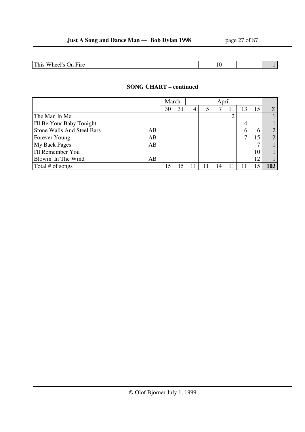| This<br>$\! \cdot$<br>'Jn Fire<br>Wheel's C |  |  |
|---------------------------------------------|--|--|
|---------------------------------------------|--|--|

### **SONG CHART – continued**

|                                  | March |    | April |  |  |  |    |                |
|----------------------------------|-------|----|-------|--|--|--|----|----------------|
|                                  | 30    | 31 | 4     |  |  |  | 15 | Σ              |
| The Man In Me                    |       |    |       |  |  |  |    |                |
| I'll Be Your Baby Tonight        |       |    |       |  |  |  |    |                |
| Stone Walls And Steel Bars<br>AB |       |    |       |  |  |  | h  | $\overline{2}$ |
| AB<br>Forever Young              |       |    |       |  |  |  | 15 | $\overline{2}$ |
| <b>My Back Pages</b><br>AB       |       |    |       |  |  |  |    |                |
| I'll Remember You                |       |    |       |  |  |  | 10 |                |
| Blowin' In The Wind<br>AB        |       |    |       |  |  |  | 12 |                |
| Total # of songs                 |       |    |       |  |  |  |    | 103            |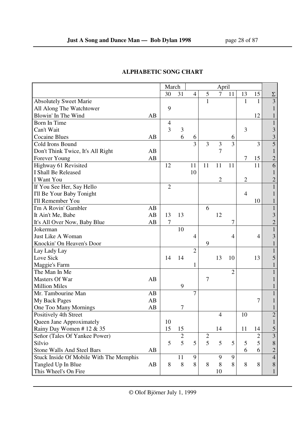|                                         |    | March          |                | April          |                |                |                |                |                |                |
|-----------------------------------------|----|----------------|----------------|----------------|----------------|----------------|----------------|----------------|----------------|----------------|
|                                         |    | 30             | 31             | $\overline{4}$ | 5              | $\overline{7}$ | 11             | 13             | 15             | Σ              |
| <b>Absolutely Sweet Marie</b>           |    |                |                |                | $\mathbf{1}$   |                |                | 1              | $\mathbf{1}$   | 3              |
| All Along The Watchtower                |    | 9              |                |                |                |                |                |                |                |                |
| Blowin' In The Wind                     | AB |                |                |                |                |                |                |                | 12             |                |
| Born In Time                            |    | $\overline{4}$ |                |                |                |                |                |                |                | $\mathbf{1}$   |
| Can't Wait                              |    | 3              | 3              |                |                |                |                | 3              |                | 3              |
| <b>Cocaine Blues</b>                    | AB |                | 6              | 6              |                |                | 6              |                |                | $\overline{3}$ |
| Cold Irons Bound                        |    |                |                | 3              | 3              | 3              | $\overline{3}$ |                | 3              | $\overline{5}$ |
| Don't Think Twice, It's All Right       | AB |                |                |                |                | $\overline{7}$ |                |                |                | 1              |
| Forever Young                           | AB |                |                |                |                |                |                | $\tau$         | 15             | $\overline{c}$ |
| Highway 61 Revisited                    |    | 12             |                | 11             | 11             | 11             | 11             |                | 11             | $\overline{6}$ |
| I Shall Be Released                     |    |                |                | 10             |                |                |                |                |                |                |
| I Want You                              |    |                |                |                |                | $\overline{2}$ |                | $\overline{2}$ |                | $\overline{c}$ |
| If You See Her, Say Hello               |    | $\overline{2}$ |                |                |                |                |                |                |                | $\mathbf{1}$   |
| I'll Be Your Baby Tonight               |    |                |                |                |                |                |                | $\overline{4}$ |                |                |
| <b>I'll Remember You</b>                |    |                |                |                |                |                |                |                | 10             |                |
| I'm A Rovin' Gambler                    | AB |                |                |                | 6              |                |                |                |                | $\mathbf{1}$   |
| It Ain't Me, Babe                       | AB | 13             | 13             |                |                | 12             |                |                |                | 3              |
| It's All Over Now, Baby Blue            | AB | 7              |                |                |                |                | 7              |                |                | $\overline{c}$ |
| Jokerman                                |    |                | 10             |                |                |                |                |                |                | $\mathbf{1}$   |
| Just Like A Woman                       |    |                |                | $\overline{4}$ |                |                | $\overline{4}$ |                | $\overline{4}$ | 3              |
| Knockin' On Heaven's Door               |    |                |                |                | 9              |                |                |                |                |                |
| Lay Lady Lay                            |    |                |                | $\overline{2}$ |                |                |                |                |                | 1              |
| Love Sick                               |    | 14             | 14             |                |                | 13             | 10             |                | 13             | 5              |
| Maggie's Farm                           |    |                |                | 1              |                |                |                |                |                |                |
| The Man In Me                           |    |                |                |                |                |                | $\overline{2}$ |                |                |                |
| Masters Of War                          | AB |                |                |                | 7              |                |                |                |                |                |
| <b>Million Miles</b>                    |    |                | 9              |                |                |                |                |                |                |                |
| Mr. Tambourine Man                      | AB |                |                | 7              |                |                |                |                |                |                |
| <b>My Back Pages</b>                    | AB |                |                |                |                |                |                |                | 7              |                |
| One Too Many Mornings                   | AB |                | 7              |                |                |                |                |                |                |                |
| Positively 4th Street                   |    |                |                |                |                | $\overline{4}$ |                | 10             |                | $\overline{c}$ |
| Queen Jane Approximately                |    | 10             |                |                |                |                |                |                |                | $\mathbf{1}$   |
| Rainy Day Women #12 & 35                |    | 15             | 15             |                |                | 14             |                | 11             | 14             | 5              |
| Señor (Tales Of Yankee Power)           |    |                | $\overline{2}$ |                | $\overline{2}$ |                |                |                | 2              | $\overline{3}$ |
| Silvio                                  |    | 5              | 5              | 5              | $\overline{5}$ | 5              | 5              | 5              | 5              | 8              |
| <b>Stone Walls And Steel Bars</b>       | AB |                |                |                |                |                |                | 6              | 6              | $\overline{c}$ |
| Stuck Inside Of Mobile With The Memphis |    |                | 11             | 9              |                | 9              | 9              |                |                | $\overline{4}$ |
| Tangled Up In Blue                      | AB | 8              | 8              | 8              | 8              | 8              | 8              | 8              | 8              | 8              |
| This Wheel's On Fire                    |    |                |                |                |                | 10             |                |                |                | $\mathbf{1}$   |

## **ALPHABETIC SONG CHART**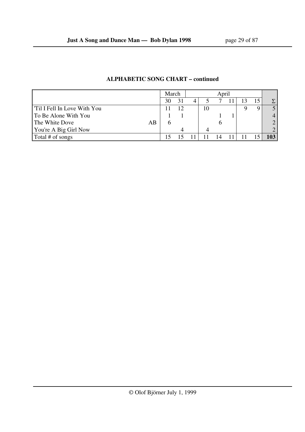|                             | April<br>March |  |  |    |  |  |                  |
|-----------------------------|----------------|--|--|----|--|--|------------------|
|                             | 30             |  |  |    |  |  | $\Sigma_{\perp}$ |
| Til I Fell In Love With You |                |  |  | 10 |  |  |                  |
| To Be Alone With You        |                |  |  |    |  |  |                  |
| The White Dove<br>AB        |                |  |  |    |  |  | ◠                |
| You're A Big Girl Now       |                |  |  |    |  |  |                  |
| Total # of songs            |                |  |  |    |  |  |                  |

### **ALPHABETIC SONG CHART – continued**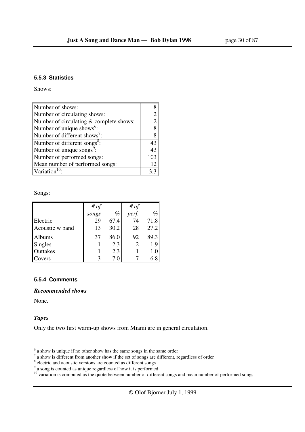### **5.5.3 Statistics**

Shows:

| Number of shows:                         |     |
|------------------------------------------|-----|
| Number of circulating shows:             |     |
| Number of circulating & complete shows:  | 2   |
| Number of unique shows <sup>6</sup> :    | 8   |
| Number of different shows':              | 8   |
| Number of different songs <sup>8</sup> : | 43  |
| Number of unique songs <sup>9</sup> :    | 43  |
| Number of performed songs:               | 103 |
| Mean number of performed songs:          |     |
| Variation <sup>10</sup>                  |     |

Songs:

|                 | # $of$ |      | # $of$ |      |
|-----------------|--------|------|--------|------|
|                 | songs  | $\%$ | perf.  | %    |
| Electric        | 29     | 67.4 | 74     | 71.8 |
| Acoustic w band | 13     | 30.2 | 28     | 27.2 |
| Albums          | 37     | 86.0 | 92     | 89.3 |
| <b>Singles</b>  |        | 2.3  |        | 1.9  |
| Outtakes        |        | 2.3  |        |      |
| Covers          |        | 7.0  |        |      |

### **5.5.4 Comments**

*Recommended shows*

None.

### *Tapes*

Only the two first warm-up shows from Miami are in general circulation.

 $\frac{1}{6}$  a show is unique if no other show has the same songs in the same order<br>
<sup>7</sup> a show is different from another show if the set of songs are different, regardless of order<br>
<sup>8</sup> electric and acoustic versions are co

<sup>&</sup>lt;sup>10</sup> variation is computed as the quote between number of different songs and mean number of performed songs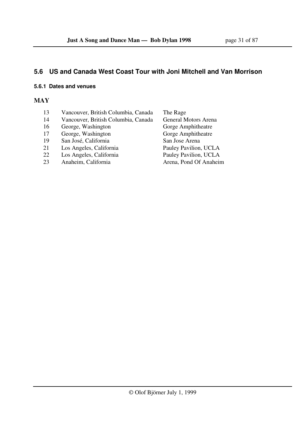## **5.6 US and Canada West Coast Tour with Joni Mitchell and Van Morrison**

### **5.6.1 Dates and venues**

### **MAY**

- 13 Vancouver, British Columbia, Canada The Rage
- 
- 16 George, Washington
- 17 George, Washington Gorge Amphitheatre
- 19 San José, California San Jose Arena
- 21 Los Angeles, California Pauley Pavilion, UCLA
- 
- 23 Anaheim, California Arena, Pond Of Anaheim

14 Vancouver, British Columbia, Canada General Motors Arena<br>16 George, Washington Gorge Amphitheatre 22 Los Angeles, California Pauley Pavilion, UCLA<br>23 Anaheim. California Arena. Pond Of Anaheir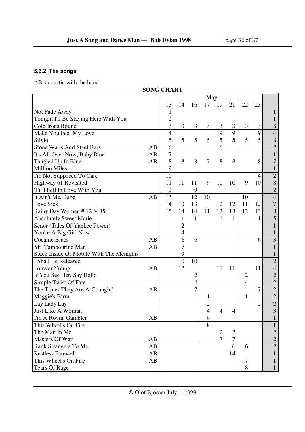### **5.6.2 The songs**

AB acoustic with the band

|                                         | <b>SONG CHART</b> |                |                |                |                |                |                |                |                  |                |
|-----------------------------------------|-------------------|----------------|----------------|----------------|----------------|----------------|----------------|----------------|------------------|----------------|
|                                         |                   |                |                |                | May            |                |                |                |                  |                |
|                                         |                   | 13             | 14             | 16             | 17             | 19             | 21             | 22             | 23               |                |
| Not Fade Away                           |                   | $\mathbf{1}$   |                |                |                |                |                |                |                  | 1              |
| Tonight I'll Be Staying Here With You   |                   | $\overline{c}$ |                |                |                |                |                |                |                  | $\mathbf{1}$   |
| Cold Irons Bound                        |                   | 3              | 3              | 3              | $\overline{3}$ | 3              | 3              | 3              | 3                | 8              |
| Make You Feel My Love                   |                   | $\overline{4}$ |                |                |                | 9              | 9              |                | 9                | $\overline{4}$ |
| Silvio                                  |                   | 5              | 5              | 5              | 5              | 5              | 5              | 5              | 5                | $\,8$          |
| <b>Stone Walls And Steel Bars</b>       | AB                | 6              |                |                |                | 6              |                |                |                  | $\overline{c}$ |
| It's All Over Now, Baby Blue            | AB                | 7              |                |                |                |                |                |                |                  | $\mathbf{1}$   |
| Tangled Up In Blue                      | AB                | 8              | 8              | 8              | $\overline{7}$ | 8              | 8              |                | 8                | 7              |
| <b>Million Miles</b>                    |                   | 9              |                |                |                |                |                |                |                  | $\mathbf{1}$   |
| I'm Not Supposed To Care                |                   | 10             |                |                |                |                |                |                | 4                | $\overline{c}$ |
| Highway 61 Revisited                    |                   | 11             | 11             | 11             | 9              | 10             | 10             | 9              | 10               | 8              |
| 'Til I Fell In Love With You            |                   | 12             |                | 9              |                |                |                |                |                  | $\overline{c}$ |
| It Ain't Me, Babe                       | AB                | 13             |                | 12             | 10             |                |                | 10             |                  | $\overline{4}$ |
| Love Sick                               |                   | 14             | 13             | 13             |                | 12             | 12             | 11             | 12               | 7              |
| Rainy Day Women #12 & 35                |                   | 15             | 14             | 14             | 11             | 13             | 13             | 12             | 13               | $\, 8$         |
| <b>Absolutely Sweet Marie</b>           |                   |                | $\mathbf{1}$   | 1              |                | 1              | $\mathbf{1}$   |                | 1                | 5              |
| Señor (Tales Of Yankee Power)           |                   |                | $\overline{c}$ |                |                |                |                |                |                  |                |
| You're A Big Girl Now                   |                   |                | $\overline{4}$ |                |                |                |                |                |                  |                |
| <b>Cocaine Blues</b>                    | AB                |                | 6              | 6              |                |                |                |                | 6                | $\overline{3}$ |
| Mr. Tambourine Man                      | AB                |                | 7              |                |                |                |                |                |                  |                |
| Stuck Inside Of Mobile With The Memphis |                   |                | 9              |                |                |                |                |                |                  |                |
| I Shall Be Released                     |                   |                | 10             | 10             |                |                |                |                |                  | $\overline{2}$ |
| Forever Young                           | AB                |                | 12             |                |                | 11             | 11             |                | 11               | $\overline{4}$ |
| If You See Her, Say Hello               |                   |                |                | 2              |                |                |                | 2              |                  | $\overline{c}$ |
| Simple Twist Of Fate                    |                   |                |                | $\overline{4}$ |                |                |                | $\overline{4}$ |                  | $\overline{2}$ |
| The Times They Are A-Changin'           | AB                |                |                | 7              |                |                |                |                | $\boldsymbol{7}$ | $\overline{c}$ |
| Maggie's Farm                           |                   |                |                |                | 1              |                |                | 1              |                  | $\overline{c}$ |
| Lay Lady Lay                            |                   |                |                |                | $\overline{c}$ |                |                |                | $\overline{2}$   | $\overline{2}$ |
| Just Like A Woman                       |                   |                |                |                | 4              | 4              | 4              |                |                  | $\overline{3}$ |
| I'm A Rovin' Gambler                    | AB                |                |                |                | 6              |                |                |                |                  | $\bf{l}$       |
| This Wheel's On Fire                    |                   |                |                |                | 8              |                |                |                |                  |                |
| The Man In Me                           |                   |                |                |                |                | $\overline{2}$ | 2              |                |                  | 2              |
| Masters Of War                          | AB                |                |                |                |                | $\tau$         | $\overline{7}$ |                |                  | $\overline{c}$ |
| Rank Strangers To Me                    | AB                |                |                |                |                |                | 6              | 6              |                  | $\overline{2}$ |
| <b>Restless Farewell</b>                | AB                |                |                |                |                |                | 14             |                |                  | $\mathbf{1}$   |
| This Wheel's On Fire                    | AB                |                |                |                |                |                |                | 7              |                  | 1              |
| <b>Tears Of Rage</b>                    |                   |                |                |                |                |                |                | 8              |                  | $\mathbf{1}$   |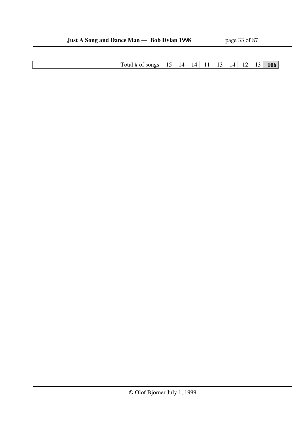Total # of songs 15 14 14 11 13 14 12 13 **106**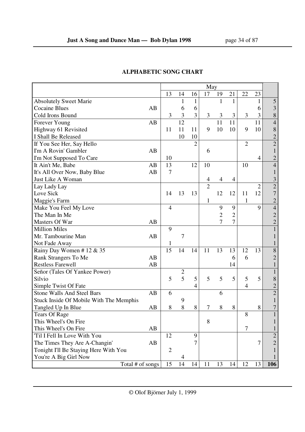|                                         |    | May            |                |                |                |                |                |                |                |                |
|-----------------------------------------|----|----------------|----------------|----------------|----------------|----------------|----------------|----------------|----------------|----------------|
|                                         |    | 13             | 14             | 16             | 17             | 19             | 21             | 22             | 23             |                |
| <b>Absolutely Sweet Marie</b>           |    |                | 1              | 1              |                | $\mathbf{1}$   | $\mathbf{1}$   |                | 1              | 5              |
| <b>Cocaine Blues</b>                    | AB |                | 6              | 6              |                |                |                |                | 6              | 3              |
| Cold Irons Bound                        |    | 3              | 3              | 3              | 3              | 3              | 3              | 3              | 3              | 8              |
| Forever Young                           | AB |                | 12             |                |                | 11             | 11             |                | 11             | $\overline{4}$ |
| Highway 61 Revisited                    |    | 11             | 11             | 11             | 9              | 10             | 10             | 9              | 10             | $\,$ 8 $\,$    |
| I Shall Be Released                     |    |                | 10             | 10             |                |                |                |                |                | $\overline{c}$ |
| If You See Her, Say Hello               |    |                |                | $\overline{2}$ |                |                |                | $\overline{2}$ |                | $\overline{2}$ |
| I'm A Rovin' Gambler                    | AB |                |                |                | 6              |                |                |                |                |                |
| I'm Not Supposed To Care                |    | 10             |                |                |                |                |                |                | $\overline{4}$ | 2              |
| It Ain't Me, Babe                       | AB | 13             |                | 12             | 10             |                |                | 10             |                | 4              |
| It's All Over Now, Baby Blue            | AB | $\overline{7}$ |                |                |                |                |                |                |                |                |
| Just Like A Woman                       |    |                |                |                | 4              | 4              | 4              |                |                | 3              |
| Lay Lady Lay                            |    |                |                |                | $\overline{2}$ |                |                |                | $\overline{2}$ | $\overline{c}$ |
| Love Sick                               |    | 14             | 13             | 13             |                | 12             | 12             | 11             | 12             | 7              |
| Maggie's Farm                           |    |                |                |                | 1              |                |                | 1              |                | $\overline{2}$ |
| Make You Feel My Love                   |    | 4              |                |                |                | 9              | 9              |                | $\mathbf Q$    | $\overline{4}$ |
| The Man In Me                           |    |                |                |                |                | $\overline{2}$ | $\overline{2}$ |                |                | 2              |
| Masters Of War                          | AB |                |                |                |                | $\overline{7}$ | $\overline{7}$ |                |                | $\overline{2}$ |
| <b>Million Miles</b>                    |    | 9              |                |                |                |                |                |                |                |                |
| Mr. Tambourine Man                      | AB |                | 7              |                |                |                |                |                |                |                |
| Not Fade Away                           |    | 1              |                |                |                |                |                |                |                |                |
| Rainy Day Women #12 & 35                |    | 15             | 14             | 14             | 11             | 13             | 13             | 12             | 13             | 8              |
| Rank Strangers To Me                    | AB |                |                |                |                |                | 6              | 6              |                | 2              |
| <b>Restless Farewell</b>                | AB |                |                |                |                |                | 14             |                |                |                |
| Señor (Tales Of Yankee Power)           |    |                | $\mathbf{2}$   |                |                |                |                |                |                |                |
| Silvio                                  |    | 5              | $\overline{5}$ | 5              | 5              | 5              | 5              | 5              | 5              | 8              |
| Simple Twist Of Fate                    |    |                |                | 4              |                |                |                | 4              |                | $\overline{c}$ |
| <b>Stone Walls And Steel Bars</b>       | AB | 6              |                |                |                | 6              |                |                |                | $\overline{2}$ |
| Stuck Inside Of Mobile With The Memphis |    |                | 9              |                |                |                |                |                |                |                |
| Tangled Up In Blue                      | AB | 8              | 8              | 8              | 7              | 8              | 8              |                | 8              |                |
| <b>Tears Of Rage</b>                    |    |                |                |                |                |                |                | 8              |                |                |
| This Wheel's On Fire                    |    |                |                |                | 8              |                |                |                |                |                |
| This Wheel's On Fire                    | AB |                |                |                |                |                |                | 7              |                |                |
| 'Til I Fell In Love With You            |    | 12             |                | 9              |                |                |                |                |                | $\overline{c}$ |
| The Times They Are A-Changin'           | AB |                |                |                |                |                |                |                | 7              | $\overline{2}$ |
| Tonight I'll Be Staying Here With You   |    | $\overline{2}$ |                |                |                |                |                |                |                |                |
| You're A Big Girl Now                   |    |                | 4              |                |                |                |                |                |                |                |
| Total # of songs                        |    | 15             | 14             | 14             | 11             | 13             | 14             | 12             | 13             | 106            |

## **ALPHABETIC SONG CHART**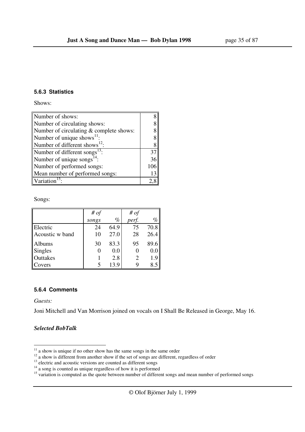### **5.6.3 Statistics**

Shows:

| Number of shows:                        |    |  |  |
|-----------------------------------------|----|--|--|
| Number of circulating shows:            |    |  |  |
| Number of circulating & complete shows: |    |  |  |
| Number of unique shows $^{11}$ :        |    |  |  |
| Number of different shows $^{12}$ :     |    |  |  |
| Number of different songs $^{13}$ :     |    |  |  |
| Number of unique songs $^{14}$ :        | 36 |  |  |
| Number of performed songs:              |    |  |  |
| Mean number of performed songs:         | 13 |  |  |
| Variation                               |    |  |  |

Songs:

|                 | # $of$ |      | # $of$                |      |
|-----------------|--------|------|-----------------------|------|
|                 | songs  | $\%$ | perf.                 | %    |
| Electric        | 24     | 64.9 | 75                    | 70.8 |
| Acoustic w band | 10     | 27.0 | 28                    | 26.4 |
| <b>Albums</b>   | 30     | 83.3 | 95                    | 89.6 |
| Singles         |        | 0.0  |                       | 0.0  |
| Outtakes        |        | 2.8  | $\mathcal{D}_{\cdot}$ | 1.9  |
| Covers          |        | 13.9 |                       | 8.5  |

### **5.6.4 Comments**

*Guests:* 

-

Joni Mitchell and Van Morrison joined on vocals on I Shall Be Released in George, May 16.

### *Selected BobTalk*

 $11$  a show is unique if no other show has the same songs in the same order

 $12$  a show is different from another show if the set of songs are different, regardless of order

<sup>&</sup>lt;sup>13</sup> electric and acoustic versions are counted as different songs

 $14$  a song is counted as unique regardless of how it is performed

<sup>&</sup>lt;sup>15</sup> variation is computed as the quote between number of different songs and mean number of performed songs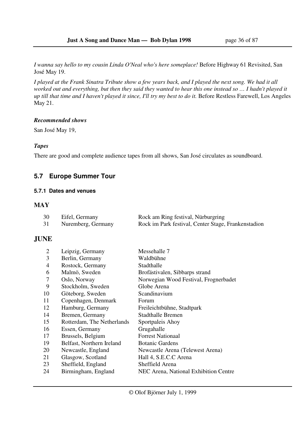*I wanna say hello to my cousin Linda O'Neal who's here someplace!* Before Highway 61 Revisited, San José May 19.

*I played at the Frank Sinatra Tribute show a few years back, and I played the next song. We had it all worked out and everything, but then they said they wanted to hear this one instead so … I hadn't played it up till that time and I haven't played it since, I'll try my best to do it.* Before Restless Farewell, Los Angeles May 21.

### *Recommended shows*

San José May 19,

### *Tapes*

There are good and complete audience tapes from all shows, San José circulates as soundboard.

## **5.7 Europe Summer Tour**

### **5.7.1 Dates and venues**

### **MAY**

| 30 | Eifel, Germany     | Rock am Ring festival, Nürburgring                  |
|----|--------------------|-----------------------------------------------------|
| 31 | Nuremberg, Germany | Rock im Park festival, Center Stage, Frankenstadion |

### **JUNE**

| 2              | Leipzig, Germany           | Messehalle 7                          |
|----------------|----------------------------|---------------------------------------|
| 3              | Berlin, Germany            | Waldbühne                             |
| $\overline{4}$ | Rostock, Germany           | Stadthalle                            |
| 6              | Malmö, Sweden              | Brofästivalen, Sibbarps strand        |
| 7              | Oslo, Norway               | Norwegian Wood Festival, Frognerbadet |
| 9              | Stockholm, Sweden          | Globe Arena                           |
| 10             | Göteborg, Sweden           | Scandinavium                          |
| 11             | Copenhagen, Denmark        | Forum                                 |
| 12             | Hamburg, Germany           | Freileichtbühne, Stadtpark            |
| 14             | Bremen, Germany            | Stadthalle Bremen                     |
| 15             | Rotterdam, The Netherlands | Sportpaleis Ahoy                      |
| 16             | Essen, Germany             | Grugahalle                            |
| 17             | Brussels, Belgium          | <b>Forrest Nationaal</b>              |
| 19             | Belfast, Northern Ireland  | <b>Botanic Gardens</b>                |
| 20             | Newcastle, England         | Newcastle Arena (Telewest Arena)      |
| 21             | Glasgow, Scotland          | Hall 4, S.E.C.C Arena                 |
| 23             | Sheffield, England         | Sheffield Arena                       |
| 24             | Birmingham, England        | NEC Arena, National Exhibition Centre |
|                |                            |                                       |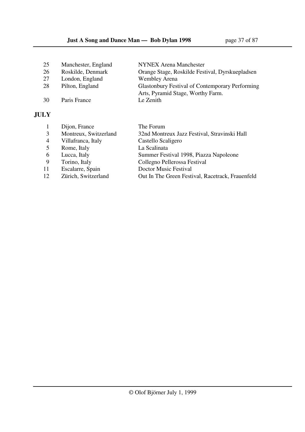| 25 | Manchester, England | <b>NYNEX Arena Manchester</b>                          |
|----|---------------------|--------------------------------------------------------|
| 26 | Roskilde, Denmark   | Orange Stage, Roskilde Festival, Dyrskuepladsen        |
| 27 | London, England     | <b>Wembley Arena</b>                                   |
| 28 | Pilton, England     | <b>Glastonbury Festival of Contemporary Performing</b> |
|    |                     | Arts, Pyramid Stage, Worthy Farm.                      |
| 30 | Paris France        | Le Zenith                                              |
|    |                     |                                                        |

# **JULY**

|                | Dijon, France         | The Forum                                        |
|----------------|-----------------------|--------------------------------------------------|
|                |                       |                                                  |
| 3              | Montreux, Switzerland | 32nd Montreux Jazz Festival, Stravinski Hall     |
| $\overline{4}$ | Villafranca, Italy    | Castello Scaligero                               |
| 5              | Rome, Italy           | La Scalinata                                     |
| 6              | Lucca, Italy          | Summer Festival 1998, Piazza Napoleone           |
| -9             | Torino, Italy         | Collegno Pellerossa Festival                     |
| 11             | Escalarre, Spain      | Doctor Music Festival                            |
| 12             | Zürich, Switzerland   | Out In The Green Festival, Racetrack, Frauenfeld |
|                |                       |                                                  |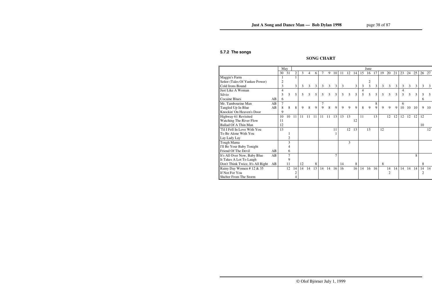#### **5.7.2 The songs**

# **SONG CHART**

|                                   |    | May |                |                |    |    |    |        |    |    |    |    |    |    | June           |    |    |                |    |    |                |     |    |     |
|-----------------------------------|----|-----|----------------|----------------|----|----|----|--------|----|----|----|----|----|----|----------------|----|----|----------------|----|----|----------------|-----|----|-----|
|                                   |    | 30  | 31             | $\overline{c}$ | 3  | 4  | 6  | $\tau$ | 9  | 10 | 11 | 12 | 14 | 15 | 16             | 17 | 19 | 20             | 21 | 23 | 24             | 25  | 26 | 27  |
| Maggie's Farm                     |    | 1   |                |                |    |    |    |        |    |    |    |    |    |    |                |    |    |                |    |    |                |     |    |     |
| Señor (Tales Of Yankee Power)     |    | 2   |                |                |    |    |    |        |    |    |    |    |    |    | 2              |    |    |                |    |    |                |     |    |     |
| Cold Irons Bound                  |    | 3   |                | 3              | 3  | 3  | 3  | 3      | 3  | 3  | 3  |    | 3  | 3  | $\overline{3}$ | 3  | 3  | $\mathfrak{Z}$ | 3  | 3  | $\mathfrak{Z}$ | 3   | 3  | 3   |
| Just Like A Woman                 |    | 4   |                |                |    |    |    |        |    |    |    |    |    | 4  |                |    |    |                |    |    |                |     |    |     |
| Silvio                            |    | 5   | 5              | 5              | 5  | 5  | 5  | 5      | 5  | 5  | 5  | 5  | 5  | 5  | 5              | 5  | 5  | 5              | 5  | 5  | 5              | 5   |    | 5   |
| <b>Cocaine Blues</b>              | AB | 6   |                |                |    |    |    |        |    |    |    |    |    |    |                |    |    |                |    |    |                |     | 6  |     |
| Mr. Tambourine Man                | AB | 7   |                |                |    |    |    | 7      |    |    |    |    |    |    |                | 8  |    |                |    | 6  |                |     |    |     |
| Tangled Up In Blue                | AB | 8   | 8              | 8              | 9  | 8  | 9  | 9      | 8  | 9  | 9  | 9  | 9  | 8  | 9              | 9  | 9  | 9              | 9  | 10 | 10             | -10 | 9  | -10 |
| Knockin' On Heaven's Door         |    | 9   |                |                |    |    |    |        |    |    |    |    |    |    |                |    |    |                |    |    |                |     |    |     |
| Highway 61 Revisited              |    | 10  | 10             | 11             | 11 | 11 | 11 | 11     | 11 | 13 | 13 | 13 |    | 11 |                | 13 |    | 12             | 12 | 12 | 12             | 12  | 12 |     |
| Watching The River Flow           |    | 11  |                |                |    |    |    |        |    |    |    |    | 12 |    |                |    |    |                |    |    |                |     |    |     |
| <b>Ballad Of A Thin Man</b>       |    | 12  |                |                |    |    |    |        |    |    |    |    |    |    |                |    |    |                |    |    |                |     | 10 |     |
| Til I Fell In Love With You       |    | 13  |                |                |    |    |    |        |    | 11 |    | 12 | 13 |    | 13             |    | 12 |                |    |    |                |     |    | 12  |
| To Be Alone With You              |    |     |                |                |    |    |    |        |    |    |    |    |    |    |                |    |    |                |    |    |                |     |    |     |
| Lay Lady Lay                      |    |     | $\overline{2}$ |                |    |    |    |        |    |    |    |    |    |    |                |    |    |                |    |    |                |     |    |     |
| Tough Mama                        |    |     | 3              |                |    |    |    |        |    |    |    | 3  |    |    |                |    |    |                |    |    |                |     |    |     |
| I'll Be Your Baby Tonight         |    |     |                |                |    |    |    |        |    |    |    |    |    |    |                |    |    |                |    |    |                |     |    |     |
| Friend Of The Devil               | AB |     | 6              |                |    |    |    |        |    |    |    |    |    |    |                |    |    |                |    |    |                |     |    |     |
| It's All Over Now, Baby Blue      | AB |     | $\overline{7}$ |                |    |    |    |        |    |    |    |    |    |    |                |    |    |                |    |    |                | 8   |    |     |
| It Takes A Lot To Laugh           |    |     | 9              |                |    |    |    |        |    |    |    |    |    |    |                |    |    |                |    |    |                |     |    |     |
| Don't Think Twice, It's All Right | AB |     | 11             |                | 12 |    | 8  |        |    |    | 14 |    | 8  |    |                |    | 8  |                |    |    |                |     | 8  |     |
| Rainy Day Women #12 & 35          |    |     | 12             | 14             | 14 | 14 | 13 | 14     | 14 | 16 | 16 |    | 16 | 14 | 16             | 16 |    | 14             | 14 | 14 | 14             | 14  | 14 | 14  |
| If Not For You                    |    |     |                | 2              |    |    |    |        |    |    |    |    |    |    |                |    |    | $\overline{c}$ |    |    |                |     | 2  |     |
| Shelter From The Storm            |    |     |                |                |    |    |    |        |    |    |    |    |    |    |                |    |    |                |    |    |                |     |    |     |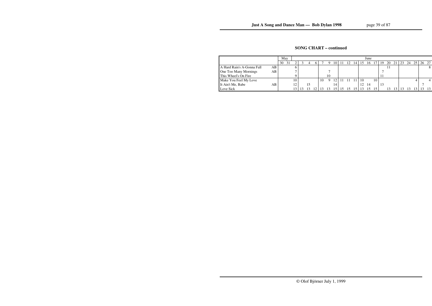## **SONG CHART – continued**

|                                    | May      |    |  |    |    |    |          |    |                |    | June |    |    |    |    |    |    |    |       |
|------------------------------------|----------|----|--|----|----|----|----------|----|----------------|----|------|----|----|----|----|----|----|----|-------|
|                                    | 30<br>31 | ◠  |  | h. |    |    | $\left($ |    | $\overline{4}$ |    | 16   |    | 19 | 20 | 21 | 23 | 24 | 25 | 26 27 |
| A Hard Rain's A-Gonna Fall<br>AB I |          |    |  |    |    |    |          |    |                |    |      |    |    |    |    |    |    |    |       |
| AВ<br>One Too Many Mornings        |          |    |  |    |    |    |          |    |                |    |      |    |    |    |    |    |    |    |       |
| This Wheel's On Fire               |          |    |  |    |    | 10 |          |    |                |    |      |    |    |    |    |    |    |    |       |
| Make You Feel My Love              |          | 10 |  |    | 10 | Q  | 2        |    | 1 <sub>1</sub> | 10 |      | 10 |    |    |    |    |    |    |       |
| It Ain't Me, Babe<br>AB.           |          | 12 |  |    |    |    |          |    |                | 12 | 14   |    | 13 |    |    |    |    |    |       |
| Love Sick                          |          |    |  |    |    |    |          | 15 | 15.            |    |      |    |    |    |    |    |    |    | -13   |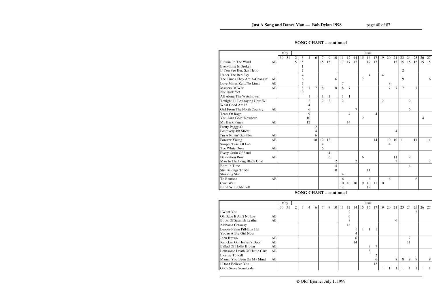## **SONG CHART – continued**

|                                 |    | May   |                 |                 |                |                |                |                |                |                |                |                |                | June           |    |                |                |                |                |                |    |    |    |
|---------------------------------|----|-------|-----------------|-----------------|----------------|----------------|----------------|----------------|----------------|----------------|----------------|----------------|----------------|----------------|----|----------------|----------------|----------------|----------------|----------------|----|----|----|
|                                 |    | 30 31 | $\overline{2}$  | 3               | 4              | 6              | 7              | 9              | 10             | 11             | 12             | 14             | 15             | 16             | 17 | 19             | 20             | 21             | 23             | 24             | 25 | 26 | 27 |
| Blowin' In The Wind             | AB |       | $\overline{15}$ | $\overline{15}$ |                |                | 15             | 15             |                | 17             | 17             | 17             |                | 17             | 17 |                |                | 15             | 15             | 15             | 15 | 15 | 15 |
| Everything Is Broken            |    |       |                 |                 |                |                |                |                |                |                |                |                |                |                |    |                |                |                |                |                |    |    |    |
| If You See Her, Say Hello       |    |       |                 | $\overline{c}$  |                |                |                |                |                |                |                |                |                |                |    |                |                |                | $\overline{2}$ |                |    |    |    |
| Under The Red Sky               |    |       |                 | 4               |                |                |                |                |                |                |                |                |                | $\overline{4}$ |    | $\overline{4}$ |                |                |                |                |    |    |    |
| The Times They Are A-Changin'   | AB |       |                 | 6               |                |                |                |                | 6              |                |                |                | $\overline{7}$ |                |    |                |                |                | 9              |                |    |    | 6  |
| Love Minus Zero/No Limit        | AB |       |                 | 7               |                |                |                |                |                | $\overline{7}$ |                |                |                |                |    |                | 8              |                |                |                |    |    |    |
| Masters Of War                  | AB |       |                 | 8               | $\overline{7}$ | $\overline{7}$ | 8              |                | 8              | 8              | $\overline{7}$ |                |                |                |    |                | $\overline{7}$ | $\overline{7}$ | $\overline{7}$ |                | 7  |    |    |
| Not Dark Yet                    |    |       |                 | 10              |                |                |                |                |                |                |                |                |                |                |    |                |                |                |                |                |    |    |    |
| All Along The Watchtower        |    |       |                 |                 |                |                |                |                |                |                |                |                |                |                |    |                |                |                |                |                |    |    |    |
| Tonight I'll Be Staying Here Wi |    |       |                 |                 | $\overline{2}$ |                | $\overline{2}$ | $\overline{2}$ |                | $\overline{2}$ |                |                |                |                |    | $\overline{2}$ |                |                |                | $\overline{2}$ |    |    |    |
| What Good Am I?                 |    |       |                 |                 | 4              |                |                |                |                |                |                |                |                |                |    |                |                |                |                |                |    |    |    |
| Girl From The North Country     | AB |       |                 |                 | 6              |                |                |                |                |                |                | 7              |                |                |    |                |                |                |                | 6              |    |    |    |
| <b>Tears Of Rage</b>            |    |       |                 |                 | 9              |                |                |                |                |                | $\overline{4}$ |                |                |                | 4  |                |                |                |                |                |    |    |    |
| You Ain't Goin' Nowhere         |    |       |                 |                 | 10             |                |                |                |                |                |                |                | 2              |                |    |                |                |                |                |                |    | 4  |    |
| My Back Pages                   | AB |       |                 |                 | 12             |                |                |                |                |                | 14             |                |                |                |    |                |                |                |                |                |    |    |    |
| Pretty Peggy-O                  |    |       |                 |                 |                | $\overline{c}$ |                |                |                |                |                |                |                |                |    |                |                |                |                |                |    |    |    |
| Positively 4th Street           |    |       |                 |                 |                | 4              |                |                |                |                |                |                |                |                |    |                |                | 4              |                |                |    |    |    |
| I'm A Rovin' Gambler            | AB |       |                 |                 |                | 6              |                |                |                |                |                |                |                |                |    |                |                |                |                |                |    |    |    |
| Forever Young                   | AB |       |                 |                 |                | 10             | 12             | 12             |                |                |                |                |                |                | 14 |                | 10             | 10             | 11             |                | 11 |    | 11 |
| Simple Twist Of Fate            |    |       |                 |                 |                |                | 4              |                |                |                |                |                |                |                |    |                | 4              |                |                |                |    |    |    |
| The White Dove                  | AB |       |                 |                 |                |                | 6              |                |                |                |                |                |                |                |    |                |                |                |                |                |    |    |    |
| Every Grain Of Sand             |    |       |                 |                 |                |                |                | 4              |                |                |                |                |                |                |    |                |                |                |                |                |    |    |    |
| <b>Desolation Row</b>           | AB |       |                 |                 |                |                |                | 6              |                |                |                |                | 6              |                |    |                |                | 11             |                | 9              |    |    |    |
| Man In The Long Black Coat      |    |       |                 |                 |                |                |                |                | 2              |                |                | $\overline{2}$ |                |                |    |                |                | $\overline{c}$ |                |                |    |    | 2  |
| Born In Time                    |    |       |                 |                 |                |                |                |                | $\overline{4}$ |                |                |                |                |                |    |                |                |                |                | 4              |    |    |    |
| She Belongs To Me               |    |       |                 |                 |                |                |                |                | 10             |                |                |                |                | 11             |    |                |                |                |                |                |    |    |    |
| Shooting Star                   |    |       |                 |                 |                |                |                |                |                | 4              |                |                |                |                |    |                |                |                |                |                |    |    |    |
| To Ramona                       | AB |       |                 |                 |                |                |                |                |                | 6              |                |                |                | 6              |    |                | 6              |                |                |                | 6  |    |    |
| Can't Wait                      |    |       |                 |                 |                |                |                |                |                | 10             | 10             | 10             | 9              | 10             | 11 | 10             |                |                |                |                |    |    |    |
| <b>Blind Willie McTell</b>      |    |       |                 |                 |                |                |                |                |                | 12             |                |                |                | 12             |    |                |                |                |                |                |    |    |    |

## **SONG CHART – continued**

|                               |    | May |    |   |   |   |   |   |    |    |    |                |    | June |               |    |    |    |    |    |    |       |
|-------------------------------|----|-----|----|---|---|---|---|---|----|----|----|----------------|----|------|---------------|----|----|----|----|----|----|-------|
|                               |    | 30  | 31 | 2 | 3 | 4 | 6 | 9 | 10 | 11 | 12 | $\overline{4}$ | 15 | 16   | 17            | 19 | 20 | 21 | 23 | 24 | 25 | 26 27 |
| I Want You                    |    |     |    |   |   |   |   |   |    |    |    |                |    |      |               |    |    |    |    |    |    |       |
| Oh Babe It Ain't No Lie       | AB |     |    |   |   |   |   |   |    |    |    |                |    |      |               |    |    |    |    |    |    |       |
| Boots Of Spanish Leather      | AB |     |    |   |   |   |   |   |    |    | 8  |                |    |      |               |    |    | 6  |    |    |    |       |
| Alabama Getaway               |    |     |    |   |   |   |   |   |    |    | 16 |                |    |      |               |    |    |    |    |    |    |       |
| Leopard-Skin Pill-Box Hat     |    |     |    |   |   |   |   |   |    |    |    |                |    |      |               |    |    |    |    |    |    |       |
| You're A Big Girl Now         |    |     |    |   |   |   |   |   |    |    |    | 4              |    |      |               |    |    |    |    |    |    |       |
| John Brown                    | AB |     |    |   |   |   |   |   |    |    |    | 6              |    |      |               |    |    |    |    |    |    |       |
| Knockin' On Heaven's Door     | AB |     |    |   |   |   |   |   |    |    |    | 14             |    |      |               |    |    |    |    | 11 |    |       |
| <b>Ballad Of Hollis Brown</b> | AB |     |    |   |   |   |   |   |    |    |    |                |    |      | $\mathcal{I}$ |    |    |    |    |    |    |       |
| Lonesome Death Of Hattie Carr | AB |     |    |   |   |   |   |   |    |    |    |                |    | 8    |               |    |    |    |    |    |    |       |
| License To Kill               |    |     |    |   |   |   |   |   |    |    |    |                |    |      |               |    |    |    |    |    |    |       |
| Mama, You Been On My Mind     | AB |     |    |   |   |   |   |   |    |    |    |                |    |      | 6             |    |    | 8  | 8  | 8  | -9 | 9     |
| I Don't Believe You           |    |     |    |   |   |   |   |   |    |    |    |                |    |      | 12            |    |    |    |    |    |    |       |
| Gotta Serve Somebody          |    |     |    |   |   |   |   |   |    |    |    |                |    |      |               |    |    |    |    |    |    |       |
|                               |    |     |    |   |   |   |   |   |    |    |    |                |    |      |               |    |    |    |    |    |    |       |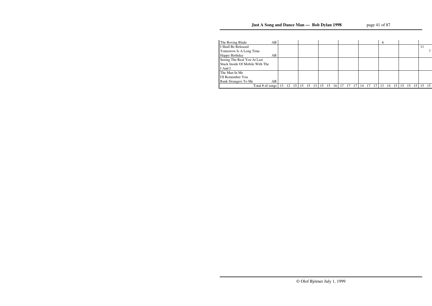| The Roving Blade                | AB |     |    |                 |    |    |                 |    |    |    |    |  | b |    |     |    |    |  |    |
|---------------------------------|----|-----|----|-----------------|----|----|-----------------|----|----|----|----|--|---|----|-----|----|----|--|----|
| I Shall Be Released             |    |     |    |                 |    |    |                 |    |    |    |    |  |   |    |     |    |    |  |    |
| Tomorrow Is A Long Time         |    |     |    |                 |    |    |                 |    |    |    |    |  |   |    |     |    |    |  |    |
| Happy Birthday                  | AB |     |    |                 |    |    |                 |    |    |    |    |  |   |    |     |    |    |  |    |
| Seeing The Real You At Last     |    |     |    |                 |    |    |                 |    |    |    |    |  |   |    |     |    |    |  |    |
| Stuck Inside Of Mobile With The |    |     |    |                 |    |    |                 |    |    |    |    |  |   |    |     |    |    |  |    |
| I And I                         |    |     |    |                 |    |    |                 |    |    |    |    |  |   |    |     |    |    |  |    |
| The Man In Me                   |    |     |    |                 |    |    |                 |    |    |    |    |  |   |    |     |    |    |  |    |
| I'll Remember You               |    |     |    |                 |    |    |                 |    |    |    |    |  |   |    |     |    |    |  |    |
| Rank Strangers To Me            | AB |     |    |                 |    |    |                 |    |    |    |    |  |   |    |     |    |    |  |    |
| Total # of songs                |    | -13 | 12 | 15 <sup>1</sup> | 15 | 15 | 13 <sup>1</sup> | 15 | 16 | 17 | 14 |  |   | 14 | 15. | 15 | 15 |  | 15 |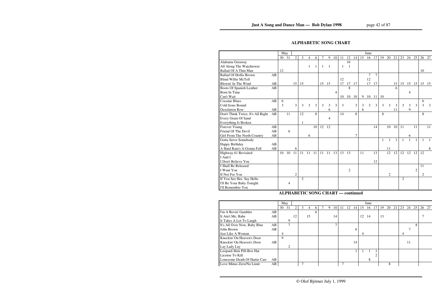## **ALPHABETIC SONG CHART**

|                                   |    | May |       |                |                |    |    |       |    |    |    |                |    |    | June           |        |    |    |    |    |       |                |       |    |
|-----------------------------------|----|-----|-------|----------------|----------------|----|----|-------|----|----|----|----------------|----|----|----------------|--------|----|----|----|----|-------|----------------|-------|----|
|                                   |    |     | 30 31 | $\overline{2}$ | 3              | 4  | 6  | 7     | 9  | 10 | 11 | 12             | 14 | 15 | 16             | 17     | 19 | 20 | 21 | 23 | 24    | 25             | 26 27 |    |
| Alabama Getaway                   |    |     |       |                |                |    |    |       |    |    |    | 16             |    |    |                |        |    |    |    |    |       |                |       |    |
| All Along The Watchtower          |    |     |       |                |                | 1  | 1  | -1    | 1  |    | 1  | $\overline{1}$ |    |    |                |        |    |    |    |    |       |                |       |    |
| Ballad Of A Thin Man              |    | 12  |       |                |                |    |    |       |    |    |    |                |    |    |                |        |    |    |    |    |       |                | 10    |    |
| <b>Ballad Of Hollis Brown</b>     | AB |     |       |                |                |    |    |       |    |    |    |                |    |    | $\overline{7}$ | $\tau$ |    |    |    |    |       |                |       |    |
| <b>Blind Willie McTell</b>        |    |     |       |                |                |    |    |       |    |    | 12 |                |    |    | 12             |        |    |    |    |    |       |                |       |    |
| Blowin' In The Wind               | AB |     |       | 15             | 15             |    |    | 15 15 |    |    | 17 | 17             | 17 |    | 17             | 17     |    |    | 15 | 15 | 15 15 |                | 15 15 |    |
| Boots Of Spanish Leather          | AB |     |       |                |                |    |    |       |    |    |    | 8              |    |    |                |        |    |    | 6  |    |       |                |       |    |
| Born In Time                      |    |     |       |                |                |    |    |       |    | 4  |    |                |    |    |                |        |    |    |    |    | 4     |                |       |    |
| Can't Wait                        |    |     |       |                |                |    |    |       |    |    | 10 | 10             | 10 | 9  | 10             | 11     | 10 |    |    |    |       |                |       |    |
| <b>Cocaine Blues</b>              | AB | 6   |       |                |                |    |    |       |    |    |    |                |    |    |                |        |    |    |    |    |       |                | 6     |    |
| Cold Irons Bound                  |    | 3   |       | 3              | 3              | 3  | 3  | 3     | 3  | 3  | 3  |                | 3  | 3  | 3              | 3      | 3  | 3  | 3  | 3  | 3     | 3              | 3     | 3  |
| <b>Desolation Row</b>             | AB |     |       |                |                |    |    |       | 6  |    |    |                |    | 6  |                |        |    |    | 11 |    | 9     |                |       |    |
| Don't Think Twice, It's All Right | AB |     | 11    |                | 12             |    | 8  |       |    |    | 14 |                | 8  |    |                |        | 8  |    |    |    |       |                | 8     |    |
| Every Grain Of Sand               |    |     |       |                |                |    |    |       | 4  |    |    |                |    |    |                |        |    |    |    |    |       |                |       |    |
| Everything Is Broken              |    |     |       |                | 1              |    |    |       |    |    |    |                |    |    |                |        |    |    |    |    |       |                |       |    |
| Forever Young                     | AB |     |       |                |                |    | 10 | 12    | 12 |    |    |                |    |    |                | 14     |    | 10 | 10 | 11 |       | 11             |       | 11 |
| Friend Of The Devil               | AB |     | 6     |                |                |    |    |       |    |    |    |                |    |    |                |        |    |    |    |    |       |                |       |    |
| Girl From The North Country       | AB |     |       |                |                | 6  |    |       |    |    |    |                | 7  |    |                |        |    |    |    |    | 6     |                |       |    |
| Gotta Serve Somebody              |    |     |       |                |                |    |    |       |    |    |    |                |    |    |                |        |    |    |    |    |       |                |       |    |
| Happy Birthday                    | AB |     |       |                |                |    |    |       |    |    |    |                |    |    |                |        |    |    |    |    |       |                |       |    |
| A Hard Rain's A-Gonna Fall        | AB |     |       | 6              |                |    |    |       |    |    |    |                |    |    |                |        |    | 11 |    |    |       |                |       | 8  |
| Highway 61 Revisited              |    | 10  | 10    | 11             | 11             | 11 | 11 | 11    | 11 | 13 | 13 | 13             |    | 11 |                | 13     |    | 12 | 12 | 12 | 12    | 12             | 12    |    |
| I And I                           |    |     |       |                |                |    |    |       |    |    |    |                |    |    |                |        |    |    |    |    |       |                |       |    |
| I Don't Believe You               |    |     |       |                |                |    |    |       |    |    |    |                |    |    |                | 12     |    |    |    |    |       |                |       |    |
| I Shall Be Released               |    |     |       |                |                |    |    |       |    |    |    |                |    |    |                |        |    |    |    |    |       |                | 11    |    |
| I Want You                        |    |     |       |                |                |    |    |       |    |    |    | 2              |    |    |                |        |    |    |    |    |       | $\overline{c}$ |       |    |
| If Not For You                    |    |     |       | 2              |                |    |    |       |    |    |    |                |    |    |                |        |    | 2  |    |    |       |                | 2     |    |
| If You See Her, Say Hello         |    |     |       |                | $\overline{2}$ |    |    |       |    |    |    |                |    |    |                |        |    |    |    | 2  |       |                |       |    |
| I'll Be Your Baby Tonight         |    |     | 4     |                |                |    |    |       |    |    |    |                |    |    |                |        |    |    |    |    |       |                |       |    |
| I'll Remember You                 |    |     |       |                |                |    |    |       |    |    |    |                |    |    |                |        |    |    |    |    |       |                |       |    |
|                                   |    |     |       |                |                |    |    |       |    |    |    |                |    |    |                |        |    |    |    |    |       |                |       |    |

#### **ALPHABETIC SONG CHART — continued**

|                               |    | May |               |               |   |    |   |   |    |    |    |    |    | June |    |    |    |    |    |    |    |       |
|-------------------------------|----|-----|---------------|---------------|---|----|---|---|----|----|----|----|----|------|----|----|----|----|----|----|----|-------|
|                               |    | 30  | 31            | $\mathcal{D}$ | 3 | 4  | 6 | 9 | 10 | 11 | 12 | 14 | 15 | 16   | 17 | 19 | 20 | 21 | 23 | 24 | 25 | 26 27 |
| I'm A Rovin' Gambler          | AB |     |               |               |   |    | 6 |   |    |    |    |    |    |      |    |    |    |    |    |    |    |       |
| It Ain't Me, Babe             | AB |     |               | 12            |   | 15 |   |   | 14 |    |    |    | 12 | -14  |    | 13 |    |    |    |    |    |       |
| It Takes A Lot To Laugh       |    |     | 9             |               |   |    |   |   |    |    |    |    |    |      |    |    |    |    |    |    |    |       |
| It's All Over Now, Baby Blue  | AB |     | $\mathcal{I}$ |               |   |    |   |   |    |    |    |    |    |      |    |    |    |    |    |    | 8  |       |
| John Brown                    | AB |     |               |               |   |    |   |   |    |    |    | 6  |    |      |    |    |    |    |    |    |    |       |
| Just Like A Woman             |    | 4   |               |               |   |    |   |   |    |    |    |    | 4  |      |    |    |    |    | 4  |    |    |       |
| Knockin' On Heaven's Door     |    | 9   |               |               |   |    |   |   |    |    |    |    |    |      |    |    |    |    |    |    |    |       |
| Knockin' On Heaven's Door     | AB |     |               |               |   |    |   |   |    |    |    | 14 |    |      |    |    |    |    |    | 11 |    |       |
| Lay Lady Lay                  |    |     | 2             |               |   |    |   |   |    |    |    |    |    |      |    |    |    |    |    |    |    |       |
| Leopard-Skin Pill-Box Hat     |    |     |               |               |   |    |   |   |    |    |    |    |    |      |    |    |    |    |    |    |    |       |
| License To Kill               |    |     |               |               |   |    |   |   |    |    |    |    |    |      |    |    |    |    |    |    |    |       |
| Lonesome Death Of Hattie Carr | AB |     |               |               |   |    |   |   |    |    |    |    |    | 8    |    |    |    |    |    |    |    |       |
| Love Minus Zero/No Limit      | AB |     |               |               |   |    |   |   |    |    |    |    |    |      |    |    | 8  |    |    |    |    |       |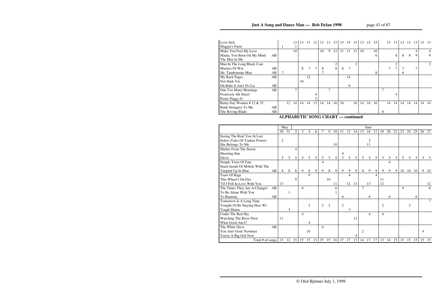| Love Sick                  |    |    | 13 <sup>1</sup> | 13 | 13 | <sup>12</sup> |               | 13 13 15 |    |    | 15 15 15 |                |    | 13 15 15 |    |   |    | 13 13 | 13           | $13 \quad 13$ |    | 13 | - 13           |
|----------------------------|----|----|-----------------|----|----|---------------|---------------|----------|----|----|----------|----------------|----|----------|----|---|----|-------|--------------|---------------|----|----|----------------|
| Maggie's Farm              |    |    |                 |    |    |               |               |          |    |    |          |                |    |          |    |   |    |       |              |               |    |    |                |
| Make You Feel My Love      |    |    | 10              |    |    |               | 10            | 9        | 12 | 11 | 11       | 11             | 10 |          | 10 |   |    |       |              |               | 4  |    | $\overline{4}$ |
| Mama, You Been On My Mind  | AB |    |                 |    |    |               |               |          |    |    |          |                |    |          | 6  |   |    | 8     | 8            | 8             | 9  |    | 9              |
| The Man In Me              |    |    |                 |    |    |               |               |          |    |    |          |                |    |          |    |   |    |       |              |               |    |    |                |
| Man In The Long Black Coat |    |    |                 |    |    |               |               |          | 2  |    |          | $\mathfrak{D}$ |    |          |    |   |    |       |              |               |    |    | 2              |
| Masters Of War             | AB |    |                 | 8  |    | 7             | 8             |          | 8  | 8  | 7        |                |    |          |    |   |    |       |              |               |    |    |                |
| Mr. Tambourine Man         | AB |    |                 |    |    |               | $\mathcal{I}$ |          |    |    |          |                |    |          | 8  |   |    |       | <sub>n</sub> |               |    |    |                |
| My Back Pages              | AB |    |                 |    | 12 |               |               |          |    |    | 14       |                |    |          |    |   |    |       |              |               |    |    |                |
| Not Dark Yet               |    |    |                 | 10 |    |               |               |          |    |    |          |                |    |          |    |   |    |       |              |               |    |    |                |
| Oh Babe It Ain't No Lie    | AB |    |                 |    |    |               |               |          |    |    | 6        |                |    |          |    |   |    |       |              |               |    |    |                |
| One Too Many Mornings      | AB |    |                 |    |    |               |               |          |    |    |          |                |    |          |    |   |    |       |              |               |    |    |                |
| Positively 4th Street      |    |    |                 |    |    |               |               |          |    |    |          |                |    |          |    |   |    |       |              |               |    |    |                |
| Pretty Peggy-O             |    |    |                 |    |    |               |               |          |    |    |          |                |    |          |    |   |    |       |              |               |    |    |                |
| Rainy Day Women #12 & 35   |    | 12 | 14              | 14 | 14 | 13            | 14            | 14       | 16 | 16 |          | 16             | 14 | 16       | 16 |   | 14 | 14    | 14           | 14            | 14 |    | 14 14          |
| Rank Strangers To Me       | AB |    |                 |    |    |               |               |          |    |    |          |                |    |          |    |   |    |       |              |               |    |    |                |
| The Roving Blade           | AB |    |                 |    |    |               |               |          |    |    |          |                |    |          |    | 6 |    |       |              |               |    |    |                |
|                            |    |    |                 |    |    |               |               |          |    |    |          |                |    |          |    |   |    |       |              |               |    |    |                |

### **ALPHABETIC SONG CHART — continued**

|                                 |    | May        |              |    |    |                |                |    |                |    |                |                |                 |                | June           |    |                |    |    |              |                 |    |    |    |
|---------------------------------|----|------------|--------------|----|----|----------------|----------------|----|----------------|----|----------------|----------------|-----------------|----------------|----------------|----|----------------|----|----|--------------|-----------------|----|----|----|
|                                 |    | 30         | 31           | 2  | 3  | 4              | 6              | 7  | 9              | 10 | 11             | 12             | 14              | 15             | 16             | 17 | 19             | 20 | 21 | 23           | 24              | 25 | 26 | 27 |
| Seeing The Real You At Last     |    |            |              |    |    |                |                |    |                |    |                |                |                 |                |                |    |                |    |    |              |                 |    |    |    |
| Señor (Tales Of Yankee Power)   |    | $\sqrt{2}$ |              |    |    |                |                |    |                |    |                |                |                 |                | $\mathbf{2}$   |    |                |    |    |              |                 |    |    |    |
| She Belongs To Me               |    |            |              |    |    |                |                |    |                | 10 |                |                |                 |                | 11             |    |                |    |    |              |                 |    |    |    |
| Shelter From The Storm          |    |            |              | 4  |    |                |                |    |                |    |                |                |                 |                |                |    |                |    |    |              |                 |    |    |    |
| Shooting Star                   |    |            |              |    |    |                |                |    |                |    | 4              |                |                 |                |                |    |                |    |    |              |                 |    |    |    |
| Silvio                          |    | 5          | 5            | 5  | 5  | 5              | 5 <sup>5</sup> | 5  | 5              | 5  | 5              | $\mathfrak{S}$ | $5\overline{)}$ | $\mathfrak{S}$ | $\mathfrak{S}$ | 5  | 5              | 5  | 5  | 5            | $5\overline{)}$ | 5  | 5  | 5  |
| Simple Twist Of Fate            |    |            |              |    |    |                |                | 4  |                |    |                |                |                 |                |                |    |                | 4  |    |              |                 |    |    |    |
| Stuck Inside Of Mobile With The |    |            |              |    |    |                |                |    |                |    |                |                |                 |                |                |    |                |    |    |              |                 |    |    |    |
| Tangled Up In Blue              | AB | 8          | 8            | 8  | 9  | 8              | 9              | 9  | 8              | 9  | 9              | 9              | 9               | 8              | 9              | 9  | 9              | 9  | 9  | 10           | 10              | 10 | 9  | 10 |
| <b>Tears Of Rage</b>            |    |            |              |    |    | 9              |                |    |                |    |                | 4              |                 |                |                | 4  |                |    |    |              |                 |    |    |    |
| This Wheel's On Fire            |    |            |              | 9  |    |                |                |    | 10             |    |                |                |                 |                |                |    | 11             |    |    |              |                 |    |    |    |
| 'Til I Fell In Love With You    |    | 13         |              |    |    |                |                |    |                | 11 |                |                | 12 13           |                | 13             |    | 12             |    |    |              |                 |    |    | 12 |
| The Times They Are A-Changin'   | AB |            |              |    | 6  |                |                |    |                | 6  |                |                |                 | $\overline{7}$ |                |    |                |    |    | $\mathbf{Q}$ |                 |    |    | 6  |
| To Be Alone With You            |    |            | $\mathbf{1}$ |    |    |                |                |    |                |    |                |                |                 |                |                |    |                |    |    |              |                 |    |    |    |
| To Ramona                       | AB |            |              |    |    |                |                |    |                |    | 6              |                |                 |                | 6              |    |                | 6  |    |              |                 | 6  |    |    |
| Tomorrow Is A Long Time         |    |            |              |    |    |                |                |    |                |    |                |                |                 |                |                |    |                |    |    |              |                 |    |    |    |
| Tonight I'll Be Staying Here Wi |    |            |              |    |    | $\overline{2}$ |                | 2  | $\mathfrak{D}$ |    | $\overline{2}$ |                |                 |                |                |    | $\overline{2}$ |    |    |              | $\overline{2}$  |    |    |    |
| Tough Mama                      |    |            | 3            |    |    |                |                |    |                |    |                | 3              |                 |                |                |    |                |    |    |              |                 |    |    |    |
| Under The Red Sky               |    |            |              |    | 4  |                |                |    |                |    |                |                |                 |                | 4              |    | $\overline{4}$ |    |    |              |                 |    |    |    |
| Watching The River Flow         |    | 11         |              |    |    |                |                |    |                |    |                |                | 12              |                |                |    |                |    |    |              |                 |    |    |    |
| What Good Am I?                 |    |            |              |    |    | 4              |                |    |                |    |                |                |                 |                |                |    |                |    |    |              |                 |    |    |    |
| The White Dove                  | AB |            |              |    |    |                |                | 6  |                |    |                |                |                 |                |                |    |                |    |    |              |                 |    |    |    |
| You Ain't Goin' Nowhere         |    |            |              |    |    | 10             |                |    |                |    |                |                |                 | $\overline{2}$ |                |    |                |    |    |              |                 |    | 4  |    |
| You're A Big Girl Now           |    |            |              |    |    |                |                |    |                |    |                |                | $\overline{4}$  |                |                |    |                |    |    |              |                 |    |    |    |
| Total # of songs                |    | 13         | 12           | 15 | 15 | 15             | 13             | 15 | 15             | 16 | 17             | 17             | 17              | 14             | 17             | 17 | 13             | 14 | 15 | 15           | 15              | 15 | 15 | 15 |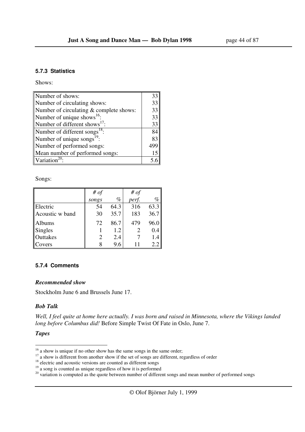#### **5.7.3 Statistics**

Shows:

| Number of shows:                          | 33  |
|-------------------------------------------|-----|
| Number of circulating shows:              | 33  |
| Number of circulating & complete shows:   | 33  |
| Number of unique shows <sup>16</sup> :    | 33  |
| Number of different shows <sup>17</sup> : | 33  |
| Number of different songs <sup>18</sup> : | 84  |
| Number of unique songs <sup>19</sup> :    | 83  |
| Number of performed songs:                | 499 |
| Mean number of performed songs:           | 15  |
| Variation <sup>20</sup>                   |     |

Songs:

|                 | # $of$         |      | # $of$ |      |
|-----------------|----------------|------|--------|------|
|                 | songs          | $\%$ | perf.  | $\%$ |
| Electric        | 54             | 64.3 | 316    | 63.3 |
| Acoustic w band | 30             | 35.7 | 183    | 36.7 |
| Albums          | 72             | 86.7 | 479    | 96.0 |
| <b>Singles</b>  |                | 1.2  |        | 0.4  |
| Outtakes        | $\overline{2}$ | 2.4  |        | 1.4  |
| Covers          |                | 9.6  | 11     | 2.2  |

#### **5.7.4 Comments**

#### *Recommended show*

Stockholm June 6 and Brussels June 17.

#### *Bob Talk*

*Well, I feel quite at home here actually. I was born and raised in Minnesota, where the Vikings landed long before Columbus did!* Before Simple Twist Of Fate in Oslo, June 7.

#### *Tapes*

 $16$  a show is unique if no other show has the same songs in the same order;

<sup>&</sup>lt;sup>17</sup> a show is different from another show if the set of songs are different, regardless of order

<sup>&</sup>lt;sup>18</sup> electric and acoustic versions are counted as different songs

 $19<sup>19</sup>$  a song is counted as unique regardless of how it is performed

 $20$  variation is computed as the quote between number of different songs and mean number of performed songs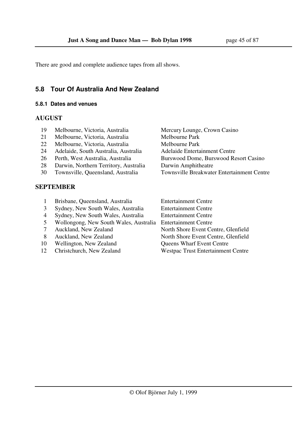There are good and complete audience tapes from all shows.

## **5.8 Tour Of Australia And New Zealand**

#### **5.8.1 Dates and venues**

### **AUGUST**

- 19 Melbourne, Victoria, Australia Mercury Lounge, Crown Casino
- 21 Melbourne, Victoria, Australia Melbourne Park
- 22 Melbourne, Victoria, Australia Melbourne Park
- 24 Adelaide, South Australia, Australia and Adelaide Entertainment Centre
- 
- 28 Darwin, Northern Territory, Australia Darwin Amphitheatre
- 

## **SEPTEMBER**

- 26 Perth, West Australia, Australia Burswood Dome, Burswood Resort Casino 30 Townsville, Queensland, Australia Townsville Breakwater Entertainment Centre
- 1 Brisbane, Queensland, Australia Entertainment Centre
- 3 Sydney, New South Wales, Australia Entertainment Centre
- 4 Sydney, New South Wales, Australia Entertainment Centre
- 5 Wollongong, New South Wales, Australia Entertainment Centre
- 7 Auckland, New Zealand North Shore Event Centre, Glenfield
- 8 Auckland, New Zealand North Shore Event Centre, Glenfield
- 10 Wellington, New Zealand Queens Wharf Event Centre
- 12 Christchurch, New Zealand Westpac Trust Entertainment Centre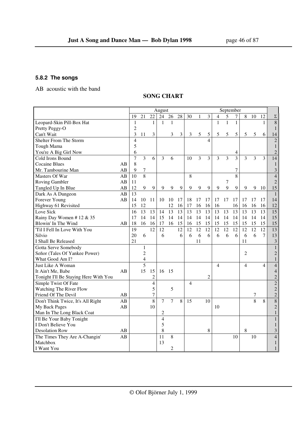## **5.8.2 The songs**

AB acoustic with the band

### **SONG CHART**

|                                       |    |                         |                         |                  | August         |                 |                 |                |    |                          |              | September |              |                |    |                |                 |
|---------------------------------------|----|-------------------------|-------------------------|------------------|----------------|-----------------|-----------------|----------------|----|--------------------------|--------------|-----------|--------------|----------------|----|----------------|-----------------|
|                                       |    | 19                      | 21                      | 22               | 24             | 26              | 28              | 30             | 1  | 3                        | 4            | 5         | 7            | 8              | 10 | 12             | $\Sigma$        |
| Leopard-Skin Pill-Box Hat             |    | 1                       |                         | $\mathbf{1}$     | $\mathbf{1}$   | 1               |                 |                |    |                          | $\mathbf{1}$ | 1         | $\mathbf{1}$ |                |    | $\mathbf{1}$   | $\overline{8}$  |
| Pretty Peggy-O                        |    | $\overline{c}$          |                         |                  |                |                 |                 |                |    |                          |              |           |              |                |    |                | $\mathbf{1}$    |
| Can't Wait                            |    | 3                       | 11                      | 3                |                | 3               | 3               | 3              | 5  | 5                        | 5            | 5         | 5            | 5              | 5  | 6              | 14              |
| Shelter From The Storm                |    | $\overline{\mathbf{4}}$ |                         |                  |                |                 |                 |                |    | $\overline{\mathcal{A}}$ |              |           |              |                |    |                | $\overline{c}$  |
| Tough Mama                            |    | 5                       |                         |                  |                |                 |                 |                |    |                          |              |           |              |                |    |                | $\mathbf{1}$    |
| You're A Big Girl Now                 |    | 6                       |                         |                  |                |                 |                 |                |    |                          |              |           | 4            |                |    |                | $\overline{2}$  |
| Cold Irons Bound                      |    | $\overline{7}$          | $\overline{3}$          | 6                | 3              | 6               |                 | 10             | 3  | $\overline{\mathbf{3}}$  | 3            | 3         | 3            | 3              | 3  | $\overline{3}$ | 14              |
| <b>Cocaine Blues</b>                  | AB | 8                       |                         |                  |                |                 |                 |                |    |                          |              |           |              |                |    |                | $\mathbf{1}$    |
| Mr. Tambourine Man                    | AB | 9                       | $\boldsymbol{7}$        |                  |                |                 |                 |                |    |                          |              |           | 7            |                |    |                | $\sqrt{3}$      |
| Masters Of War                        | AB | 10                      | $\overline{8}$          |                  |                |                 |                 | 8              |    |                          |              |           | 8            |                |    |                | $\overline{4}$  |
| <b>Roving Gambler</b>                 | AB | 11                      |                         |                  |                |                 |                 |                |    |                          |              | 7         |              |                |    |                | $\overline{2}$  |
| Tangled Up In Blue                    | AB | 12                      | 9                       | 9                | 9              | 9               | 9               | 9              | 9  | 9                        | 9            | 9         | 9            | 9              | 9  | 10             | 15              |
| Dark As A Dungeon                     | AB | 13                      |                         |                  |                |                 |                 |                |    |                          |              |           |              |                |    |                | $\mathbf{1}$    |
| Forever Young                         | AB | 14                      | 10                      | 11               | 10             | 10              | 17              | 18             | 17 | 17                       | 17           | 17        | 17           | 17             | 17 | 17             | 14              |
| Highway 61 Revisited                  |    | 15                      | 12                      |                  |                | 12              | 16              | 17             | 16 | 16                       | 16           |           | 16           | 16             | 16 | 16             | 12              |
| Love Sick                             |    | 16                      | 13                      | 13               | 14             | $\overline{13}$ | $\overline{13}$ | 13             | 13 | 13                       | 13           | 13        | 13           | 13             | 13 | 13             | $\overline{15}$ |
| Rainy Day Women #12 & 35              |    | 17                      | 14                      | 14               | 15             | 14              | 14              | 14             | 14 | 14                       | 14           | 14        | 14           | 14             | 14 | 14             | 15              |
| Blowin' In The Wind                   | AB | 18                      | 16                      | 16               | 17             | 16              | 15              | 16             | 15 | 15                       | 15           | 15        | 15           | 15             | 15 | 15             | 15              |
| 'Til I Fell In Love With You          |    | 19                      |                         | 12               | 12             |                 | 12              | 12             | 12 | 12                       | 12           | 12        | 12           | 12             | 12 | 12             | 13              |
| Silvio                                |    | 20                      | 6                       |                  | 6              |                 | 6               | 6              | 6  | 6                        | 6            | 6         | 6            | 6              | 6  | $\tau$         | 13              |
| I Shall Be Released                   |    | 21                      |                         |                  |                |                 |                 |                | 11 |                          |              |           |              | 11             |    |                | $\mathfrak{Z}$  |
| Gotta Serve Somebody                  |    |                         | 1                       |                  |                |                 |                 |                |    |                          |              |           |              |                |    |                | $\mathbf{1}$    |
| Señor (Tales Of Yankee Power)         |    |                         | $\overline{c}$          |                  |                |                 |                 |                |    |                          |              |           |              | 2              |    |                | $\sqrt{2}$      |
| What Good Am I?                       |    |                         | $\overline{\mathbf{4}}$ |                  |                |                 |                 |                |    |                          |              |           |              |                |    |                | $\mathbf{1}$    |
| Just Like A Woman                     |    |                         | $\overline{5}$          |                  |                |                 |                 |                |    |                          | 4            |           |              | $\overline{4}$ |    | $\overline{4}$ | $\overline{4}$  |
| It Ain't Me, Babe                     | AB |                         | 15                      | 15               | 16             | 15              |                 |                |    |                          |              |           |              |                |    |                | $\overline{4}$  |
| Tonight I'll Be Staying Here With You |    |                         |                         | $\overline{c}$   |                |                 |                 |                |    | $\overline{c}$           |              |           |              |                |    |                | $\overline{2}$  |
| Simple Twist Of Fate                  |    |                         |                         | $\overline{4}$   |                |                 |                 | $\overline{4}$ |    |                          |              |           |              |                |    |                | $\overline{2}$  |
| Watching The River Flow               |    |                         |                         | 5                |                | 5               |                 |                |    |                          |              |           |              |                |    |                | $\overline{2}$  |
| Friend Of The Devil                   | AB |                         |                         | $\boldsymbol{7}$ |                |                 |                 |                |    |                          |              |           |              |                | 7  |                | $\sqrt{2}$      |
| Don't Think Twice, It's All Right     | AB |                         |                         | 8                | $\overline{7}$ | $\overline{7}$  | 8               | 15             |    | 10                       |              |           |              |                | 8  | 8              | 8               |
| My Back Pages                         | AB |                         |                         | 10               |                |                 |                 |                |    |                          | 10           |           |              |                |    |                | $\overline{c}$  |
| Man In The Long Black Coat            |    |                         |                         |                  | $\overline{c}$ |                 |                 |                |    |                          |              |           |              |                |    |                | $\mathbf{1}$    |
| I'll Be Your Baby Tonight             |    |                         |                         |                  | $\overline{4}$ |                 |                 |                |    |                          |              |           |              |                |    |                | $\mathbf{1}$    |
| I Don't Believe You                   |    |                         |                         |                  | 5              |                 |                 |                |    |                          |              |           |              |                |    |                | $\mathbf{1}$    |
| <b>Desolation Row</b>                 | AB |                         |                         |                  | 8              |                 |                 |                |    | 8                        |              |           |              | 8              |    |                | $\mathfrak{Z}$  |
| The Times They Are A-Changin'         | AB |                         |                         |                  | 11             | 8               |                 |                |    |                          |              |           | 10           |                | 10 |                | $\overline{4}$  |
| Matchbox                              |    |                         |                         |                  | 13             |                 |                 |                |    |                          |              |           |              |                |    |                | $\mathbf{1}$    |
| I Want You                            |    |                         |                         |                  |                | $\overline{c}$  |                 |                |    |                          |              |           |              |                |    |                | $\mathbf{1}$    |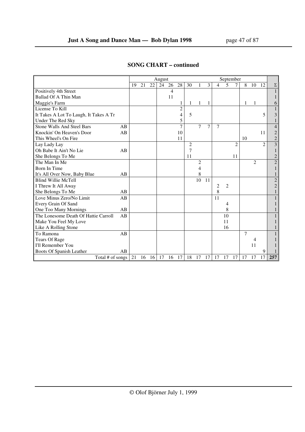|                                        |    |    |    |    | August |    |                |                |    |    |                |                | September      |                |                |                        |                |
|----------------------------------------|----|----|----|----|--------|----|----------------|----------------|----|----|----------------|----------------|----------------|----------------|----------------|------------------------|----------------|
|                                        |    | 19 | 21 | 22 | 24     | 26 | 28             | 30             |    | 3  | $\overline{4}$ | 5              | $\tau$         | 8              | 10             | 12                     | $\Sigma$       |
| Positively 4th Street                  |    |    |    |    |        | 4  |                |                |    |    |                |                |                |                |                |                        | $\mathbf{1}$   |
| Ballad Of A Thin Man                   |    |    |    |    |        | 11 |                |                |    |    |                |                |                |                |                |                        | 1              |
| Maggie's Farm                          |    |    |    |    |        |    | 1              | 1              | 1  | 1  |                |                |                | 1              | 1              |                        | 6              |
| License To Kill                        |    |    |    |    |        |    | $\overline{c}$ |                |    |    |                |                |                |                |                |                        | 1              |
| It Takes A Lot To Laugh, It Takes A Tr |    |    |    |    |        |    | 4              | 5              |    |    |                |                |                |                |                | 5                      | 3              |
| Under The Red Sky                      |    |    |    |    |        |    | 5              |                |    |    |                |                |                |                |                |                        | 1              |
| <b>Stone Walls And Steel Bars</b>      | AB |    |    |    |        |    | 7              |                | 7  | 7  | $\overline{7}$ |                |                |                |                |                        | $\overline{4}$ |
| Knockin' On Heaven's Door              | AB |    |    |    |        |    | 10             |                |    |    |                |                |                |                |                | 11                     | $\overline{2}$ |
| This Wheel's On Fire                   |    |    |    |    |        |    | 11             |                |    |    |                |                |                | 10             |                |                        | $\overline{c}$ |
| Lay Lady Lay                           |    |    |    |    |        |    |                | $\overline{c}$ |    |    |                |                | $\overline{c}$ |                |                | $\mathcal{D}_{\alpha}$ | $\overline{3}$ |
| Oh Babe It Ain't No Lie                | AB |    |    |    |        |    |                | 7              |    |    |                |                |                |                |                |                        | $\mathbf{1}$   |
| She Belongs To Me                      |    |    |    |    |        |    |                | 11             |    |    |                |                | 11             |                |                |                        | $\overline{c}$ |
| The Man In Me                          |    |    |    |    |        |    |                |                | 2  |    |                |                |                |                | $\overline{2}$ |                        | $\overline{2}$ |
| <b>Born In Time</b>                    |    |    |    |    |        |    |                |                | 4  |    |                |                |                |                |                |                        | 1              |
| It's All Over Now, Baby Blue           | AB |    |    |    |        |    |                |                | 8  |    |                |                |                |                |                |                        | $\mathbf{1}$   |
| <b>Blind Willie McTell</b>             |    |    |    |    |        |    |                |                | 10 | 11 |                |                |                |                |                |                        | $\sqrt{2}$     |
| I Threw It All Away                    |    |    |    |    |        |    |                |                |    |    | $\overline{c}$ | $\overline{c}$ |                |                |                |                        | $\mathbf{2}$   |
| She Belongs To Me                      | AB |    |    |    |        |    |                |                |    |    | 8              |                |                |                |                |                        | 1              |
| Love Minus Zero/No Limit               | AB |    |    |    |        |    |                |                |    |    | 11             |                |                |                |                |                        | $\mathbf 1$    |
| Every Grain Of Sand                    |    |    |    |    |        |    |                |                |    |    |                | 4              |                |                |                |                        | 1              |
| One Too Many Mornings                  | AB |    |    |    |        |    |                |                |    |    |                | 8              |                |                |                |                        | 1              |
| The Lonesome Death Of Hattie Carroll   | AB |    |    |    |        |    |                |                |    |    |                | 10             |                |                |                |                        | 1              |
| Make You Feel My Love                  |    |    |    |    |        |    |                |                |    |    |                | 11             |                |                |                |                        | 1              |
| Like A Rolling Stone                   |    |    |    |    |        |    |                |                |    |    |                | 16             |                |                |                |                        | 1              |
| To Ramona                              | AB |    |    |    |        |    |                |                |    |    |                |                |                | $\overline{7}$ |                |                        | $\mathbf{1}$   |
| <b>Tears Of Rage</b>                   |    |    |    |    |        |    |                |                |    |    |                |                |                |                | 4              |                        |                |
| I'll Remember You                      |    |    |    |    |        |    |                |                |    |    |                |                |                |                | 11             |                        |                |
| Boots Of Spanish Leather               | AB |    |    |    |        |    |                |                |    |    |                |                |                |                |                | 9                      |                |
| Total # of songs                       |    | 21 | 16 | 16 | 17     | 16 | 17             | 18             | 17 | 17 | 17             | 17             | 17             | 17             | 17             | 17                     | 257            |

## **SONG CHART – continued**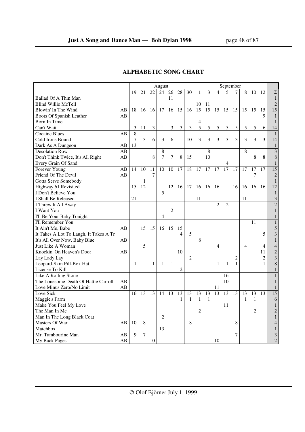|                                        |    |    |    |              | August         |                |                |                |                |               |                | September       |                |                |                |                |                 |
|----------------------------------------|----|----|----|--------------|----------------|----------------|----------------|----------------|----------------|---------------|----------------|-----------------|----------------|----------------|----------------|----------------|-----------------|
|                                        |    | 19 | 21 | 22           | 24             | 26             | 28             | 30             | 1              | 3             | 4              | 5               | 7              | 8              | 10             | 12             | $\Sigma$        |
| Ballad Of A Thin Man                   |    |    |    |              |                | 11             |                |                |                |               |                |                 |                |                |                |                | $\mathbf{1}$    |
| <b>Blind Willie McTell</b>             |    |    |    |              |                |                |                |                | 10             | 11            |                |                 |                |                |                |                | $\overline{2}$  |
| Blowin' In The Wind                    | AВ | 18 | 16 | 16           | 17             | 16             | 15             | 16             | 15             | 15            | 15 15          |                 | 15             | 15             | 15             | 15             | 15              |
| Boots Of Spanish Leather               | AB |    |    |              |                |                |                |                |                |               |                |                 |                |                |                | $\mathbf Q$    | $\mathbf{1}$    |
| Born In Time                           |    |    |    |              |                |                |                |                | $\overline{4}$ |               |                |                 |                |                |                |                | $\mathbf{1}$    |
| Can't Wait                             |    | 3  | 11 | 3            |                | 3              | 3              | $\mathfrak{Z}$ | 5              | $\mathfrak s$ | 5              | 5               | $\mathfrak s$  | 5              | 5              | 6              | 14              |
| <b>Cocaine Blues</b>                   | AB | 8  |    |              |                |                |                |                |                |               |                |                 |                |                |                |                | $\mathbf{1}$    |
| Cold Irons Bound                       |    | 7  | 3  | 6            | 3              | 6              |                | 10             | 3              | 3             | 3              | 3               | 3              | 3              | 3              | 3              | 14              |
| Dark As A Dungeon                      | AB | 13 |    |              |                |                |                |                |                |               |                |                 |                |                |                |                | $\mathbf{1}$    |
| <b>Desolation Row</b>                  | AB |    |    |              | 8              |                |                |                |                | 8             |                |                 |                | 8              |                |                | $\overline{3}$  |
| Don't Think Twice, It's All Right      | AB |    |    | 8            | 7              | 7              | 8              | 15             |                | 10            |                |                 |                |                | 8              | 8              | $\,8\,$         |
| Every Grain Of Sand                    |    |    |    |              |                |                |                |                |                |               |                | 4               |                |                |                |                | $\mathbf{1}$    |
| Forever Young                          | AB | 14 | 10 | 11           | 10             | 10             | 17             | 18             | 17             | 17            | 17             | $\overline{17}$ | 17             | 17             | 17             | 17             | $\overline{15}$ |
| Friend Of The Devil                    | AB |    |    | 7            |                |                |                |                |                |               |                |                 |                |                | 7              |                | $\overline{2}$  |
| Gotta Serve Somebody                   |    |    | 1  |              |                |                |                |                |                |               |                |                 |                |                |                |                | $\mathbf{1}$    |
| Highway 61 Revisited                   |    | 15 | 12 |              |                | 12             | 16             | 17             | 16             | 16            | 16             |                 | 16             | 16             | 16             | 16             | 12              |
| I Don't Believe You                    |    |    |    |              | 5              |                |                |                |                |               |                |                 |                |                |                |                | $\mathbf{1}$    |
| I Shall Be Released                    |    | 21 |    |              |                |                |                |                | 11             |               |                |                 |                | 11             |                |                | $\mathfrak{Z}$  |
| I Threw It All Away                    |    |    |    |              |                |                |                |                |                |               | $\mathfrak{D}$ | $\overline{2}$  |                |                |                |                | $\overline{2}$  |
| I Want You                             |    |    |    |              |                | $\overline{2}$ |                |                |                |               |                |                 |                |                |                |                | $\mathbf{1}$    |
| I'll Be Your Baby Tonight              |    |    |    |              | $\overline{4}$ |                |                |                |                |               |                |                 |                |                |                |                | $\mathbf{1}$    |
| I'll Remember You                      |    |    |    |              |                |                |                |                |                |               |                |                 |                |                | 11             |                | $\mathbf{1}$    |
| It Ain't Me, Babe                      | AB |    | 15 | 15           | 16             | 15             | 15             |                |                |               |                |                 |                |                |                |                | 5               |
| It Takes A Lot To Laugh, It Takes A Tr |    |    |    |              |                |                | 4              | $\mathfrak{S}$ |                |               |                |                 |                |                |                | 5              | $\mathfrak{Z}$  |
| It's All Over Now, Baby Blue           | AВ |    |    |              |                |                |                |                | 8              |               |                |                 |                |                |                |                | $\mathbf{1}$    |
| Just Like A Woman                      |    |    | 5  |              |                |                |                |                |                |               | 4              |                 |                | $\overline{4}$ |                | $\overline{4}$ | $\overline{4}$  |
| Knockin' On Heaven's Door              | AВ |    |    |              |                |                | 10             |                |                |               |                |                 |                |                |                | 11             | $\sqrt{2}$      |
| Lay Lady Lay                           |    |    |    |              |                |                |                | $\overline{2}$ |                |               |                |                 | $\overline{2}$ |                |                | $\overline{2}$ | $\overline{3}$  |
| Leopard-Skin Pill-Box Hat              |    | 1  |    | $\mathbf{1}$ | $\mathbf{1}$   | $\mathbf{1}$   |                |                |                |               | $\mathbf{1}$   | $\mathbf{1}$    | $\mathbf{1}$   |                |                | $\mathbf{1}$   | $\,8\,$         |
| License To Kill                        |    |    |    |              |                |                | $\overline{c}$ |                |                |               |                |                 |                |                |                |                | $\mathbf{1}$    |
| Like A Rolling Stone                   |    |    |    |              |                |                |                |                |                |               |                | 16              |                |                |                |                | $\mathbf{1}$    |
| The Lonesome Death Of Hattie Carroll   | AB |    |    |              |                |                |                |                |                |               |                | 10              |                |                |                |                | 1               |
| Love Minus Zero/No Limit               | AB |    |    |              |                |                |                |                |                |               | 11             |                 |                |                |                |                | $\mathbf{1}$    |
| Love Sick                              |    | 16 | 13 | 13           | 14             | 13             | 13             | 13             | 13             | 13            | 13             | 13              | 13             | 13             | 13             | 13             | 15              |
| Maggie's Farm                          |    |    |    |              |                |                | 1              | $\mathbf{1}$   | $\mathbf{1}$   | 1             |                |                 |                | 1              | $\mathbf{1}$   |                | 6               |
| Make You Feel My Love                  |    |    |    |              |                |                |                |                |                |               |                | 11              |                |                |                |                | $\mathbf{1}$    |
| The Man In Me                          |    |    |    |              |                |                |                |                | $\overline{2}$ |               |                |                 |                |                | $\overline{2}$ |                | $\overline{c}$  |
| Man In The Long Black Coat             |    |    |    |              | $\overline{2}$ |                |                |                |                |               |                |                 |                |                |                |                | $\mathbf{1}$    |
| Masters Of War                         | AВ | 10 | 8  |              |                |                |                | 8              |                |               |                |                 | 8              |                |                |                | 4               |
| Matchbox                               |    |    |    |              | 13             |                |                |                |                |               |                |                 |                |                |                |                | $\mathbf{1}$    |
| Mr. Tambourine Man                     | AВ | 9  | 7  |              |                |                |                |                |                |               |                |                 | 7              |                |                |                | 3               |
| My Back Pages                          | AB |    |    | 10           |                |                |                |                |                |               | 10             |                 |                |                |                |                | $\overline{2}$  |

# **ALPHABETIC SONG CHART**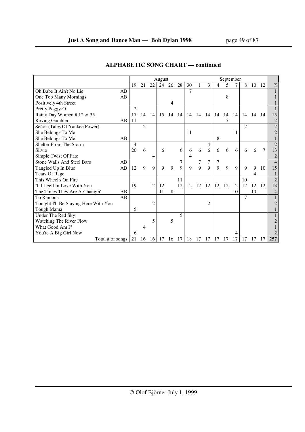|                                       |    |                |                |    | August |    |             |    |    |                |    | September |     |                |    |                |                |
|---------------------------------------|----|----------------|----------------|----|--------|----|-------------|----|----|----------------|----|-----------|-----|----------------|----|----------------|----------------|
|                                       |    | 19             | 21             | 22 | 24     | 26 | 28          | 30 |    | 3              | 4  | 5         |     | 8              | 10 | 12             | Σ              |
| Oh Babe It Ain't No Lie               | AB |                |                |    |        |    |             | 7  |    |                |    |           |     |                |    |                | 1              |
| One Too Many Mornings                 | AB |                |                |    |        |    |             |    |    |                |    | 8         |     |                |    |                |                |
| Positively 4th Street                 |    |                |                |    |        | 4  |             |    |    |                |    |           |     |                |    |                | 1              |
| Pretty Peggy-O                        |    | $\mathfrak{D}$ |                |    |        |    |             |    |    |                |    |           |     |                |    |                | $\mathbf{1}$   |
| Rainy Day Women #12 & 35              |    | 17             | 14             | 14 | 15     | 14 | 14          | 14 | 14 | 14             | 14 | 14        | -14 | 14             | 14 | -14            | 15             |
| Roving Gambler                        | AB | 11             |                |    |        |    |             |    |    |                |    |           |     |                |    |                | $\sqrt{2}$     |
| Señor (Tales Of Yankee Power)         |    |                | $\mathfrak{D}$ |    |        |    |             |    |    |                |    |           |     | $\mathfrak{D}$ |    |                | $\overline{2}$ |
| She Belongs To Me                     |    |                |                |    |        |    |             | 11 |    |                |    |           | 11  |                |    |                | $\overline{c}$ |
| She Belongs To Me                     | AB |                |                |    |        |    |             |    |    |                | 8  |           |     |                |    |                | $\mathbf{1}$   |
| Shelter From The Storm                |    | 4              |                |    |        |    |             |    |    | 4              |    |           |     |                |    |                | $\overline{2}$ |
| Silvio                                |    | 20             | 6              |    | 6      |    | 6           | 6  | 6  | 6              | 6  | 6         | 6   | 6              | 6  | $\overline{7}$ | 13             |
| Simple Twist Of Fate                  |    |                |                | 4  |        |    |             | 4  |    |                |    |           |     |                |    |                | $\overline{2}$ |
| <b>Stone Walls And Steel Bars</b>     | AB |                |                |    |        |    | 7           |    | 7  | 7              | 7  |           |     |                |    |                | $\overline{4}$ |
| Tangled Up In Blue                    | AB | 12             | 9              | 9  | 9      | 9  | $\mathbf Q$ | 9  | 9  | 9              | 9  | 9         | 9   | $\mathbf{Q}$   | 9  | 10             | 15             |
| <b>Tears Of Rage</b>                  |    |                |                |    |        |    |             |    |    |                |    |           |     |                |    |                | $\mathbf 1$    |
| This Wheel's On Fire                  |    |                |                |    |        |    | 11          |    |    |                |    |           |     | 10             |    |                | $\overline{2}$ |
| 'Til I Fell In Love With You          |    | 19             |                | 12 | 12     |    | 12          | 12 | 12 | 12             | 12 | 12        | 12  | 12             | 12 | 12             | 13             |
| The Times They Are A-Changin'         | AB |                |                |    | 11     | 8  |             |    |    |                |    |           | 10  |                | 10 |                | $\overline{4}$ |
| To Ramona                             | AB |                |                |    |        |    |             |    |    |                |    |           |     | 7              |    |                |                |
| Tonight I'll Be Staying Here With You |    |                |                | 2  |        |    |             |    |    | $\overline{c}$ |    |           |     |                |    |                | 2              |
| Tough Mama                            |    | 5              |                |    |        |    |             |    |    |                |    |           |     |                |    |                | 1              |
| Under The Red Sky                     |    |                |                |    |        |    | 5           |    |    |                |    |           |     |                |    |                |                |
| <b>Watching The River Flow</b>        |    |                |                | 5  |        | 5  |             |    |    |                |    |           |     |                |    |                | 2              |
| What Good Am I?                       |    |                |                |    |        |    |             |    |    |                |    |           |     |                |    |                |                |
| You're A Big Girl Now                 |    | 6              |                |    |        |    |             |    |    |                |    |           | 4   |                |    |                |                |
| Total # of songs                      |    | 21             | 16             | 16 | 17     | 16 | 17          | 18 | 17 | 17             | 17 | 17        | 17  | 17             | 17 | 17             | 257            |

## **ALPHABETIC SONG CHART — continued**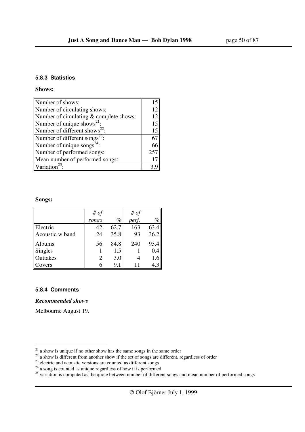#### **5.8.3 Statistics**

#### **Shows:**

| Number of shows:                                    |     |
|-----------------------------------------------------|-----|
| Number of circulating shows:                        | 12  |
| Number of circulating & complete shows:             | 12  |
| Number of unique shows <sup>21</sup> :              | 15  |
| Number of different shows <sup>22</sup> :           | 15  |
| Number of different songs <sup>23</sup> :           | 67  |
| Number of unique songs <sup><math>24</math></sup> : | 66  |
| Number of performed songs:                          | 257 |
| Mean number of performed songs:                     |     |
| Variation <sup>25</sup>                             |     |

#### **Songs:**

|                 | # of  |      | # of  |      |
|-----------------|-------|------|-------|------|
|                 | songs | $\%$ | perf. | $\%$ |
| Electric        | 42    | 62.7 | 163   | 63.4 |
| Acoustic w band | 24    | 35.8 | 93    | 36.2 |
| Albums          | 56    | 84.8 | 240   | 93.4 |
| <b>Singles</b>  |       | 1.5  |       | 0.4  |
| Outtakes        |       | 3.0  |       | 1.6  |
| Covers          |       | 9.1  |       | 4.3  |

#### **5.8.4 Comments**

### *Recommended shows*

Melbourne August 19.

 $2<sup>1</sup>$  a show is unique if no other show has the same songs in the same order

 $22$  a show is different from another show if the set of songs are different, regardless of order

 $23$  electric and acoustic versions are counted as different songs

 $2<sup>24</sup>$  a song is counted as unique regardless of how it is performed

<sup>&</sup>lt;sup>25</sup> variation is computed as the quote between number of different songs and mean number of performed songs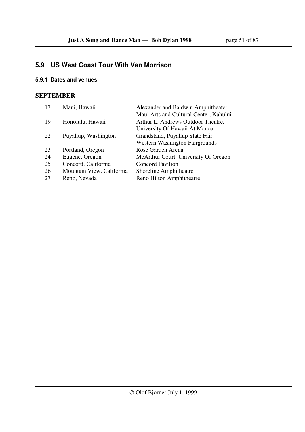## **5.9 US West Coast Tour With Van Morrison**

### **5.9.1 Dates and venues**

### **SEPTEMBER**

| Maui, Hawaii              | Alexander and Baldwin Amphitheater,    |
|---------------------------|----------------------------------------|
|                           | Maui Arts and Cultural Center, Kahului |
| Honolulu, Hawaii          | Arthur L. Andrews Outdoor Theatre,     |
|                           | University Of Hawaii At Manoa          |
| Puyallup, Washington      | Grandstand, Puyallup State Fair,       |
|                           | <b>Western Washington Fairgrounds</b>  |
| Portland, Oregon          | Rose Garden Arena                      |
| Eugene, Oregon            | McArthur Court, University Of Oregon   |
| Concord, California       | <b>Concord Pavilion</b>                |
| Mountain View, California | Shoreline Amphitheatre                 |
| Reno, Nevada              | Reno Hilton Amphitheatre               |
|                           |                                        |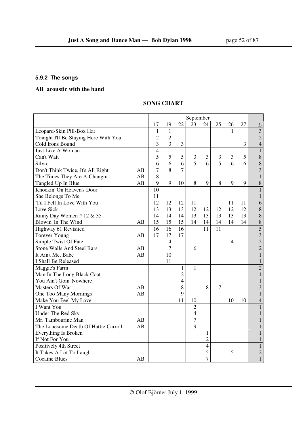## **5.9.2 The songs**

## **AB acoustic with the band**

## **SONG CHART**

|                                       |    |                |                |                | September      |                          |                |                |    |                           |
|---------------------------------------|----|----------------|----------------|----------------|----------------|--------------------------|----------------|----------------|----|---------------------------|
|                                       |    | 17             | 19             | 22             | 23             | 24                       | 25             | 26             | 27 | $\Sigma$                  |
| Leopard-Skin Pill-Box Hat             |    | $\mathbf{1}$   | $\mathbf{1}$   |                |                |                          |                | 1              |    | $\overline{\overline{3}}$ |
| Tonight I'll Be Staying Here With You |    | $\overline{c}$ | $\overline{2}$ |                |                |                          |                |                |    | $\overline{c}$            |
| Cold Irons Bound                      |    | 3              | 3              | 3              |                |                          |                |                | 3  | $\overline{4}$            |
| Just Like A Woman                     |    | $\overline{4}$ |                |                |                |                          |                |                |    | $\mathbf{1}$              |
| Can't Wait                            |    | 5              | 5              | 5              | 3              | 3                        | 3              | 3              | 5  | 8                         |
| Silvio                                |    | 6              | 6              | 6              | 5              | 6                        | 5              | 6              | 6  | 8                         |
| Don't Think Twice, It's All Right     | AB | $\overline{7}$ | 8              | $\overline{7}$ |                |                          |                |                |    | $\overline{3}$            |
| The Times They Are A-Changin'         | AB | 8              |                |                |                |                          |                |                |    | $\mathbf{1}$              |
| Tangled Up In Blue                    | AB | 9              | 9              | 10             | $8\,$          | 9                        | $8\,$          | 9              | 9  | 8                         |
| Knockin' On Heaven's Door             |    | 10             |                |                |                |                          |                |                |    | 1                         |
| She Belongs To Me                     |    | 11             |                |                |                |                          |                |                |    | $\mathbf{1}$              |
| Til I Fell In Love With You           |    | 12             | 12             | 12             | 11             |                          |                | 11             | 11 | 6                         |
| Love Sick                             |    | 13             | 13             | 13             | 12             | 12                       | 12             | 12             | 12 | 8                         |
| Rainy Day Women #12 & 35              |    | 14             | 14             | 14             | 13             | 13                       | 13             | 13             | 13 | $\,8\,$                   |
| Blowin' In The Wind                   | AB | 15             | 15             | 15             | 14             | 14                       | 14             | 14             | 14 | 8                         |
| Highway 61 Revisited                  |    | 16             | 16             | 16             |                | 11                       | 11             |                |    | 5                         |
| Forever Young                         | AB | 17             | 17             | 17             |                |                          |                |                |    | 3                         |
| Simple Twist Of Fate                  |    |                | $\overline{4}$ |                |                |                          |                | $\overline{4}$ |    | $\overline{2}$            |
| <b>Stone Walls And Steel Bars</b>     | AB |                | $\overline{7}$ |                | 6              |                          |                |                |    | $\overline{2}$            |
| It Ain't Me, Babe                     | AB |                | 10             |                |                |                          |                |                |    | $\mathbf{1}$              |
| I Shall Be Released                   |    |                | 11             |                |                |                          |                |                |    | $\mathbf{1}$              |
| Maggie's Farm                         |    |                |                | 1              | $\mathbf{1}$   |                          |                |                |    | $\overline{2}$            |
| Man In The Long Black Coat            |    |                |                | $\overline{c}$ |                |                          |                |                |    | $\mathbf{1}$              |
| You Ain't Goin' Nowhere               |    |                |                | 4              |                |                          |                |                |    | 1                         |
| Masters Of War                        | AB |                |                | 8              |                | 8                        | $\overline{7}$ |                |    | $\overline{3}$            |
| One Too Many Mornings                 | AB |                |                | 9              |                |                          |                |                |    | $\mathbf{1}$              |
| Make You Feel My Love                 |    |                |                | 11             | 10             |                          |                | 10             | 10 | $\overline{4}$            |
| I Want You                            |    |                |                |                | $\overline{2}$ |                          |                |                |    | $\mathbf{1}$              |
| Under The Red Sky                     |    |                |                |                | $\overline{4}$ |                          |                |                |    | $\mathbf{1}$              |
| Mr. Tambourine Man                    | AB |                |                |                | 7              |                          |                |                |    | 1                         |
| The Lonesome Death Of Hattie Carroll  | AB |                |                |                | 9              |                          |                |                |    | 1                         |
| Everything Is Broken                  |    |                |                |                |                | $\mathbf{1}$             |                |                |    | 1                         |
| If Not For You                        |    |                |                |                |                | $\overline{2}$           |                |                |    | 1                         |
| Positively 4th Street                 |    |                |                |                |                | $\overline{\mathcal{L}}$ |                |                |    | $\mathbf{1}$              |
| It Takes A Lot To Laugh               |    |                |                |                |                | 5                        |                | 5              |    | $\overline{c}$            |
| <b>Cocaine Blues</b>                  | AB |                |                |                |                | $\overline{7}$           |                |                |    | $\mathbf{1}$              |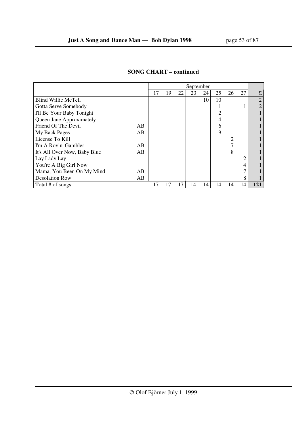|                                    |    |    |    | September |    |    |                |                |                |
|------------------------------------|----|----|----|-----------|----|----|----------------|----------------|----------------|
|                                    | 17 | 19 | 22 | 23        | 24 | 25 | 26             | 27             | Σ              |
| <b>Blind Willie McTell</b>         |    |    |    |           | 10 | 10 |                |                | $\overline{2}$ |
| Gotta Serve Somebody               |    |    |    |           |    |    |                |                |                |
| I'll Be Your Baby Tonight          |    |    |    |           |    | 2  |                |                |                |
| Queen Jane Approximately           |    |    |    |           |    | 4  |                |                |                |
| Friend Of The Devil<br>AB.         |    |    |    |           |    | h  |                |                |                |
| My Back Pages<br>AB                |    |    |    |           |    | 9  |                |                |                |
| License To Kill                    |    |    |    |           |    |    | $\overline{2}$ |                |                |
| I'm A Rovin' Gambler<br>AB         |    |    |    |           |    |    |                |                |                |
| It's All Over Now, Baby Blue<br>AB |    |    |    |           |    |    | 8              |                |                |
| Lay Lady Lay                       |    |    |    |           |    |    |                | $\mathfrak{D}$ |                |
| You're A Big Girl Now              |    |    |    |           |    |    |                | 4              |                |
| Mama, You Been On My Mind<br>AB    |    |    |    |           |    |    |                |                |                |
| <b>Desolation Row</b><br>AB        |    |    |    |           |    |    |                | 8              |                |
| Total # of songs                   | 17 | 17 | 17 | 14        | 14 | 14 | 14             | 14             | 121            |

## **SONG CHART – continued**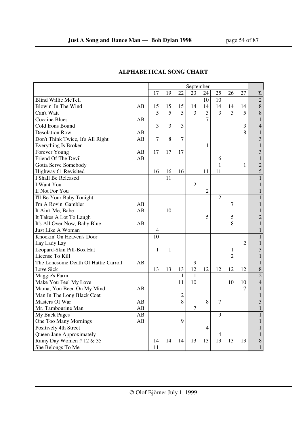|                                      |    |                |    |                         | September      |                |                |                |                |                         |
|--------------------------------------|----|----------------|----|-------------------------|----------------|----------------|----------------|----------------|----------------|-------------------------|
|                                      |    | 17             | 19 | 22                      | 23             | 24             | 25             | 26             | 27             | $\Sigma$                |
| <b>Blind Willie McTell</b>           |    |                |    |                         |                | 10             | 10             |                |                | $\overline{2}$          |
| Blowin' In The Wind                  | AB | 15             | 15 | 15                      | 14             | 14             | 14             | 14             | 14             | 8                       |
| Can't Wait                           |    | 5              | 5  | 5                       | 3              | 3              | 3              | 3              | 5              | 8                       |
| <b>Cocaine Blues</b>                 | AB |                |    |                         |                | $\overline{7}$ |                |                |                | $\mathbf{1}$            |
| Cold Irons Bound                     |    | 3              | 3  | $\overline{\mathbf{3}}$ |                |                |                |                | 3              | $\overline{4}$          |
| <b>Desolation Row</b>                | AB |                |    |                         |                |                |                |                | 8              | $\,1$                   |
| Don't Think Twice, It's All Right    | AB | $\overline{7}$ | 8  | $\overline{7}$          |                |                |                |                |                | $\overline{3}$          |
| Everything Is Broken                 |    |                |    |                         |                | $\mathbf{1}$   |                |                |                | $\mathbf{1}$            |
| Forever Young                        | AB | 17             | 17 | 17                      |                |                |                |                |                | 3                       |
| Friend Of The Devil                  | AB |                |    |                         |                |                | 6              |                |                | $\mathbf{1}$            |
| Gotta Serve Somebody                 |    |                |    |                         |                |                | $\mathbf{1}$   |                | $\mathbf{1}$   | $\overline{c}$          |
| Highway 61 Revisited                 |    | 16             | 16 | 16                      |                | 11             | 11             |                |                | 5                       |
| I Shall Be Released                  |    |                | 11 |                         |                |                |                |                |                | $\mathbf{1}$            |
| I Want You                           |    |                |    |                         | $\overline{2}$ |                |                |                |                | $\mathbf{1}$            |
| If Not For You                       |    |                |    |                         |                | $\overline{c}$ |                |                |                | 1                       |
| I'll Be Your Baby Tonight            |    |                |    |                         |                |                | $\overline{2}$ |                |                | $\mathbf{1}$            |
| I'm A Rovin' Gambler                 | AB |                |    |                         |                |                |                | $\overline{7}$ |                | $\mathbf{1}$            |
| It Ain't Me, Babe                    | AB |                | 10 |                         |                |                |                |                |                | $\mathbf{1}$            |
| It Takes A Lot To Laugh              |    |                |    |                         |                | 5              |                | 5              |                | $\overline{c}$          |
| It's All Over Now, Baby Blue         | AB |                |    |                         |                |                |                | 8              |                | $\mathbf{1}$            |
| Just Like A Woman                    |    | $\overline{4}$ |    |                         |                |                |                |                |                | $\mathbf{1}$            |
| Knockin' On Heaven's Door            |    | 10             |    |                         |                |                |                |                |                | $\mathbf{1}$            |
| Lay Lady Lay                         |    |                |    |                         |                |                |                |                | $\overline{2}$ | $\mathbf{1}$            |
| Leopard-Skin Pill-Box Hat            |    | 1              | 1  |                         |                |                |                | $\mathbf{1}$   |                | 3                       |
| License To Kill                      |    |                |    |                         |                |                |                | $\overline{2}$ |                | $\mathbf{1}$            |
| The Lonesome Death Of Hattie Carroll | AB |                |    |                         | 9              |                |                |                |                | $\mathbf{1}$            |
| Love Sick                            |    | 13             | 13 | 13                      | 12             | 12             | 12             | 12             | 12             | 8                       |
| Maggie's Farm                        |    |                |    | $\mathbf{1}$            | $\mathbf{1}$   |                |                |                |                | $\overline{2}$          |
| Make You Feel My Love                |    |                |    | 11                      | 10             |                |                | 10             | 10             | $\overline{4}$          |
| Mama, You Been On My Mind            | AВ |                |    |                         |                |                |                |                | 7              | $\mathbf{1}$            |
| Man In The Long Black Coat           |    |                |    | $\overline{c}$          |                |                |                |                |                | $\mathbf{1}$            |
| Masters Of War                       | AB |                |    | 8                       |                | 8              | 7              |                |                | $\overline{\mathbf{3}}$ |
| Mr. Tambourine Man                   | AB |                |    |                         | $\tau$         |                |                |                |                | $\mathbf{1}$            |
| My Back Pages                        | AB |                |    |                         |                |                | 9              |                |                | $\mathbf{1}$            |
| One Too Many Mornings                | AB |                |    | 9                       |                |                |                |                |                | $\mathbf{1}$            |
| Positively 4th Street                |    |                |    |                         |                | $\overline{4}$ |                |                |                | 1                       |
| Queen Jane Approximately             |    |                |    |                         |                |                | $\overline{4}$ |                |                | $\mathbf{1}$            |
| Rainy Day Women #12 & 35             |    | 14             | 14 | 14                      | 13             | 13             | 13             | 13             | 13             | $\,8\,$                 |
| She Belongs To Me                    |    | 11             |    |                         |                |                |                |                |                | $\mathbf 1$             |

# **ALPHABETICAL SONG CHART**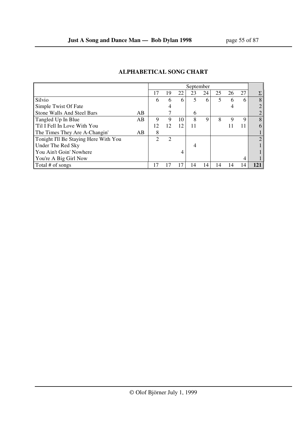|                                       |    |    |                |    | September      |    |    |    |    |   |
|---------------------------------------|----|----|----------------|----|----------------|----|----|----|----|---|
|                                       |    | 17 | 19             | 22 | 23             | 24 | 25 | 26 | 27 | Σ |
| Silvio                                |    | 6  | 6              | 6  | 5              | 6  | 5  | 6  | 6  | 8 |
| Simple Twist Of Fate                  |    |    |                |    |                |    |    | 4  |    |   |
| <b>Stone Walls And Steel Bars</b>     | AB |    |                |    | 6              |    |    |    |    |   |
| Tangled Up In Blue                    | AB | 9  | 9              | 10 | 8              | 9  | 8  | 9  | 9  | 8 |
| 'Til I Fell In Love With You          |    | 12 | 12             | 12 | 11             |    |    |    |    | 6 |
| The Times They Are A-Changin'         | AB | 8  |                |    |                |    |    |    |    |   |
| Tonight I'll Be Staying Here With You |    | ↑  | $\overline{c}$ |    |                |    |    |    |    |   |
| Under The Red Sky                     |    |    |                |    | $\overline{4}$ |    |    |    |    |   |
| You Ain't Goin' Nowhere               |    |    |                | 4  |                |    |    |    |    |   |
| You're A Big Girl Now                 |    |    |                |    |                |    |    |    | 4  |   |
| Total # of songs                      |    |    |                | 17 | 14             | 14 | 14 | 14 | 14 |   |

## **ALPHABETICAL SONG CHART**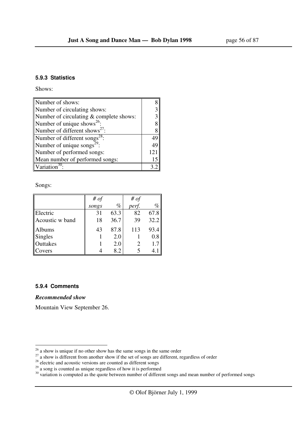#### **5.9.3 Statistics**

Shows:

| Number of shows:                          |     |
|-------------------------------------------|-----|
| Number of circulating shows:              |     |
| Number of circulating & complete shows:   |     |
| Number of unique shows <sup>26</sup> :    |     |
| Number of different shows <sup>27</sup> : | 8   |
| Number of different songs <sup>28</sup> : | 49  |
| Number of unique songs <sup>29</sup> :    | 49  |
| Number of performed songs:                | 121 |
| Mean number of performed songs:           | 15  |
| Variation <sup>30</sup>                   |     |

Songs:

|                 | # of  |      | # $of$ |      |
|-----------------|-------|------|--------|------|
|                 | songs | $\%$ | perf.  | $\%$ |
| Electric        | 31    | 63.3 | 82     | 67.8 |
| Acoustic w band | 18    | 36.7 | 39     | 32.2 |
| <b>Albums</b>   | 43    | 87.8 | 113    | 93.4 |
| Singles         |       | 2.0  |        | 0.8  |
| Outtakes        |       | 2.0  |        | 1.7  |
| Covers          |       | 8.2  |        | 4.   |

#### **5.9.4 Comments**

*Recommended show* 

Mountain View September 26.

 $26$  a show is unique if no other show has the same songs in the same order

 $27$  a show is different from another show if the set of songs are different, regardless of order

 $28$  electric and acoustic versions are counted as different songs

 $29<sup>29</sup>$  a song is counted as unique regardless of how it is performed

 $30$  variation is computed as the quote between number of different songs and mean number of performed songs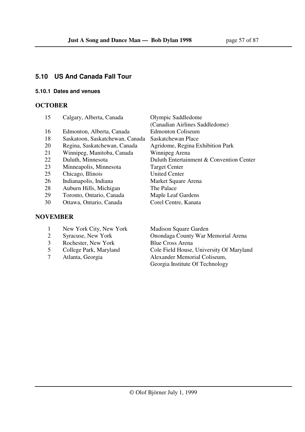## **5.10 US And Canada Fall Tour**

### **5.10.1 Dates and venues**

## **OCTOBER**

| 15         | Calgary, Alberta, Canada        | Olympic Saddledome                       |
|------------|---------------------------------|------------------------------------------|
|            |                                 | (Canadian Airlines Saddledome)           |
| 16         | Edmonton, Alberta, Canada       | <b>Edmonton Coliseum</b>                 |
| 18         | Saskatoon, Saskatchewan, Canada | Saskatchewan Place                       |
| 20         | Regina, Saskatchewan, Canada    | Agridome, Regina Exhibition Park         |
| 21         | Winnipeg, Manitoba, Canada      | Winnipeg Arena                           |
| 22         | Duluth, Minnesota               | Duluth Entertainment & Convention Center |
| 23         | Minneapolis, Minnesota          | <b>Target Center</b>                     |
| 25         | Chicago, Illinois               | <b>United Center</b>                     |
| 26         | Indianapolis, Indiana           | Market Square Arena                      |
| 28         | Auburn Hills, Michigan          | The Palace                               |
| 29         | Toronto, Ontario, Canada        | <b>Maple Leaf Gardens</b>                |
| 30         | Ottawa, Ontario, Canada         | Corel Centre, Kanata                     |
|            |                                 |                                          |
| \TITI ININ |                                 |                                          |

## **NOVEMBER**

- 1 New York City, New York Madison Square Garden
- 
- 3 Rochester, New York Blue Cross Arena
- 
- 

 2 Syracuse, New York Onondaga County War Memorial Arena 5 College Park, Maryland Cole Field House, University Of Maryland<br>7 Atlanta, Georgia Alexander Memorial Coliseum, 7 Atlanta, Georgia Alexander Memorial Coliseum, Georgia Institute Of Technology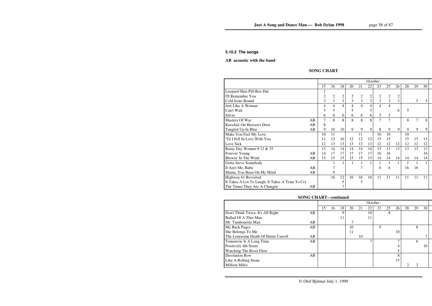#### **5.10.2 The songs**

#### **AB acoustic with the band**

## **SONG CHART**

|                                                  |    |                |                |                |    |                | October        |    |                |                |    |    |    |  |
|--------------------------------------------------|----|----------------|----------------|----------------|----|----------------|----------------|----|----------------|----------------|----|----|----|--|
|                                                  |    | 15             | 16             | 18             | 20 | 21             | 22             | 23 | 25             | 26             | 28 | 29 | 30 |  |
| Leopard-Skin Pill-Box Hat                        |    |                |                |                |    |                |                |    |                |                |    |    |    |  |
| I'll Remember You                                |    | $\overline{2}$ | $\overline{2}$ | $\overline{2}$ | 2  | $\overline{2}$ | $\overline{c}$ | 2  | $\overline{2}$ | $\overline{2}$ |    |    |    |  |
| Cold Irons Bound                                 |    | 3              | 3              | 3              | 3  | 3              | $\overline{3}$ | 3  | 3              | $\overline{3}$ |    | 5  | 5  |  |
| Just Like A Woman                                |    | 4              | 4              | 4              | 4  | 4              | 4              | 4  | 4              |                |    |    |    |  |
| Can't Wait                                       |    | 5              | 5              |                | 5  |                |                |    |                | 6              | 5  |    |    |  |
| Silvio                                           |    | 6              | 6              | 6              | 6  | 6              | 6              | 5  | 5              |                |    |    |    |  |
| Masters Of War                                   | AB | 7              | 8              | 8              | 8  | 8              | 8              | 7  | 7              |                | 8  | 7  | 8  |  |
| Knockin' On Heaven's Door                        | AB | 8              |                |                |    |                |                |    |                |                |    |    |    |  |
| Tangled Up In Blue                               | AB | 9              | 10             | 10             | 9  | 9              | 9              | 8  | 9              | 9              | 9  | 9  | 9  |  |
| Make You Feel My Love                            |    | 10             | 11             |                |    | 11             |                | 10 | 10             |                | 10 |    |    |  |
| Til I Fell In Love With You                      |    | 11             | 12             | 16             | 12 | 12             | 12             | 15 | 15             |                | 15 | 15 | 15 |  |
| Love Sick                                        |    | 12             | 13             | 13             | 13 | 13             | 13             | 12 | 12             | 12             | 12 | 12 | 12 |  |
| Rainy Day Women # 12 $& 35$                      |    | 13             | 14             | 14             | 14 | 14             | 14             | 13 | 13             | 13             | 13 | 13 | 13 |  |
| Forever Young                                    | AB | 14             | 17             | 17             | 17 | 17             | 17             | 16 | 16             |                |    |    | 16 |  |
| Blowin' In The Wind                              | AB | 15             | 15             | 15             | 15 | 15             | 15             | 14 | 14             | 14             | 14 | 14 | 14 |  |
| Gotta Serve Somebody                             |    |                |                | 1              |    |                |                |    |                |                |    |    |    |  |
| It Ain't Me, Babe                                | AB |                |                |                |    |                |                | 6  | 6              |                | 16 | 16 |    |  |
| Mama, You Been On My Mind                        | AB |                | 9              |                |    |                |                |    |                |                |    |    |    |  |
| Highway 61 Revisited                             |    |                | 16             | 12             | 16 | 16             | 16             | 11 | 11             | 11             | 11 | 11 | 11 |  |
| It Takes A Lot To Laugh, It Takes A Train To Cry |    |                |                | 5              |    | 5              |                |    |                |                |    |    |    |  |
| The Times They Are A-Changin'                    | AВ |                |                |                |    |                |                |    |                |                |    |    |    |  |

# **SONG CHART– continued**

|                                      |    |    |    |          |    |    | October |    |    |    |    |    |    |  |
|--------------------------------------|----|----|----|----------|----|----|---------|----|----|----|----|----|----|--|
|                                      |    | 15 | 16 | 18       | 20 | 21 | 22      | 23 | 25 | 26 | 28 | 29 | 30 |  |
| Don't Think Twice, It's All Right    | AB |    |    | $\Omega$ |    |    | 10      |    | 8  |    |    |    |    |  |
| Ballad Of A Thin Man                 |    |    |    | 11       |    |    | 11      |    |    |    |    |    |    |  |
| Mr. Tambourine Man                   | AB |    |    |          |    |    |         |    |    |    |    |    |    |  |
| My Back Pages                        | AB |    |    |          | 10 |    |         | 9  |    |    |    | 8  |    |  |
| She Belongs To Me                    |    |    |    |          | 11 |    |         |    |    | 10 |    |    |    |  |
| The Lonesome Death Of Hattie Carroll | AB |    |    |          |    | 10 |         |    |    |    |    |    |    |  |
| Tomorrow Is A Long Time              | AB |    |    |          |    |    |         |    |    |    |    | 6  |    |  |
| Positively 4th Street                |    |    |    |          |    |    |         |    |    |    |    |    | 10 |  |
| Watching The River Flow              |    |    |    |          |    |    |         |    |    |    |    |    |    |  |
| <b>Desolation Row</b>                | AB |    |    |          |    |    |         |    |    |    |    |    |    |  |
| Like A Rolling Stone                 |    |    |    |          |    |    |         |    |    | 15 |    |    |    |  |
| <b>Million Miles</b>                 |    |    |    |          |    |    |         |    |    |    |    |    |    |  |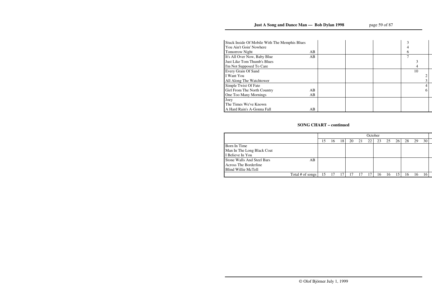| Stuck Inside Of Mobile With The Memphis Blues |    |   |    |  |
|-----------------------------------------------|----|---|----|--|
| You Ain't Goin' Nowhere                       |    |   |    |  |
| <b>Tomorrow Night</b>                         | AB | 6 |    |  |
| It's All Over Now, Baby Blue                  | AB |   |    |  |
| Just Like Tom Thumb's Blues                   |    |   |    |  |
| I'm Not Supposed To Care                      |    |   |    |  |
| Every Grain Of Sand                           |    |   | 10 |  |
| I Want You                                    |    |   |    |  |
| All Along The Watchtower                      |    |   |    |  |
| Simple Twist Of Fate                          |    |   |    |  |
| Girl From The North Country                   | AB |   |    |  |
| One Too Many Mornings                         | AB |   |    |  |
| Joey                                          |    |   |    |  |
| The Times We've Known                         |    |   |    |  |
| A Hard Rain's A-Gonna Fall                    | AB |   |    |  |

# **SONG CHART – continued**

|                                   |                  |    |    |    |    |    | October |    |    |    |    |    |    |  |
|-----------------------------------|------------------|----|----|----|----|----|---------|----|----|----|----|----|----|--|
|                                   |                  | l5 | 16 | 18 | 20 | 21 | 22      | 23 | 25 | 26 | 28 | 29 | 30 |  |
| Born In Time                      |                  |    |    |    |    |    |         |    |    |    |    |    |    |  |
| Man In The Long Black Coat        |                  |    |    |    |    |    |         |    |    |    |    |    |    |  |
| I Believe In You                  |                  |    |    |    |    |    |         |    |    |    |    |    |    |  |
| <b>Stone Walls And Steel Bars</b> | AB               |    |    |    |    |    |         |    |    |    |    |    |    |  |
| <b>Across The Borderline</b>      |                  |    |    |    |    |    |         |    |    |    |    |    |    |  |
| Blind Willie McTell               |                  |    |    |    |    |    |         |    |    |    |    |    |    |  |
|                                   | Total # of songs | 15 |    | 17 |    |    |         | 16 | ۱b | 15 | 16 |    |    |  |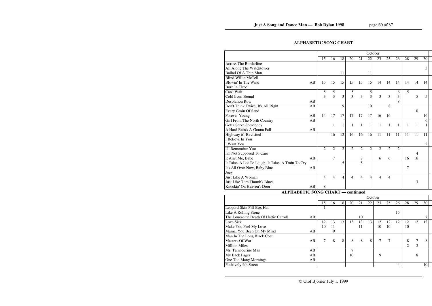# **ALPHABETIC SONG CHART**

|                                                  |    |                |                |                |                |                | October        |                |                |                |                |                |    |  |
|--------------------------------------------------|----|----------------|----------------|----------------|----------------|----------------|----------------|----------------|----------------|----------------|----------------|----------------|----|--|
|                                                  |    | 15             | 16             | 18             | 20             | 21             | 22             | 23             | 25             | 26             | 28             | 29             | 30 |  |
| <b>Across The Borderline</b>                     |    |                |                |                |                |                |                |                |                |                |                |                |    |  |
| All Along The Watchtower                         |    |                |                |                |                |                |                |                |                |                |                |                | 3  |  |
| <b>Ballad Of A Thin Man</b>                      |    |                |                | 11             |                |                | 11             |                |                |                |                |                |    |  |
| <b>Blind Willie McTell</b>                       |    |                |                |                |                |                |                |                |                |                |                |                |    |  |
| Blowin' In The Wind                              | AB | 15             | 15             | 15             | 15             | 15             | 15             | 14             | 14             | 14             | 14             | 14             | 14 |  |
| Born In Time                                     |    |                |                |                |                |                |                |                |                |                |                |                |    |  |
| Can't Wait                                       |    | 5              | 5              |                | 5              |                | 5              |                |                | 6              | 5              |                |    |  |
| Cold Irons Bound                                 |    | 3              | 3              | 3              | 3              | 3              | 3              | 3              | 3              | 3              |                | 5              | 5  |  |
| <b>Desolation Row</b>                            | AB |                |                |                |                |                |                |                |                | 8              |                |                |    |  |
| Don't Think Twice, It's All Right                | AB |                |                | 9              |                |                | 10             |                | 8              |                |                |                |    |  |
| <b>Every Grain Of Sand</b>                       |    |                |                |                |                |                |                |                |                |                |                | 10             |    |  |
| Forever Young                                    | AB | 14             | 17             | 17             | 17             | 17             | 17             | 16             | 16             |                |                |                | 16 |  |
| Girl From The North Country                      | AB |                |                |                |                |                |                |                |                |                |                |                | 6  |  |
| Gotta Serve Somebody                             |    |                | 1              | $\mathbf{1}$   | 1              | $\mathbf{1}$   | $\mathbf{1}$   | 1              | 1              | 1              | 1              | 1              | 1  |  |
| A Hard Rain's A-Gonna Fall                       | AB |                |                |                |                |                |                |                |                |                |                |                |    |  |
| Highway 61 Revisited                             |    |                | 16             | 12             | 16             | 16             | 16             | 11             | 11             | 11             | 11             | 11             | 11 |  |
| I Believe In You                                 |    |                |                |                |                |                |                |                |                |                |                |                |    |  |
| <b>I</b> Want You                                |    |                |                |                |                |                |                |                |                |                |                |                | 2  |  |
| I'll Remember You                                |    | $\overline{2}$ | $\overline{2}$ | $\overline{2}$ | $\overline{2}$ | $\overline{2}$ | $\overline{2}$ | $\overline{2}$ | $\overline{2}$ | $\overline{2}$ |                |                |    |  |
| I'm Not Supposed To Care                         |    |                |                |                |                |                |                |                |                |                |                | 4              |    |  |
| It Ain't Me, Babe                                | AB |                |                |                |                | 7              |                | 6              | 6              |                | 16             | 16             |    |  |
| It Takes A Lot To Laugh, It Takes A Train To Cry |    |                |                | 5              |                | $\overline{5}$ |                |                |                |                |                |                |    |  |
| It's All Over Now, Baby Blue                     | AB |                |                |                |                |                |                |                |                |                | 7              |                |    |  |
| Joey                                             |    |                |                |                |                |                |                |                |                |                |                |                |    |  |
| Just Like A Woman                                |    | 4              | 4              | $\overline{4}$ | 4              | $\overline{4}$ | $\overline{4}$ | 4              | 4              |                |                |                |    |  |
| Just Like Tom Thumb's Blues                      |    |                |                |                |                |                |                |                |                |                |                | 3              |    |  |
| Knockin' On Heaven's Door                        | AB | 8              |                |                |                |                |                |                |                |                |                |                |    |  |
| <b>ALPHABETIC SONG CHART - continued</b>         |    |                |                |                |                |                |                |                |                |                |                |                |    |  |
|                                                  |    |                |                |                |                |                | October        |                |                |                |                |                |    |  |
|                                                  |    | 15             | 16             | 18             | 20             | 21             | 22             | 23             | 25             | 26             | 28             | 29             | 30 |  |
| Leopard-Skin Pill-Box Hat                        |    | $\mathbf{1}$   |                |                |                |                |                |                |                |                |                |                |    |  |
| Like A Rolling Stone                             |    |                |                |                |                |                |                |                |                | 15             |                |                |    |  |
| The Lonesome Death Of Hattie Carroll             | AB |                |                |                |                | 10             |                |                |                |                |                |                | 7  |  |
| Love Sick                                        |    | 12             | 13             | 13             | 13             | 13             | 13             | 12             | 12             | 12             | 12             | 12             | 12 |  |
| Make You Feel My Love                            |    | 10             | 11             |                |                | 11             |                | 10             | 10             |                | 10             |                |    |  |
| Mama, You Been On My Mind                        | AB |                | 9              |                |                |                |                |                |                |                |                |                |    |  |
| Man In The Long Black Coat                       |    |                |                |                |                |                |                |                |                |                |                |                |    |  |
| Masters Of War                                   | AB | 7              | 8              | $\,8\,$        | 8              | 8              | $8\,$          | 7              | $\tau$         |                | 8              | 7              | 8  |  |
| <b>Million Miles</b>                             |    |                |                |                |                |                |                |                |                |                | $\overline{2}$ | $\overline{2}$ |    |  |
| Mr. Tambourine Man                               | AB |                |                |                | 7              |                |                |                |                |                |                |                |    |  |
| My Back Pages                                    | AB |                |                |                | 10             |                |                | 9              |                |                |                | 8              |    |  |
| One Too Many Mornings                            | AB |                |                |                |                |                |                |                |                |                |                |                |    |  |
| Positively 4th Street                            |    |                |                |                |                |                |                |                |                | $\overline{4}$ |                |                | 10 |  |
|                                                  |    |                |                |                |                |                |                |                |                |                |                |                |    |  |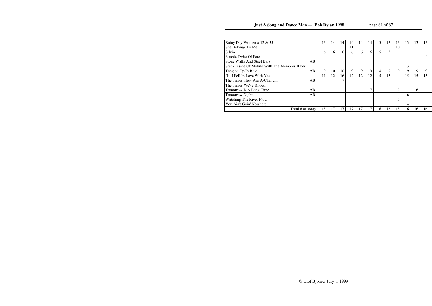# **Just A Song and Dance Man — Bob Dylan 1998**

| Rainy Day Women # 12 $& 35$                   |    | 13 | 14 | 14              | 14 | 14 | 14 | 13 | 13 | 13 | 13 | 13 | 13 |
|-----------------------------------------------|----|----|----|-----------------|----|----|----|----|----|----|----|----|----|
| She Belongs To Me                             |    |    |    |                 | 11 |    |    |    |    | 10 |    |    |    |
| Silvio                                        |    | 6  | 6  | 6               | 6  | 6  | 6  |    | 5  |    |    |    |    |
| Simple Twist Of Fate                          |    |    |    |                 |    |    |    |    |    |    |    |    |    |
| <b>Stone Walls And Steel Bars</b>             | AB |    |    |                 |    |    |    |    |    |    |    |    |    |
| Stuck Inside Of Mobile With The Memphis Blues |    |    |    |                 |    |    |    |    |    |    | 3  |    |    |
| Tangled Up In Blue                            | AB | 9  | 10 | 10 <sub>1</sub> | 9  | 9  | 9  | 8  | 9  | 9  | 9  | 9  |    |
| Til I Fell In Love With You                   |    | 11 | 12 | 16              | 12 | 12 | 12 | 15 | 15 |    | 15 | 15 | 15 |
| The Times They Are A-Changin'                 | AB |    |    | ⇁               |    |    |    |    |    |    |    |    |    |
| The Times We've Known                         |    |    |    |                 |    |    |    |    |    |    |    |    |    |
| Tomorrow Is A Long Time                       | AB |    |    |                 |    |    |    |    |    |    |    | 6  |    |
| <b>Tomorrow Night</b>                         | AB |    |    |                 |    |    |    |    |    |    | 6  |    |    |
| Watching The River Flow                       |    |    |    |                 |    |    |    |    |    |    |    |    |    |
| You Ain't Goin' Nowhere                       |    |    |    |                 |    |    |    |    |    |    | 4  |    |    |
| Total # of songs                              |    | 15 |    |                 | 17 |    |    | 16 | 16 | 15 | 16 | 16 | 16 |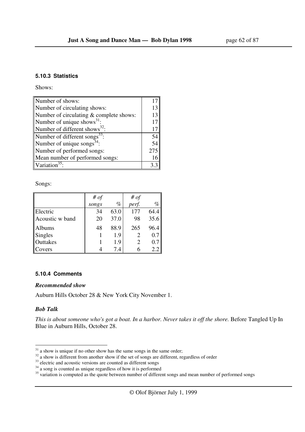#### **5.10.3 Statistics**

Shows:

| Number of shows:                          |     |
|-------------------------------------------|-----|
| Number of circulating shows:              | 13  |
| Number of circulating & complete shows:   | 13  |
| Number of unique shows <sup>31</sup> :    | 17  |
| Number of different shows <sup>32</sup> : | 17  |
| Number of different songs <sup>33</sup>   | 54  |
| Number of unique songs <sup>34</sup> :    | 54  |
| Number of performed songs:                | 275 |
| Mean number of performed songs:           | 16  |
| Variation <sup>35</sup>                   |     |

Songs:

|                 | # $of$ |      | # $of$ |      |
|-----------------|--------|------|--------|------|
|                 | songs  | $\%$ | perf.  | $\%$ |
| Electric        | 34     | 63.0 | 177    | 64.4 |
| Acoustic w band | 20     | 37.0 | 98     | 35.6 |
| <b>Albums</b>   | 48     | 88.9 | 265    | 96.4 |
| Singles         |        | 1.9  |        | 0.7  |
| Outtakes        |        | 1.9  |        | 0.7  |
| Covers          |        | 7.4  |        | 2.2  |

#### **5.10.4 Comments**

#### *Recommended show*

Auburn Hills October 28 & New York City November 1.

#### *Bob Talk*

*This is about someone who's got a boat. In a harbor. Never takes it off the shore.* Before Tangled Up In Blue in Auburn Hills, October 28.

 $31$  a show is unique if no other show has the same songs in the same order;

<sup>&</sup>lt;sup>32</sup> a show is different from another show if the set of songs are different, regardless of order

 $33$  electric and acoustic versions are counted as different songs

 $34$  a song is counted as unique regardless of how it is performed

<sup>&</sup>lt;sup>35</sup> variation is computed as the quote between number of different songs and mean number of performed songs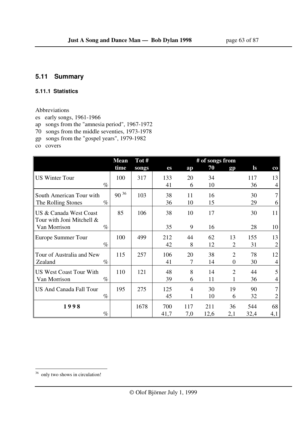## **5.11 Summary**

#### **5.11.1 Statistics**

### Abbreviations

- es early songs, 1961-1966
- ap songs from the "amnesia period", 1967-1972
- 70 songs from the middle seventies, 1973-1978
- gp songs from the "gospel years", 1979-1982

co covers

|                                                     | <b>Mean</b> | Tot#  | # of songs from |     |      |                |       |                |  |  |
|-----------------------------------------------------|-------------|-------|-----------------|-----|------|----------------|-------|----------------|--|--|
|                                                     | time        | songs | es              | ap  | 70   | gp             | $\lg$ | $_{\rm co}$    |  |  |
| <b>US Winter Tour</b>                               | 100         | 317   | 133             | 20  | 34   |                | 117   | 13             |  |  |
| $\%$                                                |             |       | 41              | 6   | 10   |                | 36    | 4              |  |  |
| South American Tour with                            | $90^{36}$   | 103   | 38              | 11  | 16   |                | 30    | 7              |  |  |
| The Rolling Stones<br>$\%$                          |             |       | 36              | 10  | 15   |                | 29    | 6              |  |  |
| US & Canada West Coast<br>Tour with Joni Mitchell & | 85          | 106   | 38              | 10  | 17   |                | 30    | 11             |  |  |
| $\%$<br>Van Morrison                                |             |       | 35              | 9   | 16   |                | 28    | 10             |  |  |
| Europe Summer Tour                                  | 100         | 499   | 212             | 44  | 62   | 13             | 155   | 13             |  |  |
| $\%$                                                |             |       | 42              | 8   | 12   | $\overline{2}$ | 31    | $\overline{2}$ |  |  |
| Tour of Australia and New                           | 115         | 257   | 106             | 20  | 38   | $\overline{2}$ | 78    | 12             |  |  |
| $\%$<br>Zealand                                     |             |       | 41              | 7   | 14   | $\Omega$       | 30    | 4              |  |  |
| <b>US West Coast Tour With</b>                      | 110         | 121   | 48              | 8   | 14   | $\overline{2}$ | 44    | 5              |  |  |
| $\%$<br>Van Morrison                                |             |       | 39              | 6   | 11   |                | 36    | 4              |  |  |
| <b>US And Canada Fall Tour</b>                      | 195         | 275   | 125             | 4   | 30   | 19             | 90    | 7              |  |  |
| $\%$                                                |             |       | 45              | 1   | 10   | 6              | 32    | 2              |  |  |
| 1998                                                |             | 1678  | 700             | 117 | 211  | 36             | 544   | 68             |  |  |
| $\%$                                                |             |       | 41,7            | 7,0 | 12,6 | 2,1            | 32,4  | 4,1            |  |  |

<sup>&</sup>lt;sup>36</sup> only two shows in circulation!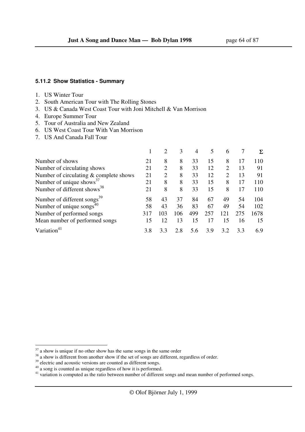#### **5.11.2 Show Statistics - Summary**

#### 1. US Winter Tour

- 2. South American Tour with The Rolling Stones
- 3. US & Canada West Coast Tour with Joni Mitchell & Van Morrison
- 4. Europe Summer Tour
- 5. Tour of Australia and New Zealand
- 6. US West Coast Tour With Van Morrison
- 7. US And Canada Fall Tour

|                                          |     |     | 3   | 4   | 5   | 6              |     | Σ    |
|------------------------------------------|-----|-----|-----|-----|-----|----------------|-----|------|
| Number of shows                          | 21  | 8   | 8   | 33  | 15  | 8              | 17  | 110  |
| Number of circulating shows              | 21  | 2   | 8   | 33  | 12  | $\overline{2}$ | 13  | 91   |
| Number of circulating $&$ complete shows | 21  |     | 8   | 33  | 12  | 2              | 13  | 91   |
| Number of unique shows <sup>37</sup>     | 21  | 8   | 8   | 33  | 15  | 8              | 17  | 110  |
| Number of different shows <sup>38</sup>  | 21  | 8   | 8   | 33  | 15  | 8              | 17  | 110  |
| Number of different songs <sup>39</sup>  | 58  | 43  | 37  | 84  | 67  | 49             | 54  | 104  |
| Number of unique songs $^{40}$           | 58  | 43  | 36  | 83  | 67  | 49             | 54  | 102  |
| Number of performed songs                | 317 | 103 | 106 | 499 | 257 | 121            | 275 | 1678 |
| Mean number of performed songs           | 15  | 12  | 13  | 15  | 17  | 15             | 16  | 15   |
| Variation                                | 3.8 | 3.3 | 2.8 | 5.6 | 3.9 | 3.2            | 3.3 | 6.9  |

 $37$  a show is unique if no other show has the same songs in the same order

<sup>&</sup>lt;sup>38</sup> a show is different from another show if the set of songs are different, regardless of order.

<sup>&</sup>lt;sup>39</sup> electric and acoustic versions are counted as different songs.

 $40$  a song is counted as unique regardless of how it is performed.

<sup>&</sup>lt;sup>41</sup> variation is computed as the ratio between number of different songs and mean number of performed songs.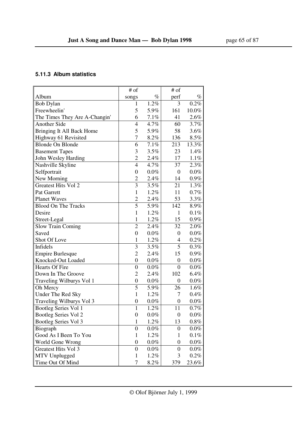## **5.11.3 Album statistics**

|                               | # of             |         | # of             |         |
|-------------------------------|------------------|---------|------------------|---------|
| Album                         | songs            | $\%$    | perf             | $\%$    |
| <b>Bob Dylan</b>              | 1                | 1.2%    | 3                | 0.2%    |
| Freewheelin'                  | 5                | 5.9%    | 161              | 10.0%   |
| The Times They Are A-Changin' | 6                | 7.1%    | 41               | 2.6%    |
| <b>Another Side</b>           | $\overline{4}$   | 4.7%    | 60               | 3.7%    |
| Bringing It All Back Home     | 5                | 5.9%    | 58               | 3.6%    |
| Highway 61 Revisited          | $\overline{7}$   | 8.2%    | 136              | 8.5%    |
| <b>Blonde On Blonde</b>       | 6                | 7.1%    | 213              | 13.3%   |
| <b>Basement Tapes</b>         | 3                | 3.5%    | 23               | 1.4%    |
| John Wesley Harding           | $\overline{2}$   | 2.4%    | 17               | 1.1%    |
| Nashville Skyline             | $\overline{4}$   | 4.7%    | 37               | 2.3%    |
| Selfportrait                  | $\boldsymbol{0}$ | $0.0\%$ | 0                | $0.0\%$ |
| New Morning                   | $\overline{2}$   | 2.4%    | 14               | $0.9\%$ |
| <b>Greatest Hits Vol 2</b>    | 3                | 3.5%    | 21               | 1.3%    |
| Pat Garrett                   | $\mathbf{1}$     | 1.2%    | 11               | 0.7%    |
| <b>Planet Waves</b>           | $\overline{2}$   | 2.4%    | 53               | 3.3%    |
| <b>Blood On The Tracks</b>    | 5                | 5.9%    | 142              | 8.9%    |
| Desire                        | $\mathbf{1}$     | 1.2%    | 1                | 0.1%    |
| Street-Legal                  | $\mathbf{1}$     | 1.2%    | 15               | $0.9\%$ |
| <b>Slow Train Coming</b>      | $\overline{2}$   | 2.4%    | 32               | 2.0%    |
| Saved                         | $\boldsymbol{0}$ | $0.0\%$ | $\boldsymbol{0}$ | $0.0\%$ |
| Shot Of Love                  | $\mathbf{1}$     | 1.2%    | 4                | $0.2\%$ |
| Infidels                      | 3                | 3.5%    | 5                | 0.3%    |
| <b>Empire Burlesque</b>       | $\overline{2}$   | 2.4%    | 15               | $0.9\%$ |
| Knocked-Out Loaded            | $\boldsymbol{0}$ | $0.0\%$ | $\boldsymbol{0}$ | $0.0\%$ |
| <b>Hearts Of Fire</b>         | $\overline{0}$   | $0.0\%$ | $\boldsymbol{0}$ | $0.0\%$ |
| Down In The Groove            | $\overline{2}$   | 2.4%    | 102              | 6.4%    |
| Traveling Wilburys Vol 1      | $\boldsymbol{0}$ | $0.0\%$ | $\boldsymbol{0}$ | $0.0\%$ |
| Oh Mercy                      | 5                | 5.9%    | 26               | 1.6%    |
| Under The Red Sky             | $\mathbf{1}$     | 1.2%    | 7                | 0.4%    |
| Traveling Wilburys Vol 3      | $\boldsymbol{0}$ | $0.0\%$ | $\boldsymbol{0}$ | $0.0\%$ |
| <b>Bootleg Series Vol 1</b>   | $\mathbf{1}$     | 1.2%    | 11               | $0.7\%$ |
| Bootleg Series Vol 2          | $\overline{0}$   | $0.0\%$ | 0                | $0.0\%$ |
| Bootleg Series Vol 3          | $\mathbf{1}$     | 1.2%    | 13               | $0.8\%$ |
| Biograph                      | $\boldsymbol{0}$ | $0.0\%$ | 0                | $0.0\%$ |
| Good As I Been To You         | $\mathbf{1}$     | 1.2%    | 1                | $0.1\%$ |
| World Gone Wrong              | $\boldsymbol{0}$ | $0.0\%$ | $\boldsymbol{0}$ | $0.0\%$ |
| Greatest Hits Vol 3           | $\boldsymbol{0}$ | $0.0\%$ | 0                | $0.0\%$ |
| MTV Unplugged                 | $\mathbf{1}$     | 1.2%    | 3                | 0.2%    |
| Time Out Of Mind              | 7                | 8.2%    | 379              | 23.6%   |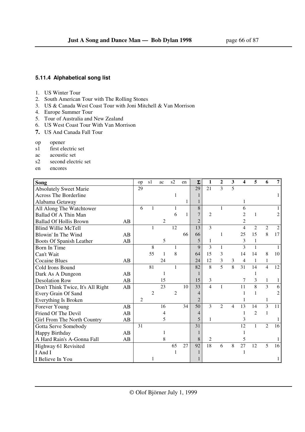### **5.11.4 Alphabetical song list**

- 1. US Winter Tour
- 2. South American Tour with The Rolling Stones
- 3. US & Canada West Coast Tour with Joni Mitchell & Van Morrison
- 4. Europe Summer Tour
- 5. Tour of Australia and New Zealand
- 6. US West Coast Tour With Van Morrison
- **7.** US And Canada Fall Tour
- op opener
- s1 first electric set
- ac acoustic set
- s2 second electric set
- en encores

| Song                              |    | op             | s1             | ac | s2             | en           | $\Sigma$       | 1                        | $\mathbf{2}$   | 3              | 4              | 5              | 6              | 7  |
|-----------------------------------|----|----------------|----------------|----|----------------|--------------|----------------|--------------------------|----------------|----------------|----------------|----------------|----------------|----|
| <b>Absolutely Sweet Marie</b>     |    | 29             |                |    |                |              | 29             | 21                       | $\mathcal{E}$  | 5              |                |                |                |    |
| <b>Across The Borderline</b>      |    |                |                |    | 1              |              |                |                          |                |                |                |                |                |    |
| Alabama Getaway                   |    |                |                |    |                | $\mathbf{1}$ |                |                          |                |                |                |                |                |    |
| All Along The Watchtower          |    | 6              |                |    |                |              | 8              |                          | $\mathbf{1}$   |                | 6              |                |                |    |
| Ballad Of A Thin Man              |    |                |                |    | 6              | $\mathbf{1}$ |                | $\overline{c}$           |                |                | 2              | 1              |                |    |
| <b>Ballad Of Hollis Brown</b>     | AB |                |                | 2  |                |              | $\overline{2}$ |                          |                |                | 2              |                |                |    |
| <b>Blind Willie McTell</b>        |    |                | 1              |    | 12             |              | 13             | 3                        |                |                | $\overline{4}$ | $\overline{2}$ | $\mathfrak{2}$ | 2  |
| Blowin' In The Wind               | AB |                |                |    |                | 66           | 66             |                          | 1              |                | 25             | 15             | 8              | 17 |
| Boots Of Spanish Leather          | AB |                |                | 5  |                |              | 5              | 1                        |                |                | 3              | 1              |                |    |
| Born In Time                      |    |                | 8              |    |                |              | $\mathbf Q$    | 3                        | $\mathbf{1}$   |                | 3              | 1              |                |    |
| Can't Wait                        |    |                | 55             | 1  | 8              |              | 64             | 15                       | 3              |                | 14             | 14             | 8              | 10 |
| <b>Cocaine Blues</b>              | AB |                |                | 24 |                |              | 24             | 12                       | 3              | 3              | $\overline{4}$ | 1              | $\mathbf{1}$   |    |
| Cold Irons Bound                  |    |                | 81             |    | 1              |              | 82             | 8                        | $\overline{5}$ | 8              | 31             | 14             | $\overline{4}$ | 12 |
| Dark As A Dungeon                 | AB |                |                | 1  |                |              |                |                          |                |                |                |                |                |    |
| <b>Desolation Row</b>             | AB |                |                | 15 |                |              | 15             | 3                        |                |                | 7              | 3              | $\mathbf{1}$   |    |
| Don't Think Twice, It's All Right | AB |                |                | 23 |                | 10           | 33             | $\overline{\mathcal{L}}$ | 1              |                | 11             | 8              | $\overline{3}$ | 6  |
| Every Grain Of Sand               |    |                | $\overline{c}$ |    | $\overline{2}$ |              | 4              |                          |                |                |                |                |                |    |
| Everything Is Broken              |    | $\overline{2}$ |                |    |                |              | $\overline{2}$ |                          |                |                |                |                | 1              |    |
| Forever Young                     | AB |                |                | 16 |                | 34           | 50             | $\overline{\mathcal{E}}$ | $\overline{2}$ | $\overline{4}$ | 13             | 14             | $\overline{3}$ | 11 |
| Friend Of The Devil               | AB |                |                | 4  |                |              | 4              |                          |                |                |                | $\overline{2}$ | $\mathbf{1}$   |    |
| Girl From The North Country       | AB |                |                | 5  |                |              | 5              | 1                        |                |                | 3              |                |                |    |
| Gotta Serve Somebody              |    | 31             |                |    |                |              | 31             |                          |                |                | 12             | $\mathbf{1}$   | $\overline{c}$ | 16 |
| Happy Birthday                    | AB |                |                | 1  |                |              |                |                          |                |                |                |                |                |    |
| A Hard Rain's A-Gonna Fall        | AB |                |                | 8  |                |              | 8              | 2                        |                |                | 5              |                |                |    |
| Highway 61 Revisited              |    |                |                |    | 65             | 27           | 92             | 18                       | 6              | 8              | 27             | 12             | 5              | 16 |
| I And I                           |    |                |                |    |                |              |                |                          |                |                |                |                |                |    |
| I Believe In You                  |    |                |                |    |                |              |                |                          |                |                |                |                |                |    |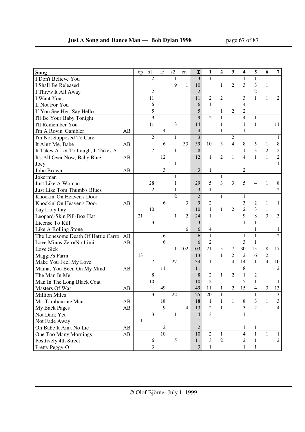| Song                                |    | op           | s1             | ac | s2             | en             | $\Sigma$       | 1                        | 2              | 3              | 4              | 5              | 6                | $\overline{7}$ |
|-------------------------------------|----|--------------|----------------|----|----------------|----------------|----------------|--------------------------|----------------|----------------|----------------|----------------|------------------|----------------|
| I Don't Believe You                 |    |              | $\overline{2}$ |    | 1              |                | 3              | $\mathbf{1}$             |                |                | $\mathbf{1}$   | 1              |                  |                |
| I Shall Be Released                 |    |              |                |    | 9              | $\mathbf{1}$   | 10             |                          | $\mathbf{1}$   | $\overline{c}$ | 3              | 3              | $\mathbf{1}$     |                |
| I Threw It All Away                 |    |              | $\overline{2}$ |    |                |                | $\overline{2}$ |                          |                |                |                | $\overline{c}$ |                  |                |
| I Want You                          |    |              | 11             |    |                |                | 11             | $\overline{c}$           | $\overline{2}$ |                | 3              | $\mathbf{1}$   | $\mathbf{1}$     | $\overline{c}$ |
| If Not For You                      |    |              | 6              |    |                |                | 6              | $\mathbf{1}$             |                |                | 4              |                | $\mathbf{1}$     |                |
| If You See Her, Say Hello           |    |              | 5              |    |                |                | 5              |                          | 1              | $\overline{c}$ | $\overline{c}$ |                |                  |                |
| I'll Be Your Baby Tonight           |    |              | 9              |    |                |                | 9              | $\mathfrak{2}$           | $\mathbf{1}$   |                | $\overline{4}$ | 1              | $\mathbf{1}$     |                |
| I'll Remember You                   |    |              | 11             |    | 3              |                | 14             |                          | 1              |                | 1              | 1              |                  | 11             |
| I'm A Rovin' Gambler                | AB |              |                | 4  |                |                | $\overline{4}$ |                          | $\mathbf{1}$   | 1              | 1              |                | 1                |                |
| I'm Not Supposed To Care            |    |              | $\overline{2}$ |    | $\mathbf{1}$   |                | 3              |                          |                | $\overline{c}$ |                |                |                  | 1              |
| It Ain't Me, Babe                   | AB |              |                | 6  |                | 33             | 39             | 10                       | 3              | $\overline{4}$ | 8              | 5              | 1                | 8              |
| It Takes A Lot To Laugh, It Takes A |    |              | 7              |    | 1              |                | 8              |                          |                |                | 1              | 3              | $\boldsymbol{2}$ | $\overline{c}$ |
| It's All Over Now, Baby Blue        | AB |              |                | 12 |                |                | 12             | $\mathbf{1}$             | $\overline{c}$ | $\mathbf{1}$   | $\overline{4}$ | $\mathbf{1}$   | $\mathbf{1}$     | $\overline{c}$ |
| Joey                                |    |              |                |    | 1              |                | 1              |                          |                |                |                |                |                  |                |
| John Brown                          | AB |              |                | 3  |                |                | 3              | 1                        |                |                | 2              |                |                  |                |
| Jokerman                            |    |              |                |    | $\mathbf{1}$   |                | $\mathbf{1}$   |                          | $\mathbf{1}$   |                |                |                |                  |                |
| Just Like A Woman                   |    |              | 28             |    | 1              |                | 29             | 5                        | 3              | 3              | 5              | 4              | 1                | 8              |
| Just Like Tom Thumb's Blues         |    |              | $\overline{c}$ |    | 1              |                | 3              | $\mathbf{1}$             |                |                |                |                |                  | $\overline{c}$ |
| Knockin' On Heaven's Door           |    |              |                |    | $\overline{c}$ |                | $\overline{c}$ |                          | $\mathbf{1}$   |                | $\mathbf{1}$   |                |                  |                |
| Knockin' On Heaven's Door           | AB |              |                | 6  |                | 3              | 9              | $\overline{c}$           |                |                | 3              | $\overline{2}$ | 1                | $\mathbf{1}$   |
| Lay Lady Lay                        |    |              | 10             |    |                |                | 10             | $\mathbf{1}$             | $\mathbf{1}$   | $\overline{2}$ | $\overline{c}$ | 3              | $\mathbf{1}$     |                |
| Leopard-Skin Pill-Box Hat           |    | 21           |                |    | 1              | $\overline{2}$ | 24             | $\mathbf{1}$             |                |                | $\overline{9}$ | $\overline{8}$ | $\overline{3}$   | $\mathfrak{Z}$ |
| License To Kill                     |    |              | 3              |    |                |                | 3              |                          |                |                | $\mathbf{1}$   | $\mathbf{1}$   | $\mathbf{1}$     |                |
| Like A Rolling Stone                |    |              |                |    |                | 6              | 6              | 4                        |                |                |                | 1              |                  | 1              |
| The Lonesome Death Of Hattie Carro  | AB |              |                | 6  |                |                | 6              | $\mathbf{1}$             |                |                | 1              | $\mathbf{1}$   | $\mathbf{1}$     | $\overline{2}$ |
| Love Minus Zero/No Limit            | AB |              |                | 6  |                |                | 6              | $\overline{c}$           |                |                | 3              | $\mathbf{1}$   |                  |                |
| Love Sick                           |    |              |                |    | 1              | 102            | 103            | 21                       | 5              | 7              | 30             | 15             | $\,8\,$          | 17             |
| Maggie's Farm                       |    | 13           |                |    |                |                | 13             |                          | $\mathbf{1}$   | $\overline{2}$ | $\overline{2}$ | 6              | $\overline{2}$   |                |
| Make You Feel My Love               |    |              | 7              |    | 27             |                | 34             | 1                        |                | $\overline{4}$ | 14             | $\mathbf{1}$   | $\overline{4}$   | 10             |
| Mama, You Been On My Mind           | AB |              |                | 11 |                |                | 11             |                          |                |                | 8              |                | $\mathbf{1}$     | $\mathbf{2}$   |
| The Man In Me                       |    |              | $\,8\,$        |    |                |                | 8              | $\mathfrak{2}$           | $\mathbf{1}$   | $\mathfrak{2}$ | $\mathbf{1}$   | $\mathfrak{2}$ |                  |                |
| Man In The Long Black Coat          |    |              | 10             |    |                |                | 10             | $\mathfrak{2}$           |                |                | 5              | $\mathbf{1}$   | $\mathbf{1}$     | $\mathbf{1}$   |
| Masters Of War                      | AB |              |                | 49 |                |                | 49             | 11                       | 1              | 2              | 15             | 4              | 3                | 13             |
| <b>Million Miles</b>                |    |              | 3              |    | 22             |                | 25             | 20                       | $\mathbf{1}$   |                |                | $\mathbf{1}$   |                  | 3              |
| Mr. Tambourine Man                  | AB |              |                | 18 |                |                | 18             | $\mathbf{1}$             | $\mathbf{1}$   | $\mathbf{1}$   | 8              | 3              | $\mathbf{1}$     | 3              |
| My Back Pages                       | AB |              |                | 9  |                | $\overline{4}$ | 13             | $\overline{c}$           | 1              |                | 3              | 2              | $\mathbf{1}$     | 4              |
| Not Dark Yet                        |    |              | $\overline{3}$ |    | 1              |                | $\overline{4}$ | $\overline{\mathcal{E}}$ |                |                |                |                |                  |                |
| Not Fade Away                       |    | $\mathbf{1}$ |                |    |                |                |                |                          |                | $\mathbf{1}$   |                |                |                  |                |
| Oh Babe It Ain't No Lie             | AB |              |                | 2  |                |                | 2              |                          |                |                | 1              | 1              |                  |                |
| One Too Many Mornings               | AB |              |                | 10 |                |                | 10             | $\mathfrak{2}$           | $\mathbf{1}$   |                | 4              | 1              | 1                |                |
| Positively 4th Street               |    |              | 6              |    | 5              |                | 11             | 3                        | $\overline{c}$ |                | $\overline{c}$ | $\mathbf{1}$   | $\mathbf{1}$     | $\overline{c}$ |
| Pretty Peggy-O                      |    |              | 3              |    |                |                | 3              | 1                        |                |                | 1              | 1              |                  |                |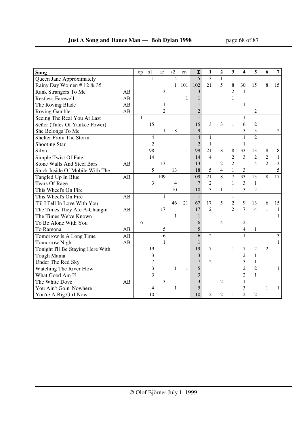| Song                              |    | op           | s1             | ac             | s2             | en           | $\Sigma$       | 1              | $\boldsymbol{2}$ | 3              | 4               | 5              | 6              | $\overline{7}$  |
|-----------------------------------|----|--------------|----------------|----------------|----------------|--------------|----------------|----------------|------------------|----------------|-----------------|----------------|----------------|-----------------|
| Queen Jane Approximately          |    |              | 1              |                | $\overline{4}$ |              | 5              | 3              | $\mathbf{1}$     |                |                 |                | 1              |                 |
| Rainy Day Women #12 & 35          |    |              |                |                | $\mathbf{1}$   | 101          | 102            | 21             | 5                | 8              | 30              | 15             | 8              | 15              |
| Rank Strangers To Me              | AB |              |                | 3              |                |              | 3              |                |                  | $\overline{c}$ | $\mathbf{1}$    |                |                |                 |
| <b>Restless Farewell</b>          | AB |              |                |                |                | $\mathbf{1}$ | $\mathbf{1}$   |                |                  | $\mathbf{1}$   |                 |                |                |                 |
| The Roving Blade                  | AB |              |                | 1              |                |              | $\mathbf{1}$   |                |                  |                | $\mathbf{1}$    |                |                |                 |
| <b>Roving Gambler</b>             | AB |              |                | $\overline{c}$ |                |              | $\overline{2}$ |                |                  |                |                 | 2              |                |                 |
| Seeing The Real You At Last       |    | $\mathbf{1}$ |                |                |                |              | $\mathbf{1}$   |                |                  |                | 1               |                |                |                 |
| Señor (Tales Of Yankee Power)     |    |              | 15             |                |                |              | 15             | 3              | 3                | 1              | 6               | $\overline{c}$ |                |                 |
| She Belongs To Me                 |    |              |                | 1              | 8              |              | 9              |                |                  |                | 3               | $\overline{3}$ | 1              | 2               |
| Shelter From The Storm            |    |              | $\overline{4}$ |                |                |              | $\overline{4}$ | 1              |                  |                | $\mathbf{1}$    | $\overline{2}$ |                |                 |
| <b>Shooting Star</b>              |    |              | $\overline{2}$ |                |                |              | $\overline{2}$ | 1              |                  |                | 1               |                |                |                 |
| Silvio                            |    |              | 98             |                |                | $\mathbf{1}$ | 99             | 21             | 8                | 8              | 33              | 13             | 8              | $8\,$           |
| Simple Twist Of Fate              |    |              | 14             |                |                |              | 14             | $\overline{4}$ |                  | $\overline{c}$ | $\overline{3}$  | $\overline{2}$ | $\overline{c}$ | $\mathbf{1}$    |
| <b>Stone Walls And Steel Bars</b> | AB |              |                | 13             |                |              | 13             |                | 2                | $\overline{c}$ |                 | $\overline{4}$ | $\overline{2}$ | 3               |
| Stuck Inside Of Mobile With The   |    |              | 5              |                | 13             |              | 18             | 5              | $\overline{4}$   | $\mathbf{1}$   | $\mathfrak{Z}$  |                |                | 5               |
| Tangled Up In Blue                | AB |              |                | 109            |                |              | 109            | 21             | $\overline{8}$   | $\overline{7}$ | $\overline{33}$ | 15             | 8              | $\overline{17}$ |
| <b>Tears Of Rage</b>              |    |              | 3              |                | 4              |              | $\overline{7}$ | $\overline{2}$ |                  | $\mathbf{1}$   | 3               | $\overline{1}$ |                |                 |
| This Wheel's On Fire              |    |              |                |                | 10             |              | 10             | 3              | $\mathbf{1}$     | $\mathbf{1}$   | 3               | $\overline{c}$ |                |                 |
| This Wheel's On Fire              | AB |              |                | 1              |                |              | 1              |                |                  | $\mathbf{1}$   |                 |                |                |                 |
| Til I Fell In Love With You       |    |              |                |                | 46             | 21           | 67             | 17             | 5                | $\overline{c}$ | 9               | 13             | 6              | 15              |
| The Times They Are A-Changin'     | AB |              |                | 17             |                |              | 17             | $\overline{c}$ |                  | $\overline{c}$ | 7               | $\overline{4}$ | $\mathbf{1}$   | 1               |
| The Times We've Known             |    |              |                |                | $\mathbf{1}$   |              | $\mathbf{1}$   |                |                  |                |                 |                |                |                 |
| To Be Alone With You              |    | 6            |                |                |                |              | 6              |                | 4                |                | $\overline{c}$  |                |                |                 |
| To Ramona                         | AB |              |                | 5              |                |              | 5              |                |                  |                | 4               | 1              |                |                 |
| Tomorrow Is A Long Time           | AB |              |                | 6              |                |              | 6              | $\overline{2}$ |                  |                | $\mathbf{1}$    |                |                | 3               |
| <b>Tomorrow Night</b>             | AB |              |                | 1              |                |              | $\mathbf{1}$   |                |                  |                |                 |                |                |                 |
| Tonight I'll Be Staying Here With |    |              | 19             |                |                |              | 19             | 7              |                  | 1              | 7               | 2              | $\overline{c}$ |                 |
| Tough Mama                        |    |              | 3              |                |                |              | 3              |                |                  |                | $\overline{2}$  | $\mathbf{1}$   |                |                 |
| Under The Red Sky                 |    |              | 7              |                |                |              | $\overline{7}$ | $\overline{c}$ |                  |                | 3               | $\mathbf{1}$   | $\mathbf{1}$   |                 |
| Watching The River Flow           |    |              | 3              |                | 1              | 1            | 5              |                |                  |                | $\overline{2}$  | $\overline{c}$ |                | 1               |
| What Good Am I?                   |    |              | 3              |                |                |              | $\overline{3}$ |                |                  |                | $\overline{2}$  | $\mathbf{1}$   |                |                 |
| The White Dove                    | AB |              |                | 3              |                |              | 3              |                | $\overline{2}$   |                | 1               |                |                |                 |
| You Ain't Goin' Nowhere           |    |              | 4              |                | 1              |              | 5              |                |                  |                | 3               |                | 1              | $\mathbf{1}$    |
| You're A Big Girl Now             |    |              | 10             |                |                |              | 10             | 2              | $\overline{c}$   | 1              | $\mathfrak{D}$  | $\overline{2}$ | $\mathbf{1}$   |                 |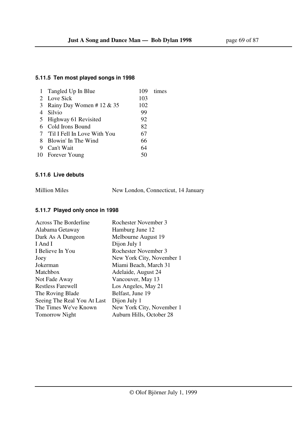## **5.11.5 Ten most played songs in 1998**

|   | 1 Tangled Up In Blue          | 109 | times |
|---|-------------------------------|-----|-------|
|   | 2 Love Sick                   | 103 |       |
| 3 | Rainy Day Women # 12 & 35     | 102 |       |
|   | 4 Silvio                      | 99  |       |
|   | 5 Highway 61 Revisited        | 92  |       |
|   | 6 Cold Irons Bound            | 82  |       |
|   | 7 Til I Fell In Love With You | 67  |       |
|   | 8 Blowin' In The Wind         | 66  |       |
| 9 | Can't Wait                    | 64  |       |
|   | 10 Forever Young              | 50  |       |
|   |                               |     |       |

### **5.11.6 Live debuts**

| <b>Million Miles</b> | New London, Connecticut, 14 January |  |
|----------------------|-------------------------------------|--|
|                      |                                     |  |

## **5.11.7 Played only once in 1998**

| Across The Borderline       | Rochester November 3      |
|-----------------------------|---------------------------|
| Alabama Getaway             | Hamburg June 12           |
| Dark As A Dungeon           | Melbourne August 19       |
| I And I                     | Dijon July 1              |
| I Believe In You            | Rochester November 3      |
| Joey                        | New York City, November 1 |
| Jokerman                    | Miami Beach, March 31     |
| Matchbox                    | Adelaide, August 24       |
| Not Fade Away               | Vancouver, May 13         |
| <b>Restless Farewell</b>    | Los Angeles, May 21       |
| The Roving Blade            | Belfast, June 19          |
| Seeing The Real You At Last | Dijon July 1              |
| The Times We've Known       | New York City, November 1 |
| <b>Tomorrow Night</b>       | Auburn Hills, October 28  |
|                             |                           |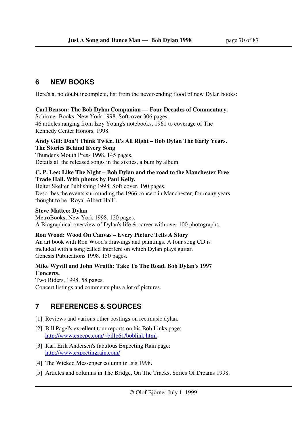# **6 NEW BOOKS**

Here's a, no doubt incomplete, list from the never-ending flood of new Dylan books:

### **Carl Benson: The Bob Dylan Companion — Four Decades of Commentary.**

Schirmer Books, New York 1998. Softcover 306 pages.

46 articles ranging from Izzy Young's notebooks, 1961 to coverage of The Kennedy Center Honors, 1998.

#### **Andy Gill: Don't Think Twice. It's All Right – Bob Dylan The Early Years. The Stories Behind Every Song**

Thunder's Mouth Press 1998. 145 pages. Details all the released songs in the sixties, album by album.

#### **C. P. Lee: Like The Night – Bob Dylan and the road to the Manchester Free Trade Hall. With photos by Paul Kelly.**

Helter Skelter Publishing 1998. Soft cover, 190 pages. Describes the events surrounding the 1966 concert in Manchester, for many years thought to be "Royal Albert Hall".

### **Steve Matteo: Dylan**

MetroBooks, New York 1998. 120 pages. A Biographical overview of Dylan's life & career with over 100 photographs.

## **Ron Wood: Wood On Canvas – Every Picture Tells A Story**

An art book with Ron Wood's drawings and paintings. A four song CD is included with a song called Interfere on which Dylan plays guitar. Genesis Publications 1998. 150 pages.

### **Mike Wyvill and John Wraith: Take To The Road. Bob Dylan's 1997 Concerts.**

Two Riders, 1998. 58 pages. Concert listings and comments plus a lot of pictures.

# **7 REFERENCES & SOURCES**

- [1] Reviews and various other postings on rec.music.dylan.
- [2] Bill Pagel's excellent tour reports on his Bob Links page: http://www.execpc.com/~billp61/boblink.html
- [3] Karl Erik Andersen's fabulous Expecting Rain page: http://www.expectingrain.com/
- [4] The Wicked Messenger column in Isis 1998.
- [5] Articles and columns in The Bridge, On The Tracks, Series Of Dreams 1998.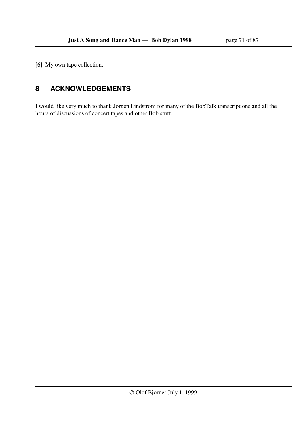[6] My own tape collection.

# **8 ACKNOWLEDGEMENTS**

I would like very much to thank Jorgen Lindstrom for many of the BobTalk transcriptions and all the hours of discussions of concert tapes and other Bob stuff.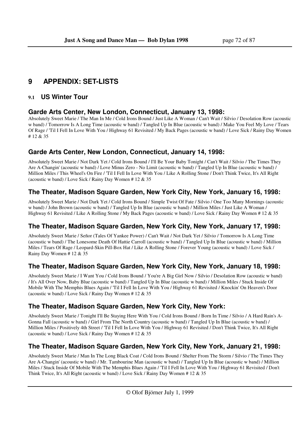# **9 APPENDIX: SET-LISTS**

## **9.1 US Winter Tour**

## **Garde Arts Center, New London, Connecticut, January 13, 1998:**

Absolutely Sweet Marie / The Man In Me / Cold Irons Bound / Just Like A Woman / Can't Wait / Silvio / Desolation Row (acoustic w band) / Tomorrow Is A Long Time (acoustic w band) / Tangled Up In Blue (acoustic w band) / Make You Feel My Love / Tears Of Rage / 'Til I Fell In Love With You / Highway 61 Revisited / My Back Pages (acoustic w band) / Love Sick / Rainy Day Women # 12 & 35

## **Garde Arts Center, New London, Connecticut, January 14, 1998:**

Absolutely Sweet Marie / Not Dark Yet / Cold Irons Bound / I'll Be Your Baby Tonight / Can't Wait / Silvio / The Times They Are A-Changin' (acoustic w band) / Love Minus Zero - No Limit (acoustic w band) / Tangled Up In Blue (acoustic w band) / Million Miles / This Wheel's On Fire / 'Til I Fell In Love With You / Like A Rolling Stone / Don't Think Twice, It's All Right (acoustic w band) / Love Sick / Rainy Day Women # 12 & 35

## **The Theater, Madison Square Garden, New York City, New York, January 16, 1998:**

Absolutely Sweet Marie / Not Dark Yet / Cold Irons Bound / Simple Twist Of Fate / Silvio / One Too Many Mornings (acoustic w band) / John Brown (acoustic w band) / Tangled Up In Blue (acoustic w band) / Million Miles / Just Like A Woman / Highway 61 Revisited / Like A Rolling Stone / My Back Pages (acoustic w band) / Love Sick / Rainy Day Women # 12 & 35

## **The Theater, Madison Square Garden, New York City, New York, January 17, 1998:**

Absolutely Sweet Marie / Señor (Tales Of Yankee Power) / Can't Wait / Not Dark Yet / Silvio / Tomorrow Is A Long Time (acoustic w band) / The Lonesome Death Of Hattie Carroll (acoustic w band) / Tangled Up In Blue (acoustic w band) / Million Miles / Tears Of Rage / Leopard-Skin Pill-Box Hat / Like A Rolling Stone / Forever Young (acoustic w band) / Love Sick / Rainy Day Women # 12 & 35

## **The Theater, Madison Square Garden, New York City, New York, January 18, 1998:**

Absolutely Sweet Marie / I Want You / Cold Irons Bound / You're A Big Girl Now / Silvio / Desolation Row (acoustic w band) / It's All Over Now, Baby Blue (acoustic w band) / Tangled Up In Blue (acoustic w band) / Million Miles / Stuck Inside Of Mobile With The Memphis Blues Again / 'Til I Fell In Love With You / Highway 61 Revisited / Knockin' On Heaven's Door (acoustic w band) / Love Sick / Rainy Day Women  $# 12 \& 35$ 

## **The Theater, Madison Square Garden, New York City, New York:**

Absolutely Sweet Marie / Tonight I'll Be Staying Here With You / Cold Irons Bound / Born In Time / Silvio / A Hard Rain's A-Gonna Fall (acoustic w band) / Girl From The North Country (acoustic w band) / Tangled Up In Blue (acoustic w band) / Million Miles / Positively 4th Street / 'Til I Fell In Love With You / Highway 61 Revisited / Don't Think Twice, It's All Right (acoustic w band) / Love Sick / Rainy Day Women # 12 & 35

## **The Theater, Madison Square Garden, New York City, New York, January 21, 1998:**

Absolutely Sweet Marie / Man In The Long Black Coat / Cold Irons Bound / Shelter From The Storm / Silvio / The Times They Are A-Changin' (acoustic w band) / Mr. Tambourine Man (acoustic w band) / Tangled Up In Blue (acoustic w band) / Million Miles / Stuck Inside Of Mobile With The Memphis Blues Again / 'Til I Fell In Love With You / Highway 61 Revisited / Don't Think Twice, It's All Right (acoustic w band) / Love Sick / Rainy Day Women # 12 & 35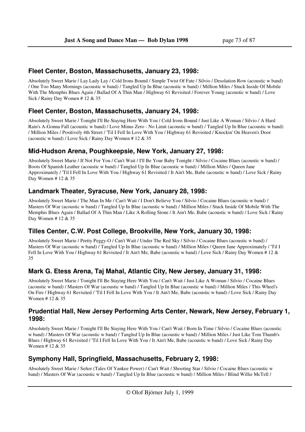#### **Fleet Center, Boston, Massachusetts, January 23, 1998:**

Absolutely Sweet Marie / Lay Lady Lay / Cold Irons Bound / Simple Twist Of Fate / Silvio / Desolation Row (acoustic w band) / One Too Many Mornings (acoustic w band) / Tangled Up In Blue (acoustic w band) / Million Miles / Stuck Inside Of Mobile With The Memphis Blues Again / Ballad Of A Thin Man / Highway 61 Revisited / Forever Young (acoustic w band) / Love Sick / Rainy Day Women # 12 & 35

#### **Fleet Center, Boston, Massachusetts, January 24, 1998:**

Absolutely Sweet Marie / Tonight I'll Be Staying Here With You / Cold Irons Bound / Just Like A Woman / Silvio / A Hard Rain's A-Gonna Fall (acoustic w band) / Love Minus Zero - No Limit (acoustic w band) / Tangled Up In Blue (acoustic w band) / Million Miles / Positively 4th Street / 'Til I Fell In Love With You / Highway 61 Revisited / Knockin' On Heaven's Door (acoustic w band) / Love Sick / Rainy Day Women # 12 & 35

#### **Mid-Hudson Arena, Poughkeepsie, New York, January 27, 1998:**

Absolutely Sweet Marie / If Not For You / Can't Wait / I'll Be Your Baby Tonight / Silvio / Cocaine Blues (acoustic w band) / Boots Of Spanish Leather (acoustic w band) / Tangled Up In Blue (acoustic w band) / Million Miles / Queen Jane Approximately / 'Til I Fell In Love With You / Highway 61 Revisited / It Ain't Me, Babe (acoustic w band) / Love Sick / Rainy Day Women # 12 & 35

#### **Landmark Theater, Syracuse, New York, January 28, 1998:**

Absolutely Sweet Marie / The Man In Me / Can't Wait / I Don't Believe You / Silvio / Cocaine Blues (acoustic w band) / Masters Of War (acoustic w band) / Tangled Up In Blue (acoustic w band) / Million Miles / Stuck Inside Of Mobile With The Memphis Blues Again / Ballad Of A Thin Man / Like A Rolling Stone / It Ain't Me, Babe (acoustic w band) / Love Sick / Rainy Day Women # 12 & 35

### **Tilles Center, C.W. Post College, Brookville, New York, January 30, 1998:**

Absolutely Sweet Marie / Pretty Peggy-O / Can't Wait / Under The Red Sky / Silvio / Cocaine Blues (acoustic w band) / Masters Of War (acoustic w band) / Tangled Up In Blue (acoustic w band) / Million Miles / Queen Jane Approximately / 'Til I Fell In Love With You / Highway 61 Revisited / It Ain't Me, Babe (acoustic w band) / Love Sick / Rainy Day Women # 12 & 35

### **Mark G. Etess Arena, Taj Mahal, Atlantic City, New Jersey, January 31, 1998:**

Absolutely Sweet Marie / Tonight I'll Be Staying Here With You / Can't Wait / Just Like A Woman / Silvio / Cocaine Blues (acoustic w band) / Masters Of War (acoustic w band) / Tangled Up In Blue (acoustic w band) / Million Miles / This Wheel's On Fire / Highway 61 Revisited / 'Til I Fell In Love With You / It Ain't Me, Babe (acoustic w band) / Love Sick / Rainy Day Women # 12 & 35

#### **Prudential Hall, New Jersey Performing Arts Center, Newark, New Jersey, February 1, 1998:**

Absolutely Sweet Marie / Tonight I'll Be Staying Here With You / Can't Wait / Born In Time / Silvio / Cocaine Blues (acoustic w band) / Masters Of War (acoustic w band) / Tangled Up In Blue (acoustic w band) / Million Miles / Just Like Tom Thumb's Blues / Highway 61 Revisited / 'Til I Fell In Love With You / It Ain't Me, Babe (acoustic w band) / Love Sick / Rainy Day Women # 12 & 35

### **Symphony Hall, Springfield, Massachusetts, February 2, 1998:**

Absolutely Sweet Marie / Señor (Tales Of Yankee Power) / Can't Wait / Shooting Star / Silvio / Cocaine Blues (acoustic w band) / Masters Of War (acoustic w band) / Tangled Up In Blue (acoustic w band) / Million Miles / Blind Willie McTell /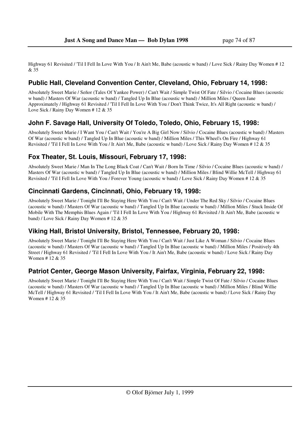Highway 61 Revisited / 'Til I Fell In Love With You / It Ain't Me, Babe (acoustic w band) / Love Sick / Rainy Day Women # 12 & 35

## **Public Hall, Cleveland Convention Center, Cleveland, Ohio, February 14, 1998:**

Absolutely Sweet Marie / Señor (Tales Of Yankee Power) / Can't Wait / Simple Twist Of Fate / Silvio / Cocaine Blues (acoustic w band) / Masters Of War (acoustic w band) / Tangled Up In Blue (acoustic w band) / Million Miles / Queen Jane Approximately / Highway 61 Revisited / 'Til I Fell In Love With You / Don't Think Twice, It's All Right (acoustic w band) / Love Sick / Rainy Day Women # 12 & 35

## **John F. Savage Hall, University Of Toledo, Toledo, Ohio, February 15, 1998:**

Absolutely Sweet Marie / I Want You / Can't Wait / You're A Big Girl Now / Silvio / Cocaine Blues (acoustic w band) / Masters Of War (acoustic w band) / Tangled Up In Blue (acoustic w band) / Million Miles / This Wheel's On Fire / Highway 61 Revisited / 'Til I Fell In Love With You / It Ain't Me, Babe (acoustic w band) / Love Sick / Rainy Day Women # 12 & 35

## **Fox Theater, St. Louis, Missouri, February 17, 1998:**

Absolutely Sweet Marie / Man In The Long Black Coat / Can't Wait / Born In Time / Silvio / Cocaine Blues (acoustic w band) / Masters Of War (acoustic w band) / Tangled Up In Blue (acoustic w band) / Million Miles / Blind Willie McTell / Highway 61 Revisited / 'Til I Fell In Love With You / Forever Young (acoustic w band) / Love Sick / Rainy Day Women # 12 & 35

### **Cincinnati Gardens, Cincinnati, Ohio, February 19, 1998:**

Absolutely Sweet Marie / Tonight I'll Be Staying Here With You / Can't Wait / Under The Red Sky / Silvio / Cocaine Blues (acoustic w band) / Masters Of War (acoustic w band) / Tangled Up In Blue (acoustic w band) / Million Miles / Stuck Inside Of Mobile With The Memphis Blues Again / 'Til I Fell In Love With You / Highway 61 Revisited / It Ain't Me, Babe (acoustic w band) / Love Sick / Rainy Day Women # 12 & 35

# **Viking Hall, Bristol University, Bristol, Tennessee, February 20, 1998:**

Absolutely Sweet Marie / Tonight I'll Be Staying Here With You / Can't Wait / Just Like A Woman / Silvio / Cocaine Blues (acoustic w band) / Masters Of War (acoustic w band) / Tangled Up In Blue (acoustic w band) / Million Miles / Positively 4th Street / Highway 61 Revisited / 'Til I Fell In Love With You / It Ain't Me, Babe (acoustic w band) / Love Sick / Rainy Day Women # 12 & 35

### **Patriot Center, George Mason University, Fairfax, Virginia, February 22, 1998:**

Absolutely Sweet Marie / Tonight I'll Be Staying Here With You / Can't Wait / Simple Twist Of Fate / Silvio / Cocaine Blues (acoustic w band) / Masters Of War (acoustic w band) / Tangled Up In Blue (acoustic w band) / Million Miles / Blind Willie McTell / Highway 61 Revisited / 'Til I Fell In Love With You / It Ain't Me, Babe (acoustic w band) / Love Sick / Rainy Day Women # 12 & 35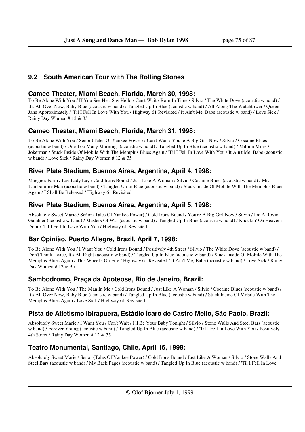## **9.2 South American Tour with The Rolling Stones**

#### **Cameo Theater, Miami Beach, Florida, March 30, 1998:**

To Be Alone With You / If You See Her, Say Hello / Can't Wait / Born In Time / Silvio / The White Dove (acoustic w band) / It's All Over Now, Baby Blue (acoustic w band) / Tangled Up In Blue (acoustic w band) / All Along The Watchtower / Queen Jane Approximately / 'Til I Fell In Love With You / Highway 61 Revisited / It Ain't Me, Babe (acoustic w band) / Love Sick / Rainy Day Women # 12 & 35

## **Cameo Theater, Miami Beach, Florida, March 31, 1998:**

To Be Alone With You / Señor (Tales Of Yankee Power) / Can't Wait / You're A Big Girl Now / Silvio / Cocaine Blues (acoustic w band) / One Too Many Mornings (acoustic w band) / Tangled Up In Blue (acoustic w band) / Million Miles / Jokerman / Stuck Inside Of Mobile With The Memphis Blues Again / 'Til I Fell In Love With You / It Ain't Me, Babe (acoustic w band) / Love Sick / Rainy Day Women # 12 & 35

## **River Plate Stadium, Buenos Aires, Argentina, April 4, 1998:**

Maggie's Farm / Lay Lady Lay / Cold Irons Bound / Just Like A Woman / Silvio / Cocaine Blues (acoustic w band) / Mr. Tambourine Man (acoustic w band) / Tangled Up In Blue (acoustic w band) / Stuck Inside Of Mobile With The Memphis Blues Again / I Shall Be Released / Highway 61 Revisited

### **River Plate Stadium, Buenos Aires, Argentina, April 5, 1998:**

Absolutely Sweet Marie / Señor (Tales Of Yankee Power) / Cold Irons Bound / You're A Big Girl Now / Silvio / I'm A Rovin' Gambler (acoustic w band) / Masters Of War (acoustic w band) / Tangled Up In Blue (acoustic w band) / Knockin' On Heaven's Door / 'Til I Fell In Love With You / Highway 61 Revisited

# **Bar Opinião, Puerto Allegre, Brazil, April 7, 1998:**

To Be Alone With You / I Want You / Cold Irons Bound / Positively 4th Street / Silvio / The White Dove (acoustic w band) / Don't Think Twice, It's All Right (acoustic w band) / Tangled Up In Blue (acoustic w band) / Stuck Inside Of Mobile With The Memphis Blues Again / This Wheel's On Fire / Highway 61 Revisited / It Ain't Me, Babe (acoustic w band) / Love Sick / Rainy Day Women # 12 & 35

# **Sambodromo, Praça da Apoteose, Rio de Janeiro, Brazil:**

To Be Alone With You / The Man In Me / Cold Irons Bound / Just Like A Woman / Silvio / Cocaine Blues (acoustic w band) / It's All Over Now, Baby Blue (acoustic w band) / Tangled Up In Blue (acoustic w band) / Stuck Inside Of Mobile With The Memphis Blues Again / Love Sick / Highway 61 Revisited

# **Pista de Atletismo Ibirapuera, Estádio Ícaro de Castro Mello, São Paolo, Brazil:**

Absolutely Sweet Marie / I Want You / Can't Wait / I'll Be Your Baby Tonight / Silvio / Stone Walls And Steel Bars (acoustic w band) / Forever Young (acoustic w band) / Tangled Up In Blue (acoustic w band) / 'Til I Fell In Love With You / Positively 4th Street / Rainy Day Women # 12 & 35

# **Teatro Monumental, Santiago, Chile, April 15, 1998:**

Absolutely Sweet Marie / Señor (Tales Of Yankee Power) / Cold Irons Bound / Just Like A Woman / Silvio / Stone Walls And Steel Bars (acoustic w band) / My Back Pages (acoustic w band) / Tangled Up In Blue (acoustic w band) / 'Til I Fell In Love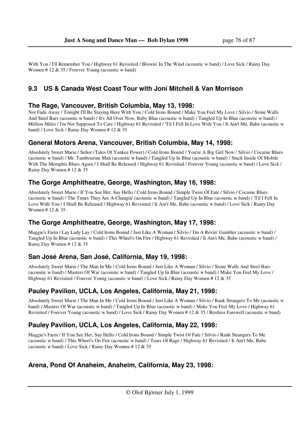With You / I'll Remember You / Highway 61 Revisited / Blowin' In The Wind (acoustic w band) / Love Sick / Rainy Day Women # 12 & 35 / Forever Young (acoustic w band)

## **9.3 US & Canada West Coast Tour with Joni Mitchell & Van Morrison**

#### **The Rage, Vancouver, British Columbia, May 13, 1998:**

Not Fade Away / Tonight I'll Be Staying Here With You / Cold Irons Bound / Make You Feel My Love / Silvio / Stone Walls And Steel Bars (acoustic w band) / It's All Over Now, Baby Blue (acoustic w band) / Tangled Up In Blue (acoustic w band) / Million Miles / I'm Not Supposed To Care / Highway 61 Revisited / 'Til I Fell In Love With You / It Ain't Me, Babe (acoustic w band) / Love Sick / Rainy Day Women # 12 & 35

### **General Motors Arena, Vancouver, British Columbia, May 14, 1998:**

Absolutely Sweet Marie / Señor (Tales Of Yankee Power) / Cold Irons Bound / You're A Big Girl Now / Silvio / Cocaine Blues (acoustic w band) / Mr. Tambourine Man (acoustic w band) / Tangled Up In Blue (acoustic w band) / Stuck Inside Of Mobile With The Memphis Blues Again / I Shall Be Released / Highway 61 Revisited / Forever Young (acoustic w band) / Love Sick / Rainy Day Women # 12 & 35

### **The Gorge Amphitheatre, George, Washington, May 16, 1998:**

Absolutely Sweet Marie / If You See Her, Say Hello / Cold Irons Bound / Simple Twist Of Fate / Silvio / Cocaine Blues (acoustic w band) / The Times They Are A-Changin' (acoustic w band) / Tangled Up In Blue (acoustic w band) / 'Til I Fell In Love With You / I Shall Be Released / Highway 61 Revisited / It Ain't Me, Babe (acoustic w band) / Love Sick / Rainy Day Women # 12 & 35

### **The Gorge Amphitheatre, George, Washington, May 17, 1998:**

Maggie's Farm / Lay Lady Lay / Cold Irons Bound / Just Like A Woman / Silvio / I'm A Rovin' Gambler (acoustic w band) / Tangled Up In Blue (acoustic w band) / This Wheel's On Fire / Highway 61 Revisited / It Ain't Me, Babe (acoustic w band) / Rainy Day Women # 12 & 35

### **San José Arena, San José, California, May 19, 1998:**

Absolutely Sweet Marie / The Man In Me / Cold Irons Bound / Just Like A Woman / Silvio / Stone Walls And Steel Bars (acoustic w band) / Masters Of War (acoustic w band) / Tangled Up In Blue (acoustic w band) / Make You Feel My Love / Highway 61 Revisited / Forever Young (acoustic w band) / Love Sick / Rainy Day Women # 12 & 35

### **Pauley Pavilion, UCLA, Los Angeles, California, May 21, 1998:**

Absolutely Sweet Marie / The Man In Me / Cold Irons Bound / Just Like A Woman / Silvio / Rank Strangers To Me (acoustic w band) / Masters Of War (acoustic w band) / Tangled Up In Blue (acoustic w band) / Make You Feel My Love / Highway 61 Revisited / Forever Young (acoustic w band) / Love Sick / Rainy Day Women # 12 & 35 / Restless Farewell (acoustic w band)

### **Pauley Pavilion, UCLA, Los Angeles, California, May 22, 1998:**

Maggie's Farm / If You See Her, Say Hello / Cold Irons Bound / Simple Twist Of Fate / Silvio / Rank Strangers To Me (acoustic w band) / This Wheel's On Fire (acoustic w band) / Tears Of Rage / Highway 61 Revisited / It Ain't Me, Babe (acoustic w band) / Love Sick / Rainy Day Women # 12 & 35

### **Arena, Pond Of Anaheim, Anaheim, California, May 23, 1998:**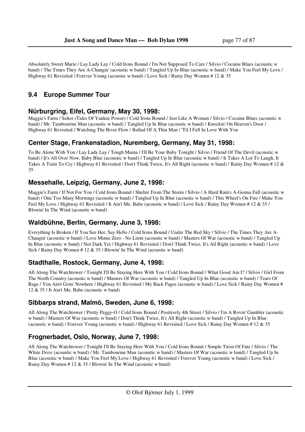Absolutely Sweet Marie / Lay Lady Lay / Cold Irons Bound / I'm Not Supposed To Care / Silvio / Cocaine Blues (acoustic w band) / The Times They Are A-Changin' (acoustic w band) / Tangled Up In Blue (acoustic w band) / Make You Feel My Love / Highway 61 Revisited / Forever Young (acoustic w band) / Love Sick / Rainy Day Women # 12 & 35

# **9.4 Europe Summer Tour**

### **Nürburgring, Eifel, Germany, May 30, 1998:**

Maggie's Farm / Señor (Tales Of Yankee Power) / Cold Irons Bound / Just Like A Woman / Silvio / Cocaine Blues (acoustic w band) / Mr. Tambourine Man (acoustic w band) / Tangled Up In Blue (acoustic w band) / Knockin' On Heaven's Door / Highway 61 Revisited / Watching The River Flow / Ballad Of A Thin Man / 'Til I Fell In Love With You

#### **Center Stage, Frankenstadion, Nuremberg, Germany, May 31, 1998:**

To Be Alone With You / Lay Lady Lay / Tough Mama / I'll Be Your Baby Tonight / Silvio / Friend Of The Devil (acoustic w band) / It's All Over Now, Baby Blue (acoustic w band) / Tangled Up In Blue (acoustic w band) / It Takes A Lot To Laugh, It Takes A Train To Cry / Highway 61 Revisited / Don't Think Twice, It's All Right (acoustic w band) / Rainy Day Women # 12 & 35

#### **Messehalle, Leipzig, Germany, June 2, 1998:**

Maggie's Farm / If Not For You / Cold Irons Bound / Shelter From The Storm / Silvio / A Hard Rain's A-Gonna Fall (acoustic w band) / One Too Many Mornings (acoustic w band) / Tangled Up In Blue (acoustic w band) / This Wheel's On Fire / Make You Feel My Love / Highway 61 Revisited / It Ain't Me, Babe (acoustic w band) / Love Sick / Rainy Day Women # 12 & 35 / Blowin' In The Wind (acoustic w band)

#### **Waldbühne, Berlin, Germany, June 3, 1998:**

Everything Is Broken / If You See Her, Say Hello / Cold Irons Bound / Under The Red Sky / Silvio / The Times They Are A-Changin' (acoustic w band) / Love Minus Zero - No Limit (acoustic w band) / Masters Of War (acoustic w band) / Tangled Up In Blue (acoustic w band) / Not Dark Yet / Highway 61 Revisited / Don't Think Twice, It's All Right (acoustic w band) / Love Sick / Rainy Day Women # 12 & 35 / Blowin' In The Wind (acoustic w band)

#### **Stadthalle, Rostock, Germany, June 4, 1998:**

All Along The Watchtower / Tonight I'll Be Staying Here With You / Cold Irons Bound / What Good Am I? / Silvio / Girl From The North Country (acoustic w band) / Masters Of War (acoustic w band) / Tangled Up In Blue (acoustic w band) / Tears Of Rage / You Ain't Goin' Nowhere / Highway 61 Revisited / My Back Pages (acoustic w band) / Love Sick / Rainy Day Women # 12 & 35 / It Ain't Me, Babe (acoustic w band)

### **Sibbarps strand, Malmö, Sweden, June 6, 1998:**

All Along The Watchtower / Pretty Peggy-O / Cold Irons Bound / Positively 4th Street / Silvio / I'm A Rovin' Gambler (acoustic w band) / Masters Of War (acoustic w band) / Don't Think Twice, It's All Right (acoustic w band) / Tangled Up In Blue (acoustic w band) / Forever Young (acoustic w band) / Highway 61 Revisited / Love Sick / Rainy Day Women # 12 & 35

# **Frognerbadet, Oslo, Norway, June 7, 1998:**

All Along The Watchtower / Tonight I'll Be Staying Here With You / Cold Irons Bound / Simple Twist Of Fate / Silvio / The White Dove (acoustic w band) / Mr. Tambourine Man (acoustic w band) / Masters Of War (acoustic w band) / Tangled Up In Blue (acoustic w band) / Make You Feel My Love / Highway 61 Revisited / Forever Young (acoustic w band) / Love Sick / Rainy Day Women # 12 & 35 / Blowin' In The Wind (acoustic w band)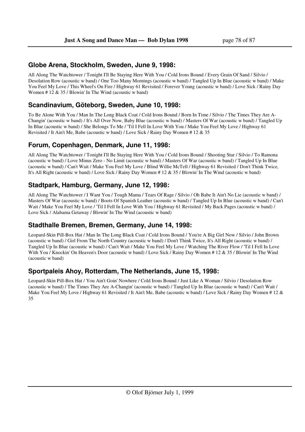## **Globe Arena, Stockholm, Sweden, June 9, 1998:**

All Along The Watchtower / Tonight I'll Be Staying Here With You / Cold Irons Bound / Every Grain Of Sand / Silvio / Desolation Row (acoustic w band) / One Too Many Mornings (acoustic w band) / Tangled Up In Blue (acoustic w band) / Make You Feel My Love / This Wheel's On Fire / Highway 61 Revisited / Forever Young (acoustic w band) / Love Sick / Rainy Day Women # 12 & 35 / Blowin' In The Wind (acoustic w band)

## **Scandinavium, Göteborg, Sweden, June 10, 1998:**

To Be Alone With You / Man In The Long Black Coat / Cold Irons Bound / Born In Time / Silvio / The Times They Are A-Changin' (acoustic w band) / It's All Over Now, Baby Blue (acoustic w band) / Masters Of War (acoustic w band) / Tangled Up In Blue (acoustic w band) / She Belongs To Me / 'Til I Fell In Love With You / Make You Feel My Love / Highway 61 Revisited / It Ain't Me, Babe (acoustic w band) / Love Sick / Rainy Day Women # 12 & 35

## **Forum, Copenhagen, Denmark, June 11, 1998:**

All Along The Watchtower / Tonight I'll Be Staying Here With You / Cold Irons Bound / Shooting Star / Silvio / To Ramona (acoustic w band) / Love Minus Zero - No Limit (acoustic w band) / Masters Of War (acoustic w band) / Tangled Up In Blue (acoustic w band) / Can't Wait / Make You Feel My Love / Blind Willie McTell / Highway 61 Revisited / Don't Think Twice, It's All Right (acoustic w band) / Love Sick / Rainy Day Women # 12 & 35 / Blowin' In The Wind (acoustic w band)

# **Stadtpark, Hamburg, Germany, June 12, 1998:**

All Along The Watchtower / I Want You / Tough Mama / Tears Of Rage / Silvio / Oh Babe It Ain't No Lie (acoustic w band) / Masters Of War (acoustic w band) / Boots Of Spanish Leather (acoustic w band) / Tangled Up In Blue (acoustic w band) / Can't Wait / Make You Feel My Love / 'Til I Fell In Love With You / Highway 61 Revisited / My Back Pages (acoustic w band) / Love Sick / Alabama Getaway / Blowin' In The Wind (acoustic w band)

### **Stadthalle Bremen, Bremen, Germany, June 14, 1998:**

Leopard-Skin Pill-Box Hat / Man In The Long Black Coat / Cold Irons Bound / You're A Big Girl Now / Silvio / John Brown (acoustic w band) / Girl From The North Country (acoustic w band) / Don't Think Twice, It's All Right (acoustic w band) / Tangled Up In Blue (acoustic w band) / Can't Wait / Make You Feel My Love / Watching The River Flow / 'Til I Fell In Love With You / Knockin' On Heaven's Door (acoustic w band) / Love Sick / Rainy Day Women # 12 & 35 / Blowin' In The Wind (acoustic w band)

### **Sportpaleis Ahoy, Rotterdam, The Netherlands, June 15, 1998:**

Leopard-Skin Pill-Box Hat / You Ain't Goin' Nowhere / Cold Irons Bound / Just Like A Woman / Silvio / Desolation Row (acoustic w band) / The Times They Are A-Changin' (acoustic w band) / Tangled Up In Blue (acoustic w band) / Can't Wait / Make You Feel My Love / Highway 61 Revisited / It Ain't Me, Babe (acoustic w band) / Love Sick / Rainy Day Women # 12 & 35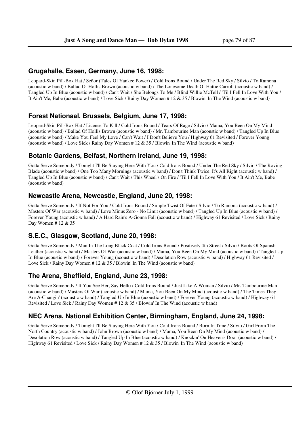#### **Grugahalle, Essen, Germany, June 16, 1998:**

Leopard-Skin Pill-Box Hat / Señor (Tales Of Yankee Power) / Cold Irons Bound / Under The Red Sky / Silvio / To Ramona (acoustic w band) / Ballad Of Hollis Brown (acoustic w band) / The Lonesome Death Of Hattie Carroll (acoustic w band) / Tangled Up In Blue (acoustic w band) / Can't Wait / She Belongs To Me / Blind Willie McTell / 'Til I Fell In Love With You / It Ain't Me, Babe (acoustic w band) / Love Sick / Rainy Day Women # 12 & 35 / Blowin' In The Wind (acoustic w band)

### **Forest Nationaal, Brussels, Belgium, June 17, 1998:**

Leopard-Skin Pill-Box Hat / License To Kill / Cold Irons Bound / Tears Of Rage / Silvio / Mama, You Been On My Mind (acoustic w band) / Ballad Of Hollis Brown (acoustic w band) / Mr. Tambourine Man (acoustic w band) / Tangled Up In Blue (acoustic w band) / Make You Feel My Love / Can't Wait / I Don't Believe You / Highway 61 Revisited / Forever Young (acoustic w band) / Love Sick / Rainy Day Women # 12 & 35 / Blowin' In The Wind (acoustic w band)

#### **Botanic Gardens, Belfast, Northern Ireland, June 19, 1998:**

Gotta Serve Somebody / Tonight I'll Be Staying Here With You / Cold Irons Bound / Under The Red Sky / Silvio / The Roving Blade (acoustic w band) / One Too Many Mornings (acoustic w band) / Don't Think Twice, It's All Right (acoustic w band) / Tangled Up In Blue (acoustic w band) / Can't Wait / This Wheel's On Fire / 'Til I Fell In Love With You / It Ain't Me, Babe (acoustic w band)

#### **Newcastle Arena, Newcastle, England, June 20, 1998:**

Gotta Serve Somebody / If Not For You / Cold Irons Bound / Simple Twist Of Fate / Silvio / To Ramona (acoustic w band) / Masters Of War (acoustic w band) / Love Minus Zero - No Limit (acoustic w band) / Tangled Up In Blue (acoustic w band) / Forever Young (acoustic w band) / A Hard Rain's A-Gonna Fall (acoustic w band) / Highway 61 Revisited / Love Sick / Rainy Day Women # 12 & 35

### **S.E.C., Glasgow, Scotland, June 20, 1998:**

Gotta Serve Somebody / Man In The Long Black Coat / Cold Irons Bound / Positively 4th Street / Silvio / Boots Of Spanish Leather (acoustic w band) / Masters Of War (acoustic w band) / Mama, You Been On My Mind (acoustic w band) / Tangled Up In Blue (acoustic w band) / Forever Young (acoustic w band) / Desolation Row (acoustic w band) / Highway 61 Revisited / Love Sick / Rainy Day Women # 12 & 35 / Blowin' In The Wind (acoustic w band)

### **The Arena, Sheffield, England, June 23, 1998:**

Gotta Serve Somebody / If You See Her, Say Hello / Cold Irons Bound / Just Like A Woman / Silvio / Mr. Tambourine Man (acoustic w band) / Masters Of War (acoustic w band) / Mama, You Been On My Mind (acoustic w band) / The Times They Are A-Changin' (acoustic w band) / Tangled Up In Blue (acoustic w band) / Forever Young (acoustic w band) / Highway 61 Revisited / Love Sick / Rainy Day Women # 12 & 35 / Blowin' In The Wind (acoustic w band)

# **NEC Arena, National Exhibition Center, Birmingham, England, June 24, 1998:**

Gotta Serve Somebody / Tonight I'll Be Staying Here With You / Cold Irons Bound / Born In Time / Silvio / Girl From The North Country (acoustic w band) / John Brown (acoustic w band) / Mama, You Been On My Mind (acoustic w band) / Desolation Row (acoustic w band) / Tangled Up In Blue (acoustic w band) / Knockin' On Heaven's Door (acoustic w band) / Highway 61 Revisited / Love Sick / Rainy Day Women # 12 & 35 / Blowin' In The Wind (acoustic w band)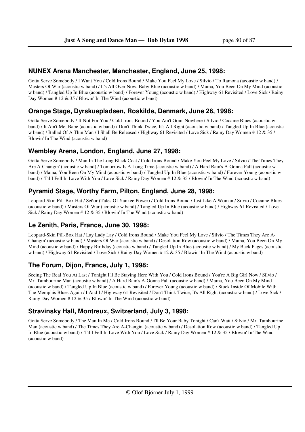#### **NUNEX Arena Manchester, Manchester, England, June 25, 1998:**

Gotta Serve Somebody / I Want You / Cold Irons Bound / Make You Feel My Love / Silvio / To Ramona (acoustic w band) / Masters Of War (acoustic w band) / It's All Over Now, Baby Blue (acoustic w band) / Mama, You Been On My Mind (acoustic w band) / Tangled Up In Blue (acoustic w band) / Forever Young (acoustic w band) / Highway 61 Revisited / Love Sick / Rainy Day Women # 12 & 35 / Blowin' In The Wind (acoustic w band)

### **Orange Stage, Dyrskuepladsen, Roskilde, Denmark, June 26, 1998:**

Gotta Serve Somebody / If Not For You / Cold Irons Bound / You Ain't Goin' Nowhere / Silvio / Cocaine Blues (acoustic w band) / It Ain't Me, Babe (acoustic w band) / Don't Think Twice, It's All Right (acoustic w band) / Tangled Up In Blue (acoustic w band) / Ballad Of A Thin Man / I Shall Be Released / Highway 61 Revisited / Love Sick / Rainy Day Women # 12 & 35 / Blowin' In The Wind (acoustic w band)

#### **Wembley Arena, London, England, June 27, 1998:**

Gotta Serve Somebody / Man In The Long Black Coat / Cold Irons Bound / Make You Feel My Love / Silvio / The Times They Are A-Changin' (acoustic w band) / Tomorrow Is A Long Time (acoustic w band) / A Hard Rain's A-Gonna Fall (acoustic w band) / Mama, You Been On My Mind (acoustic w band) / Tangled Up In Blue (acoustic w band) / Forever Young (acoustic w band) / 'Til I Fell In Love With You / Love Sick / Rainy Day Women # 12 & 35 / Blowin' In The Wind (acoustic w band)

## **Pyramid Stage, Worthy Farm, Pilton, England, June 28, 1998:**

Leopard-Skin Pill-Box Hat / Señor (Tales Of Yankee Power) / Cold Irons Bound / Just Like A Woman / Silvio / Cocaine Blues (acoustic w band) / Masters Of War (acoustic w band) / Tangled Up In Blue (acoustic w band) / Highway 61 Revisited / Love Sick / Rainy Day Women # 12 & 35 / Blowin' In The Wind (acoustic w band)

### **Le Zenith, Paris, France, June 30, 1998:**

Leopard-Skin Pill-Box Hat / Lay Lady Lay / Cold Irons Bound / Make You Feel My Love / Silvio / The Times They Are A-Changin' (acoustic w band) / Masters Of War (acoustic w band) / Desolation Row (acoustic w band) / Mama, You Been On My Mind (acoustic w band) / Happy Birthday (acoustic w band) / Tangled Up In Blue (acoustic w band) / My Back Pages (acoustic w band) / Highway 61 Revisited / Love Sick / Rainy Day Women # 12 & 35 / Blowin' In The Wind (acoustic w band)

### **The Forum, Dijon, France, July 1, 1998:**

Seeing The Real You At Last / Tonight I'll Be Staying Here With You / Cold Irons Bound / You're A Big Girl Now / Silvio / Mr. Tambourine Man (acoustic w band) / A Hard Rain's A-Gonna Fall (acoustic w band) / Mama, You Been On My Mind (acoustic w band) / Tangled Up In Blue (acoustic w band) / Forever Young (acoustic w band) / Stuck Inside Of Mobile With The Memphis Blues Again / I And I / Highway 61 Revisited / Don't Think Twice, It's All Right (acoustic w band) / Love Sick / Rainy Day Women # 12 & 35 / Blowin' In The Wind (acoustic w band)

### **Stravinsky Hall, Montreux, Switzerland, July 3, 1998:**

Gotta Serve Somebody / The Man In Me / Cold Irons Bound / I'll Be Your Baby Tonight / Can't Wait / Silvio / Mr. Tambourine Man (acoustic w band) / The Times They Are A-Changin' (acoustic w band) / Desolation Row (acoustic w band) / Tangled Up In Blue (acoustic w band) / 'Til I Fell In Love With You / Love Sick / Rainy Day Women # 12 & 35 / Blowin' In The Wind (acoustic w band)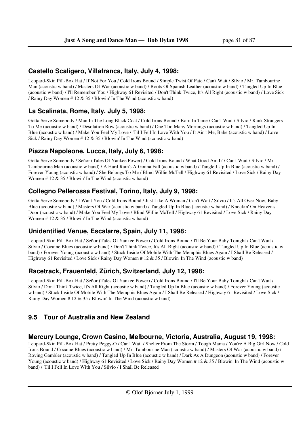#### **Castello Scaligero, Villafranca, Italy, July 4, 1998:**

Leopard-Skin Pill-Box Hat / If Not For You / Cold Irons Bound / Simple Twist Of Fate / Can't Wait / Silvio / Mr. Tambourine Man (acoustic w band) / Masters Of War (acoustic w band) / Boots Of Spanish Leather (acoustic w band) / Tangled Up In Blue (acoustic w band) / I'll Remember You / Highway 61 Revisited / Don't Think Twice, It's All Right (acoustic w band) / Love Sick / Rainy Day Women # 12 & 35 / Blowin' In The Wind (acoustic w band)

#### **La Scalinata, Rome, Italy, July 5, 1998:**

Gotta Serve Somebody / Man In The Long Black Coat / Cold Irons Bound / Born In Time / Can't Wait / Silvio / Rank Strangers To Me (acoustic w band) / Desolation Row (acoustic w band) / One Too Many Mornings (acoustic w band) / Tangled Up In Blue (acoustic w band) / Make You Feel My Love / 'Til I Fell In Love With You / It Ain't Me, Babe (acoustic w band) / Love Sick / Rainy Day Women # 12 & 35 / Blowin' In The Wind (acoustic w band)

#### **Piazza Napoleone, Lucca, Italy, July 6, 1998:**

Gotta Serve Somebody / Señor (Tales Of Yankee Power) / Cold Irons Bound / What Good Am I? / Can't Wait / Silvio / Mr. Tambourine Man (acoustic w band) / A Hard Rain's A-Gonna Fall (acoustic w band) / Tangled Up In Blue (acoustic w band) / Forever Young (acoustic w band) / She Belongs To Me / Blind Willie McTell / Highway 61 Revisited / Love Sick / Rainy Day Women # 12 & 35 / Blowin' In The Wind (acoustic w band)

#### **Collegno Pellerossa Festival, Torino, Italy, July 9, 1998:**

Gotta Serve Somebody / I Want You / Cold Irons Bound / Just Like A Woman / Can't Wait / Silvio / It's All Over Now, Baby Blue (acoustic w band) / Masters Of War (acoustic w band) / Tangled Up In Blue (acoustic w band) / Knockin' On Heaven's Door (acoustic w band) / Make You Feel My Love / Blind Willie McTell / Highway 61 Revisited / Love Sick / Rainy Day Women # 12 & 35 / Blowin' In The Wind (acoustic w band)

### **Unidentified Venue, Escalarre, Spain, July 11, 1998:**

Leopard-Skin Pill-Box Hat / Señor (Tales Of Yankee Power) / Cold Irons Bound / I'll Be Your Baby Tonight / Can't Wait / Silvio / Cocaine Blues (acoustic w band) / Don't Think Twice, It's All Right (acoustic w band) / Tangled Up In Blue (acoustic w band) / Forever Young (acoustic w band) / Stuck Inside Of Mobile With The Memphis Blues Again / I Shall Be Released / Highway 61 Revisited / Love Sick / Rainy Day Women # 12 & 35 / Blowin' In The Wind (acoustic w band)

#### **Racetrack, Frauenfeld, Zürich, Switzerland, July 12, 1998:**

Leopard-Skin Pill-Box Hat / Señor (Tales Of Yankee Power) / Cold Irons Bound / I'll Be Your Baby Tonight / Can't Wait / Silvio / Don't Think Twice, It's All Right (acoustic w band) / Tangled Up In Blue (acoustic w band) / Forever Young (acoustic w band) / Stuck Inside Of Mobile With The Memphis Blues Again / I Shall Be Released / Highway 61 Revisited / Love Sick / Rainy Day Women # 12 & 35 / Blowin' In The Wind (acoustic w band)

# **9.5 Tour of Australia and New Zealand**

#### **Mercury Lounge, Crown Casino, Melbourne, Victoria, Australia, August 19, 1998:**

Leopard-Skin Pill-Box Hat / Pretty Peggy-O / Can't Wait / Shelter From The Storm / Tough Mama / You're A Big Girl Now / Cold Irons Bound / Cocaine Blues (acoustic w band) / Mr. Tambourine Man (acoustic w band) / Masters Of War (acoustic w band) / Roving Gambler (acoustic w band) / Tangled Up In Blue (acoustic w band) / Dark As A Dungeon (acoustic w band) / Forever Young (acoustic w band) / Highway 61 Revisited / Love Sick / Rainy Day Women # 12 & 35 / Blowin' In The Wind (acoustic w band) / 'Til I Fell In Love With You / Silvio / I Shall Be Released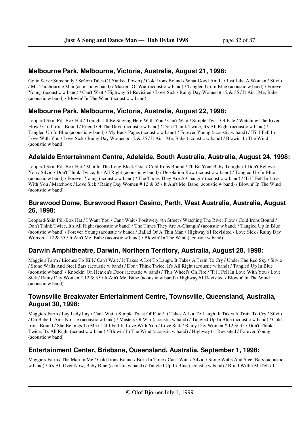## **Melbourne Park, Melbourne, Victoria, Australia, August 21, 1998:**

Gotta Serve Somebody / Señor (Tales Of Yankee Power) / Cold Irons Bound / What Good Am I? / Just Like A Woman / Silvio / Mr. Tambourine Man (acoustic w band) / Masters Of War (acoustic w band) / Tangled Up In Blue (acoustic w band) / Forever Young (acoustic w band) / Can't Wait / Highway 61 Revisited / Love Sick / Rainy Day Women # 12 & 35 / It Ain't Me, Babe (acoustic w band) / Blowin' In The Wind (acoustic w band)

# **Melbourne Park, Melbourne, Victoria, Australia, August 22, 1998:**

Leopard-Skin Pill-Box Hat / Tonight I'll Be Staying Here With You / Can't Wait / Simple Twist Of Fate / Watching The River Flow / Cold Irons Bound / Friend Of The Devil (acoustic w band) / Don't Think Twice, It's All Right (acoustic w band) / Tangled Up In Blue (acoustic w band) / My Back Pages (acoustic w band) / Forever Young (acoustic w band) / 'Til I Fell In Love With You / Love Sick / Rainy Day Women # 12 & 35 / It Ain't Me, Babe (acoustic w band) / Blowin' In The Wind (acoustic w band)

## **Adelaide Entertainment Centre, Adelaide, South Australia, Australia, August 24, 1998:**

Leopard-Skin Pill-Box Hat / Man In The Long Black Coat / Cold Irons Bound / I'll Be Your Baby Tonight / I Don't Believe You / Silvio / Don't Think Twice, It's All Right (acoustic w band) / Desolation Row (acoustic w band) / Tangled Up In Blue (acoustic w band) / Forever Young (acoustic w band) / The Times They Are A-Changin' (acoustic w band) / 'Til I Fell In Love With You / Matchbox / Love Sick / Rainy Day Women # 12 & 35 / It Ain't Me, Babe (acoustic w band) / Blowin' In The Wind (acoustic w band)

## **Burswood Dome, Burswood Resort Casino, Perth, West Australia, Australia, August 26, 1998:**

Leopard-Skin Pill-Box Hat / I Want You / Can't Wait / Positively 4th Street / Watching The River Flow / Cold Irons Bound / Don't Think Twice, It's All Right (acoustic w band) / The Times They Are A-Changin' (acoustic w band) / Tangled Up In Blue (acoustic w band) / Forever Young (acoustic w band) / Ballad Of A Thin Man / Highway 61 Revisited / Love Sick / Rainy Day Women # 12 & 35 / It Ain't Me, Babe (acoustic w band) / Blowin' In The Wind (acoustic w band)

### **Darwin Amphitheatre, Darwin, Northern Territory, Australia, August 28, 1998:**

Maggie's Farm / License To Kill / Can't Wait / It Takes A Lot To Laugh, It Takes A Train To Cry / Under The Red Sky / Silvio / Stone Walls And Steel Bars (acoustic w band) / Don't Think Twice, It's All Right (acoustic w band) / Tangled Up In Blue (acoustic w band) / Knockin' On Heaven's Door (acoustic w band) / This Wheel's On Fire / 'Til I Fell In Love With You / Love Sick / Rainy Day Women # 12 & 35 / It Ain't Me, Babe (acoustic w band) / Highway 61 Revisited / Blowin' In The Wind (acoustic w band)

## **Townsville Breakwater Entertainment Centre, Townsville, Queensland, Australia, August 30, 1998:**

Maggie's Farm / Lay Lady Lay / Can't Wait / Simple Twist Of Fate / It Takes A Lot To Laugh, It Takes A Train To Cry / Silvio / Oh Babe It Ain't No Lie (acoustic w band) / Masters Of War (acoustic w band) / Tangled Up In Blue (acoustic w band) / Cold Irons Bound / She Belongs To Me / 'Til I Fell In Love With You / Love Sick / Rainy Day Women # 12 & 35 / Don't Think Twice, It's All Right (acoustic w band) / Blowin' In The Wind (acoustic w band) / Highway 61 Revisited / Forever Young (acoustic w band)

# **Entertainment Center, Brisbane, Queensland, Australia, September 1, 1998:**

Maggie's Farm / The Man In Me / Cold Irons Bound / Born In Time / Can't Wait / Silvio / Stone Walls And Steel Bars (acoustic w band) / It's All Over Now, Baby Blue (acoustic w band) / Tangled Up In Blue (acoustic w band) / Blind Willie McTell / I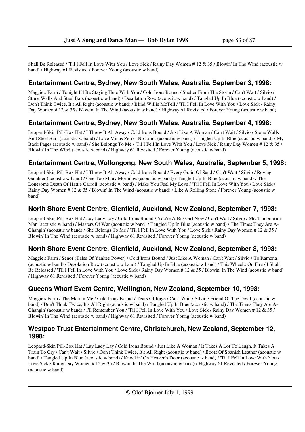Shall Be Released / 'Til I Fell In Love With You / Love Sick / Rainy Day Women # 12 & 35 / Blowin' In The Wind (acoustic w band) / Highway 61 Revisited / Forever Young (acoustic w band)

### **Entertainment Centre, Sydney, New South Wales, Australia, September 3, 1998:**

Maggie's Farm / Tonight I'll Be Staying Here With You / Cold Irons Bound / Shelter From The Storm / Can't Wait / Silvio / Stone Walls And Steel Bars (acoustic w band) / Desolation Row (acoustic w band) / Tangled Up In Blue (acoustic w band) / Don't Think Twice, It's All Right (acoustic w band) / Blind Willie McTell / 'Til I Fell In Love With You / Love Sick / Rainy Day Women # 12 & 35 / Blowin' In The Wind (acoustic w band) / Highway 61 Revisited / Forever Young (acoustic w band)

### **Entertainment Centre, Sydney, New South Wales, Australia, September 4, 1998:**

Leopard-Skin Pill-Box Hat / I Threw It All Away / Cold Irons Bound / Just Like A Woman / Can't Wait / Silvio / Stone Walls And Steel Bars (acoustic w band) / Love Minus Zero - No Limit (acoustic w band) / Tangled Up In Blue (acoustic w band) / My Back Pages (acoustic w band) / She Belongs To Me / 'Til I Fell In Love With You / Love Sick / Rainy Day Women # 12 & 35 / Blowin' In The Wind (acoustic w band) / Highway 61 Revisited / Forever Young (acoustic w band)

## **Entertainment Centre, Wollongong, New South Wales, Australia, September 5, 1998:**

Leopard-Skin Pill-Box Hat / I Threw It All Away / Cold Irons Bound / Every Grain Of Sand / Can't Wait / Silvio / Roving Gambler (acoustic w band) / One Too Many Mornings (acoustic w band) / Tangled Up In Blue (acoustic w band) / The Lonesome Death Of Hattie Carroll (acoustic w band) / Make You Feel My Love / 'Til I Fell In Love With You / Love Sick / Rainy Day Women # 12 & 35 / Blowin' In The Wind (acoustic w band) / Like A Rolling Stone / Forever Young (acoustic w band)

### **North Shore Event Centre, Glenfield, Auckland, New Zealand, September 7, 1998:**

Leopard-Skin Pill-Box Hat / Lay Lady Lay / Cold Irons Bound / You're A Big Girl Now / Can't Wait / Silvio / Mr. Tambourine Man (acoustic w band) / Masters Of War (acoustic w band) / Tangled Up In Blue (acoustic w band) / The Times They Are A-Changin' (acoustic w band) / She Belongs To Me / 'Til I Fell In Love With You / Love Sick / Rainy Day Women # 12 & 35 / Blowin' In The Wind (acoustic w band) / Highway 61 Revisited / Forever Young (acoustic w band)

### **North Shore Event Centre, Glenfield, Auckland, New Zealand, September 8, 1998:**

Maggie's Farm / Señor (Tales Of Yankee Power) / Cold Irons Bound / Just Like A Woman / Can't Wait / Silvio / To Ramona (acoustic w band) / Desolation Row (acoustic w band) / Tangled Up In Blue (acoustic w band) / This Wheel's On Fire / I Shall Be Released / 'Til I Fell In Love With You / Love Sick / Rainy Day Women # 12 & 35 / Blowin' In The Wind (acoustic w band) / Highway 61 Revisited / Forever Young (acoustic w band)

### **Queens Wharf Event Centre, Wellington, New Zealand, September 10, 1998:**

Maggie's Farm / The Man In Me / Cold Irons Bound / Tears Of Rage / Can't Wait / Silvio / Friend Of The Devil (acoustic w band) / Don't Think Twice, It's All Right (acoustic w band) / Tangled Up In Blue (acoustic w band) / The Times They Are A-Changin' (acoustic w band) / I'll Remember You / 'Til I Fell In Love With You / Love Sick / Rainy Day Women # 12 & 35 / Blowin' In The Wind (acoustic w band) / Highway 61 Revisited / Forever Young (acoustic w band)

#### **Westpac Trust Entertainment Centre, Christchurch, New Zealand, September 12, 1998:**

Leopard-Skin Pill-Box Hat / Lay Lady Lay / Cold Irons Bound / Just Like A Woman / It Takes A Lot To Laugh, It Takes A Train To Cry / Can't Wait / Silvio / Don't Think Twice, It's All Right (acoustic w band) / Boots Of Spanish Leather (acoustic w band) / Tangled Up In Blue (acoustic w band) / Knockin' On Heaven's Door (acoustic w band) / 'Til I Fell In Love With You / Love Sick / Rainy Day Women # 12 & 35 / Blowin' In The Wind (acoustic w band) / Highway 61 Revisited / Forever Young (acoustic w band)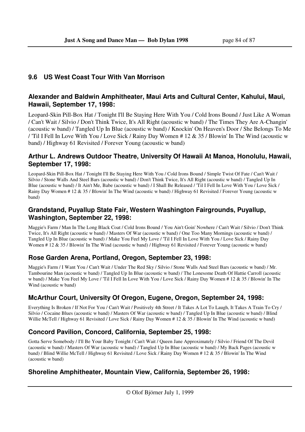# **9.6 US West Coast Tour With Van Morrison**

## **Alexander and Baldwin Amphitheater, Maui Arts and Cultural Center, Kahului, Maui, Hawaii, September 17, 1998:**

Leopard-Skin Pill-Box Hat / Tonight I'll Be Staying Here With You / Cold Irons Bound / Just Like A Woman / Can't Wait / Silvio / Don't Think Twice, It's All Right (acoustic w band) / The Times They Are A-Changin' (acoustic w band) / Tangled Up In Blue (acoustic w band) / Knockin' On Heaven's Door / She Belongs To Me / 'Til I Fell In Love With You / Love Sick / Rainy Day Women # 12 & 35 / Blowin' In The Wind (acoustic w band) / Highway 61 Revisited / Forever Young (acoustic w band)

## **Arthur L. Andrews Outdoor Theatre, University Of Hawaii At Manoa, Honolulu, Hawaii, September 17, 1998:**

Leopard-Skin Pill-Box Hat / Tonight I'll Be Staying Here With You / Cold Irons Bound / Simple Twist Of Fate / Can't Wait / Silvio / Stone Walls And Steel Bars (acoustic w band) / Don't Think Twice, It's All Right (acoustic w band) / Tangled Up In Blue (acoustic w band) / It Ain't Me, Babe (acoustic w band) / I Shall Be Released / 'Til I Fell In Love With You / Love Sick / Rainy Day Women # 12 & 35 / Blowin' In The Wind (acoustic w band) / Highway 61 Revisited / Forever Young (acoustic w band)

## **Grandstand, Puyallup State Fair, Western Washington Fairgrounds, Puyallup, Washington, September 22, 1998:**

Maggie's Farm / Man In The Long Black Coat / Cold Irons Bound / You Ain't Goin' Nowhere / Can't Wait / Silvio / Don't Think Twice, It's All Right (acoustic w band) / Masters Of War (acoustic w band) / One Too Many Mornings (acoustic w band) / Tangled Up In Blue (acoustic w band) / Make You Feel My Love / 'Til I Fell In Love With You / Love Sick / Rainy Day Women # 12 & 35 / Blowin' In The Wind (acoustic w band) / Highway 61 Revisited / Forever Young (acoustic w band)

# **Rose Garden Arena, Portland, Oregon, September 23, 1998:**

Maggie's Farm / I Want You / Can't Wait / Under The Red Sky / Silvio / Stone Walls And Steel Bars (acoustic w band) / Mr. Tambourine Man (acoustic w band) / Tangled Up In Blue (acoustic w band) / The Lonesome Death Of Hattie Carroll (acoustic w band) / Make You Feel My Love / 'Til I Fell In Love With You / Love Sick / Rainy Day Women # 12 & 35 / Blowin' In The Wind (acoustic w band)

# **McArthur Court, University Of Oregon, Eugene, Oregon, September 24, 1998:**

Everything Is Broken / If Not For You / Can't Wait / Positively 4th Street / It Takes A Lot To Laugh, It Takes A Train To Cry / Silvio / Cocaine Blues (acoustic w band) / Masters Of War (acoustic w band) / Tangled Up In Blue (acoustic w band) / Blind Willie McTell / Highway 61 Revisited / Love Sick / Rainy Day Women # 12 & 35 / Blowin' In The Wind (acoustic w band)

# **Concord Pavilion, Concord, California, September 25, 1998:**

Gotta Serve Somebody / I'll Be Your Baby Tonight / Can't Wait / Queen Jane Approximately / Silvio / Friend Of The Devil (acoustic w band) / Masters Of War (acoustic w band) / Tangled Up In Blue (acoustic w band) / My Back Pages (acoustic w band) / Blind Willie McTell / Highway 61 Revisited / Love Sick / Rainy Day Women # 12 & 35 / Blowin' In The Wind (acoustic w band)

# **Shoreline Amphitheater, Mountain View, California, September 26, 1998:**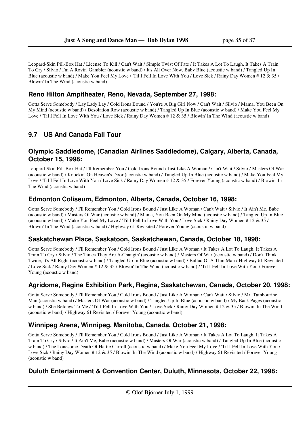Leopard-Skin Pill-Box Hat / License To Kill / Can't Wait / Simple Twist Of Fate / It Takes A Lot To Laugh, It Takes A Train To Cry / Silvio / I'm A Rovin' Gambler (acoustic w band) / It's All Over Now, Baby Blue (acoustic w band) / Tangled Up In Blue (acoustic w band) / Make You Feel My Love / 'Til I Fell In Love With You / Love Sick / Rainy Day Women # 12 & 35 / Blowin' In The Wind (acoustic w band)

## **Reno Hilton Ampitheater, Reno, Nevada, September 27, 1998:**

Gotta Serve Somebody / Lay Lady Lay / Cold Irons Bound / You're A Big Girl Now / Can't Wait / Silvio / Mama, You Been On My Mind (acoustic w band) / Desolation Row (acoustic w band) / Tangled Up In Blue (acoustic w band) / Make You Feel My Love / 'Til I Fell In Love With You / Love Sick / Rainy Day Women # 12 & 35 / Blowin' In The Wind (acoustic w band)

# **9.7 US And Canada Fall Tour**

#### **Olympic Saddledome, (Canadian Airlines Saddledome), Calgary, Alberta, Canada, October 15, 1998:**

Leopard-Skin Pill-Box Hat / I'll Remember You / Cold Irons Bound / Just Like A Woman / Can't Wait / Silvio / Masters Of War (acoustic w band) / Knockin' On Heaven's Door (acoustic w band) / Tangled Up In Blue (acoustic w band) / Make You Feel My Love / 'Til I Fell In Love With You / Love Sick / Rainy Day Women # 12 & 35 / Forever Young (acoustic w band) / Blowin' In The Wind (acoustic w band)

### **Edmonton Coliseum, Edmonton, Alberta, Canada, October 16, 1998:**

Gotta Serve Somebody / I'll Remember You / Cold Irons Bound / Just Like A Woman / Can't Wait / Silvio / It Ain't Me, Babe (acoustic w band) / Masters Of War (acoustic w band) / Mama, You Been On My Mind (acoustic w band) / Tangled Up In Blue (acoustic w band) / Make You Feel My Love / 'Til I Fell In Love With You / Love Sick / Rainy Day Women # 12 & 35 / Blowin' In The Wind (acoustic w band) / Highway 61 Revisited / Forever Young (acoustic w band)

### **Saskatchewan Place, Saskatoon, Saskatchewan, Canada, October 18, 1998:**

Gotta Serve Somebody / I'll Remember You / Cold Irons Bound / Just Like A Woman / It Takes A Lot To Laugh, It Takes A Train To Cry / Silvio / The Times They Are A-Changin' (acoustic w band) / Masters Of War (acoustic w band) / Don't Think Twice, It's All Right (acoustic w band) / Tangled Up In Blue (acoustic w band) / Ballad Of A Thin Man / Highway 61 Revisited / Love Sick / Rainy Day Women # 12 & 35 / Blowin' In The Wind (acoustic w band) / 'Til I Fell In Love With You / Forever Young (acoustic w band)

# **Agridome, Regina Exhibition Park, Regina, Saskatchewan, Canada, October 20, 1998:**

Gotta Serve Somebody / I'll Remember You / Cold Irons Bound / Just Like A Woman / Can't Wait / Silvio / Mr. Tambourine Man (acoustic w band) / Masters Of War (acoustic w band) / Tangled Up In Blue (acoustic w band) / My Back Pages (acoustic w band) / She Belongs To Me / 'Til I Fell In Love With You / Love Sick / Rainy Day Women # 12 & 35 / Blowin' In The Wind (acoustic w band) / Highway 61 Revisited / Forever Young (acoustic w band)

### **Winnipeg Arena, Winnipeg, Manitoba, Canada, October 21, 1998:**

Gotta Serve Somebody / I'll Remember You / Cold Irons Bound / Just Like A Woman / It Takes A Lot To Laugh, It Takes A Train To Cry / Silvio / It Ain't Me, Babe (acoustic w band) / Masters Of War (acoustic w band) / Tangled Up In Blue (acoustic w band) / The Lonesome Death Of Hattie Carroll (acoustic w band) / Make You Feel My Love / 'Til I Fell In Love With You / Love Sick / Rainy Day Women # 12 & 35 / Blowin' In The Wind (acoustic w band) / Highway 61 Revisited / Forever Young (acoustic w band)

### **Duluth Entertainment & Convention Center, Duluth, Minnesota, October 22, 1998:**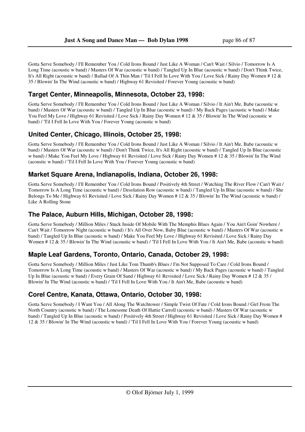Gotta Serve Somebody / I'll Remember You / Cold Irons Bound / Just Like A Woman / Can't Wait / Silvio / Tomorrow Is A Long Time (acoustic w band) / Masters Of War (acoustic w band) / Tangled Up In Blue (acoustic w band) / Don't Think Twice, It's All Right (acoustic w band) / Ballad Of A Thin Man / 'Til I Fell In Love With You / Love Sick / Rainy Day Women # 12 & 35 / Blowin' In The Wind (acoustic w band) / Highway 61 Revisited / Forever Young (acoustic w band)

# **Target Center, Minneapolis, Minnesota, October 23, 1998:**

Gotta Serve Somebody / I'll Remember You / Cold Irons Bound / Just Like A Woman / Silvio / It Ain't Me, Babe (acoustic w band) / Masters Of War (acoustic w band) / Tangled Up In Blue (acoustic w band) / My Back Pages (acoustic w band) / Make You Feel My Love / Highway 61 Revisited / Love Sick / Rainy Day Women # 12 & 35 / Blowin' In The Wind (acoustic w band) / 'Til I Fell In Love With You / Forever Young (acoustic w band)

# **United Center, Chicago, Illinois, October 25, 1998:**

Gotta Serve Somebody / I'll Remember You / Cold Irons Bound / Just Like A Woman / Silvio / It Ain't Me, Babe (acoustic w band) / Masters Of War (acoustic w band) / Don't Think Twice, It's All Right (acoustic w band) / Tangled Up In Blue (acoustic w band) / Make You Feel My Love / Highway 61 Revisited / Love Sick / Rainy Day Women # 12 & 35 / Blowin' In The Wind (acoustic w band) / 'Til I Fell In Love With You / Forever Young (acoustic w band)

## **Market Square Arena, Indianapolis, Indiana, October 26, 1998:**

Gotta Serve Somebody / I'll Remember You / Cold Irons Bound / Positively 4th Street / Watching The River Flow / Can't Wait / Tomorrow Is A Long Time (acoustic w band) / Desolation Row (acoustic w band) / Tangled Up In Blue (acoustic w band) / She Belongs To Me / Highway 61 Revisited / Love Sick / Rainy Day Women # 12 & 35 / Blowin' In The Wind (acoustic w band) / Like A Rolling Stone

## **The Palace, Auburn Hills, Michigan, October 28, 1998:**

Gotta Serve Somebody / Million Miles / Stuck Inside Of Mobile With The Memphis Blues Again / You Ain't Goin' Nowhere / Can't Wait / Tomorrow Night (acoustic w band) / It's All Over Now, Baby Blue (acoustic w band) / Masters Of War (acoustic w band) / Tangled Up In Blue (acoustic w band) / Make You Feel My Love / Highway 61 Revisited / Love Sick / Rainy Day Women # 12 & 35 / Blowin' In The Wind (acoustic w band) / 'Til I Fell In Love With You / It Ain't Me, Babe (acoustic w band)

### **Maple Leaf Gardens, Toronto, Ontario, Canada, October 29, 1998:**

Gotta Serve Somebody / Million Miles / Just Like Tom Thumb's Blues / I'm Not Supposed To Care / Cold Irons Bound / Tomorrow Is A Long Time (acoustic w band) / Masters Of War (acoustic w band) / My Back Pages (acoustic w band) / Tangled Up In Blue (acoustic w band) / Every Grain Of Sand / Highway 61 Revisited / Love Sick / Rainy Day Women # 12 & 35 / Blowin' In The Wind (acoustic w band) / 'Til I Fell In Love With You / It Ain't Me, Babe (acoustic w band)

### **Corel Centre, Kanata, Ottawa, Ontario, October 30, 1998:**

Gotta Serve Somebody / I Want You / All Along The Watchtower / Simple Twist Of Fate / Cold Irons Bound / Girl From The North Country (acoustic w band) / The Lonesome Death Of Hattie Carroll (acoustic w band) / Masters Of War (acoustic w band) / Tangled Up In Blue (acoustic w band) / Positively 4th Street / Highway 61 Revisited / Love Sick / Rainy Day Women # 12 & 35 / Blowin' In The Wind (acoustic w band) / 'Til I Fell In Love With You / Forever Young (acoustic w band)